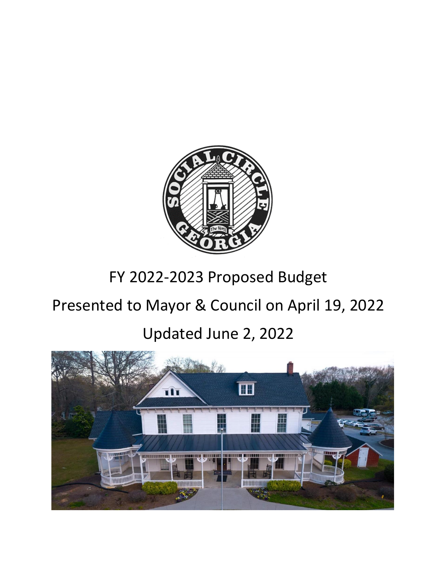

## FY 2022-2023 Proposed Budget

# Presented to Mayor & Council on April 19, 2022

## Updated June 2, 2022

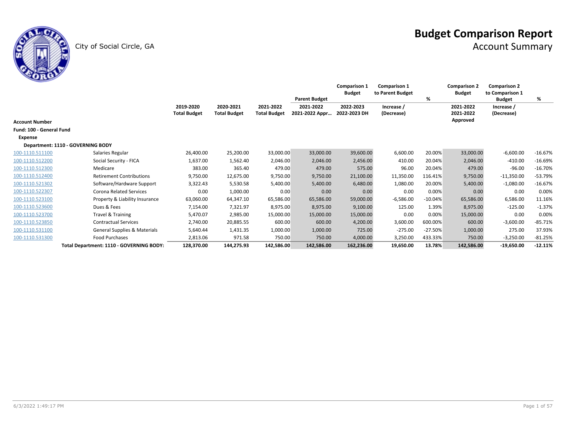

City of Social Circle, GA Account Summary City of Social Circle, GA Account Summary

|                          |                                          |                     |                     |                     | <b>Parent Budget</b> | <b>Comparison 1</b><br><b>Budget</b> | <b>Comparison 1</b><br>to Parent Budget | %         | <b>Comparison 2</b><br><b>Budget</b> | <b>Comparison 2</b><br>to Comparison 1<br><b>Budget</b> | %         |
|--------------------------|------------------------------------------|---------------------|---------------------|---------------------|----------------------|--------------------------------------|-----------------------------------------|-----------|--------------------------------------|---------------------------------------------------------|-----------|
|                          |                                          | 2019-2020           | 2020-2021           | 2021-2022           | 2021-2022            | 2022-2023                            | Increase /                              |           | 2021-2022                            | Increase /                                              |           |
|                          |                                          | <b>Total Budget</b> | <b>Total Budget</b> | <b>Total Budget</b> | 2021-2022 Appr       | 2022-2023 DH                         | (Decrease)                              |           | 2021-2022                            | (Decrease)                                              |           |
| <b>Account Number</b>    |                                          |                     |                     |                     |                      |                                      |                                         |           | Approved                             |                                                         |           |
| Fund: 100 - General Fund |                                          |                     |                     |                     |                      |                                      |                                         |           |                                      |                                                         |           |
| <b>Expense</b>           |                                          |                     |                     |                     |                      |                                      |                                         |           |                                      |                                                         |           |
|                          | Department: 1110 - GOVERNING BODY        |                     |                     |                     |                      |                                      |                                         |           |                                      |                                                         |           |
| 100-1110.511100          | Salaries Regular                         | 26,400.00           | 25,200.00           | 33,000.00           | 33,000.00            | 39,600.00                            | 6,600.00                                | 20.00%    | 33,000.00                            | $-6,600.00$                                             | $-16.67%$ |
| 100-1110.512200          | Social Security - FICA                   | 1,637.00            | 1,562.40            | 2,046.00            | 2,046.00             | 2,456.00                             | 410.00                                  | 20.04%    | 2,046.00                             | $-410.00$                                               | $-16.69%$ |
| 100-1110.512300          | Medicare                                 | 383.00              | 365.40              | 479.00              | 479.00               | 575.00                               | 96.00                                   | 20.04%    | 479.00                               | $-96.00$                                                | $-16.70%$ |
| 100-1110.512400          | <b>Retirement Contributions</b>          | 9,750.00            | 12,675.00           | 9,750.00            | 9,750.00             | 21,100.00                            | 11,350.00                               | 116.41%   | 9,750.00                             | $-11,350.00$                                            | $-53.79%$ |
| 100-1110.521302          | Software/Hardware Support                | 3,322.43            | 5,530.58            | 5,400.00            | 5,400.00             | 6,480.00                             | 1,080.00                                | 20.00%    | 5,400.00                             | $-1,080.00$                                             | $-16.67%$ |
| 100-1110.522307          | <b>Corona Related Services</b>           | 0.00                | 1,000.00            | 0.00                | 0.00                 | 0.00                                 | 0.00                                    | 0.00%     | 0.00                                 | 0.00                                                    | 0.00%     |
| 100-1110.523100          | Property & Liability Insurance           | 63,060.00           | 64,347.10           | 65,586.00           | 65,586.00            | 59,000.00                            | $-6,586.00$                             | $-10.04%$ | 65,586.00                            | 6,586.00                                                | 11.16%    |
| 100-1110.523600          | Dues & Fees                              | 7,154.00            | 7,321.97            | 8,975.00            | 8,975.00             | 9,100.00                             | 125.00                                  | 1.39%     | 8,975.00                             | $-125.00$                                               | $-1.37%$  |
| 100-1110.523700          | Travel & Training                        | 5,470.07            | 2,985.00            | 15,000.00           | 15,000.00            | 15,000.00                            | 0.00                                    | 0.00%     | 15,000.00                            | 0.00                                                    | 0.00%     |
| 100-1110.523850          | <b>Contractual Services</b>              | 2.740.00            | 20,885.55           | 600.00              | 600.00               | 4,200.00                             | 3,600.00                                | 600.00%   | 600.00                               | $-3,600.00$                                             | $-85.71%$ |
| 100-1110.531100          | <b>General Supplies &amp; Materials</b>  | 5,640.44            | 1,431.35            | 1,000.00            | 1,000.00             | 725.00                               | $-275.00$                               | $-27.50%$ | 1,000.00                             | 275.00                                                  | 37.93%    |
| 100-1110.531300          | <b>Food Purchases</b>                    | 2,813.06            | 971.58              | 750.00              | 750.00               | 4,000.00                             | 3,250.00                                | 433.33%   | 750.00                               | $-3,250.00$                                             | $-81.25%$ |
|                          | Total Department: 1110 - GOVERNING BODY: | 128,370.00          | 144,275.93          | 142,586.00          | 142,586.00           | 162,236.00                           | 19,650.00                               | 13.78%    | 142,586.00                           | $-19,650.00$                                            | $-12.11%$ |

τ.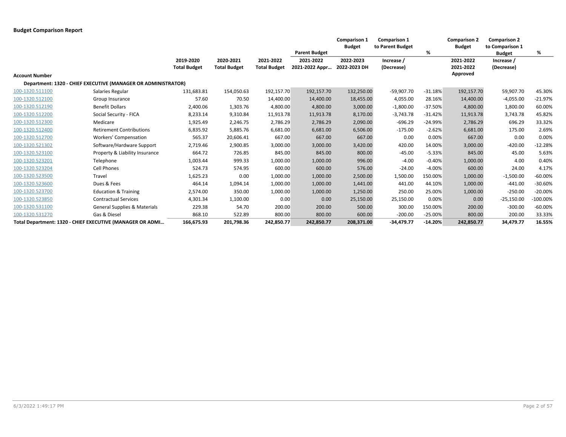|                       |                                                               |                                  |                                  |                                  |                                                     | <b>Comparison 1</b><br><b>Budget</b> | <b>Comparison 1</b><br>to Parent Budget |           | <b>Comparison 2</b><br><b>Budget</b> | <b>Comparison 2</b><br>to Comparison 1    |            |
|-----------------------|---------------------------------------------------------------|----------------------------------|----------------------------------|----------------------------------|-----------------------------------------------------|--------------------------------------|-----------------------------------------|-----------|--------------------------------------|-------------------------------------------|------------|
|                       |                                                               | 2019-2020<br><b>Total Budget</b> | 2020-2021<br><b>Total Budget</b> | 2021-2022<br><b>Total Budget</b> | <b>Parent Budget</b><br>2021-2022<br>2021-2022 Appr | 2022-2023<br>2022-2023 DH            | Increase /<br>(Decrease)                | %         | 2021-2022<br>2021-2022               | <b>Budget</b><br>Increase /<br>(Decrease) | %          |
| <b>Account Number</b> |                                                               |                                  |                                  |                                  |                                                     |                                      |                                         |           | Approved                             |                                           |            |
|                       | Department: 1320 - CHIEF EXECUTIVE (MANAGER OR ADMINISTRATOR) |                                  |                                  |                                  |                                                     |                                      |                                         |           |                                      |                                           |            |
| 100-1320.511100       | Salaries Regular                                              | 131,683.81                       | 154,050.63                       | 192,157.70                       | 192,157.70                                          | 132,250.00                           | $-59,907.70$                            | $-31.18%$ | 192,157.70                           | 59,907.70                                 | 45.30%     |
| 100-1320.512100       | Group Insurance                                               | 57.60                            | 70.50                            | 14,400.00                        | 14,400.00                                           | 18,455.00                            | 4,055.00                                | 28.16%    | 14,400.00                            | $-4,055.00$                               | $-21.97%$  |
| 100-1320.512190       | <b>Benefit Dollars</b>                                        | 2,400.06                         | 1,303.76                         | 4,800.00                         | 4,800.00                                            | 3,000.00                             | $-1,800.00$                             | $-37.50%$ | 4,800.00                             | 1,800.00                                  | 60.00%     |
| 100-1320.512200       | Social Security - FICA                                        | 8,233.14                         | 9,310.84                         | 11,913.78                        | 11,913.78                                           | 8,170.00                             | $-3,743.78$                             | $-31.42%$ | 11,913.78                            | 3,743.78                                  | 45.82%     |
| 100-1320.512300       | Medicare                                                      | 1,925.49                         | 2,246.75                         | 2,786.29                         | 2,786.29                                            | 2,090.00                             | $-696.29$                               | $-24.99%$ | 2,786.29                             | 696.29                                    | 33.32%     |
| 100-1320.512400       | <b>Retirement Contributions</b>                               | 6,835.92                         | 5,885.76                         | 6,681.00                         | 6,681.00                                            | 6,506.00                             | $-175.00$                               | $-2.62%$  | 6,681.00                             | 175.00                                    | 2.69%      |
| 100-1320.512700       | Workers' Compensation                                         | 565.37                           | 20,606.41                        | 667.00                           | 667.00                                              | 667.00                               | 0.00                                    | 0.00%     | 667.00                               | 0.00                                      | 0.00%      |
| 100-1320.521302       | Software/Hardware Support                                     | 2,719.46                         | 2,900.85                         | 3,000.00                         | 3,000.00                                            | 3,420.00                             | 420.00                                  | 14.00%    | 3,000.00                             | $-420.00$                                 | $-12.28%$  |
| 100-1320.523100       | Property & Liability Insurance                                | 664.72                           | 726.85                           | 845.00                           | 845.00                                              | 800.00                               | $-45.00$                                | $-5.33%$  | 845.00                               | 45.00                                     | 5.63%      |
| 100-1320.523201       | Telephone                                                     | 1,003.44                         | 999.33                           | 1,000.00                         | 1,000.00                                            | 996.00                               | $-4.00$                                 | $-0.40%$  | 1,000.00                             | 4.00                                      | 0.40%      |
| 100-1320.523204       | <b>Cell Phones</b>                                            | 524.73                           | 574.95                           | 600.00                           | 600.00                                              | 576.00                               | $-24.00$                                | $-4.00%$  | 600.00                               | 24.00                                     | 4.17%      |
| 100-1320.523500       | Travel                                                        | 1,625.23                         | 0.00                             | 1,000.00                         | 1,000.00                                            | 2,500.00                             | 1,500.00                                | 150.00%   | 1,000.00                             | $-1,500.00$                               | $-60.00\%$ |
| 100-1320.523600       | Dues & Fees                                                   | 464.14                           | 1,094.14                         | 1,000.00                         | 1,000.00                                            | 1,441.00                             | 441.00                                  | 44.10%    | 1,000.00                             | $-441.00$                                 | $-30.60%$  |
| 100-1320.523700       | <b>Education &amp; Training</b>                               | 2,574.00                         | 350.00                           | 1,000.00                         | 1,000.00                                            | 1,250.00                             | 250.00                                  | 25.00%    | 1,000.00                             | $-250.00$                                 | $-20.00%$  |
| 100-1320.523850       | <b>Contractual Services</b>                                   | 4,301.34                         | 1,100.00                         | 0.00                             | 0.00                                                | 25,150.00                            | 25,150.00                               | 0.00%     | 0.00                                 | $-25,150.00$                              | $-100.00%$ |
| 100-1320.531100       | <b>General Supplies &amp; Materials</b>                       | 229.38                           | 54.70                            | 200.00                           | 200.00                                              | 500.00                               | 300.00                                  | 150.00%   | 200.00                               | $-300.00$                                 | $-60.00%$  |
| 100-1320.531270       | Gas & Diesel                                                  | 868.10                           | 522.89                           | 800.00                           | 800.00                                              | 600.00                               | $-200.00$                               | $-25.00%$ | 800.00                               | 200.00                                    | 33.33%     |
|                       | Total Department: 1320 - CHIEF EXECUTIVE (MANAGER OR ADMI     | 166,675.93                       | 201,798.36                       | 242.850.77                       | 242.850.77                                          | 208,371.00                           | $-34,479.77$                            | $-14.20%$ | 242,850.77                           | 34,479.77                                 | 16.55%     |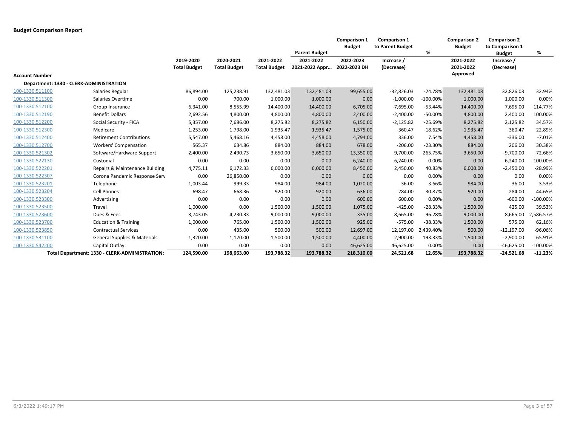|                       |                                                |                     |                     |                     |                      | <b>Comparison 1</b><br><b>Budget</b> | <b>Comparison 1</b><br>to Parent Budget |            | <b>Comparison 2</b><br><b>Budget</b> | <b>Comparison 2</b><br>to Comparison 1 |             |
|-----------------------|------------------------------------------------|---------------------|---------------------|---------------------|----------------------|--------------------------------------|-----------------------------------------|------------|--------------------------------------|----------------------------------------|-------------|
|                       |                                                |                     |                     |                     | <b>Parent Budget</b> |                                      |                                         | %          |                                      | <b>Budget</b>                          | %           |
|                       |                                                | 2019-2020           | 2020-2021           | 2021-2022           | 2021-2022            | 2022-2023                            | Increase /                              |            | 2021-2022                            | Increase /                             |             |
|                       |                                                | <b>Total Budget</b> | <b>Total Budget</b> | <b>Total Budget</b> | 2021-2022 Appr       | 2022-2023 DH                         | (Decrease)                              |            | 2021-2022                            | (Decrease)                             |             |
| <b>Account Number</b> |                                                |                     |                     |                     |                      |                                      |                                         |            | Approved                             |                                        |             |
|                       | Department: 1330 - CLERK-ADMINISTRATION        |                     |                     |                     |                      |                                      |                                         |            |                                      |                                        |             |
| 100-1330.511100       | Salaries Regular                               | 86,894.00           | 125,238.91          | 132,481.03          | 132,481.03           | 99,655.00                            | $-32,826.03$                            | $-24.78%$  | 132,481.03                           | 32,826.03                              | 32.94%      |
| 100-1330.511300       | Salaries Overtime                              | 0.00                | 700.00              | 1,000.00            | 1,000.00             | 0.00                                 | $-1,000.00$                             | $-100.00%$ | 1,000.00                             | 1,000.00                               | 0.00%       |
| 100-1330.512100       | Group Insurance                                | 6,341.00            | 8,555.99            | 14,400.00           | 14,400.00            | 6,705.00                             | $-7,695.00$                             | $-53.44%$  | 14,400.00                            | 7,695.00                               | 114.77%     |
| 100-1330.512190       | <b>Benefit Dollars</b>                         | 2,692.56            | 4,800.00            | 4,800.00            | 4,800.00             | 2,400.00                             | $-2,400.00$                             | $-50.00%$  | 4,800.00                             | 2,400.00                               | 100.00%     |
| 100-1330.512200       | Social Security - FICA                         | 5,357.00            | 7,686.00            | 8,275.82            | 8,275.82             | 6,150.00                             | $-2,125.82$                             | $-25.69%$  | 8,275.82                             | 2,125.82                               | 34.57%      |
| 100-1330.512300       | Medicare                                       | 1,253.00            | 1,798.00            | 1,935.47            | 1,935.47             | 1,575.00                             | $-360.47$                               | $-18.62%$  | 1,935.47                             | 360.47                                 | 22.89%      |
| 100-1330.512400       | <b>Retirement Contributions</b>                | 5,547.00            | 5,468.16            | 4,458.00            | 4,458.00             | 4,794.00                             | 336.00                                  | 7.54%      | 4,458.00                             | $-336.00$                              | $-7.01%$    |
| 100-1330.512700       | <b>Workers' Compensation</b>                   | 565.37              | 634.86              | 884.00              | 884.00               | 678.00                               | $-206.00$                               | $-23.30%$  | 884.00                               | 206.00                                 | 30.38%      |
| 100-1330.521302       | Software/Hardware Support                      | 2,400.00            | 2,490.73            | 3,650.00            | 3,650.00             | 13,350.00                            | 9,700.00                                | 265.75%    | 3,650.00                             | $-9,700.00$                            | $-72.66%$   |
| 100-1330.522130       | Custodial                                      | 0.00                | 0.00                | 0.00                | 0.00                 | 6,240.00                             | 6,240.00                                | 0.00%      | 0.00                                 | $-6,240.00$                            | $-100.00%$  |
| 100-1330.522201       | Repairs & Maintenance Building                 | 4,775.11            | 6,172.33            | 6,000.00            | 6,000.00             | 8,450.00                             | 2,450.00                                | 40.83%     | 6,000.00                             | $-2,450.00$                            | -28.99%     |
| 100-1330.522307       | Corona Pandemic Response Serv                  | 0.00                | 26,850.00           | 0.00                | 0.00                 | 0.00                                 | 0.00                                    | 0.00%      | 0.00                                 | 0.00                                   | 0.00%       |
| 100-1330.523201       | Telephone                                      | 1,003.44            | 999.33              | 984.00              | 984.00               | 1,020.00                             | 36.00                                   | 3.66%      | 984.00                               | $-36.00$                               | $-3.53%$    |
| 100-1330.523204       | <b>Cell Phones</b>                             | 698.47              | 668.36              | 920.00              | 920.00               | 636.00                               | $-284.00$                               | $-30.87%$  | 920.00                               | 284.00                                 | 44.65%      |
| 100-1330.523300       | Advertising                                    | 0.00                | 0.00                | 0.00                | 0.00                 | 600.00                               | 600.00                                  | 0.00%      | 0.00                                 | $-600.00$                              | $-100.00%$  |
| 100-1330.523500       | Travel                                         | 1,000.00            | 0.00                | 1,500.00            | 1,500.00             | 1,075.00                             | $-425.00$                               | $-28.33%$  | 1,500.00                             | 425.00                                 | 39.53%      |
| 100-1330.523600       | Dues & Fees                                    | 3,743.05            | 4,230.33            | 9,000.00            | 9,000.00             | 335.00                               | $-8,665.00$                             | $-96.28%$  | 9,000.00                             | 8,665.00                               | 2,586.57%   |
| 100-1330.523700       | <b>Education &amp; Training</b>                | 1,000.00            | 765.00              | 1,500.00            | 1,500.00             | 925.00                               | $-575.00$                               | $-38.33%$  | 1,500.00                             | 575.00                                 | 62.16%      |
| 100-1330.523850       | <b>Contractual Services</b>                    | 0.00                | 435.00              | 500.00              | 500.00               | 12,697.00                            | 12,197.00                               | 2,439.40%  | 500.00                               | $-12,197.00$                           | -96.06%     |
| 100-1330.531100       | <b>General Supplies &amp; Materials</b>        | 1,320.00            | 1,170.00            | 1,500.00            | 1,500.00             | 4,400.00                             | 2,900.00                                | 193.33%    | 1,500.00                             | $-2,900.00$                            | $-65.91%$   |
| 100-1330.542200       | Capital Outlay                                 | 0.00                | 0.00                | 0.00                | 0.00                 | 46,625.00                            | 46,625.00                               | 0.00%      | 0.00                                 | $-46,625.00$                           | $-100.00\%$ |
|                       | Total Department: 1330 - CLERK-ADMINISTRATION: | 124,590.00          | 198,663.00          | 193,788.32          | 193,788.32           | 218,310.00                           | 24,521.68                               | 12.65%     | 193,788.32                           | $-24,521.68$                           | $-11.23%$   |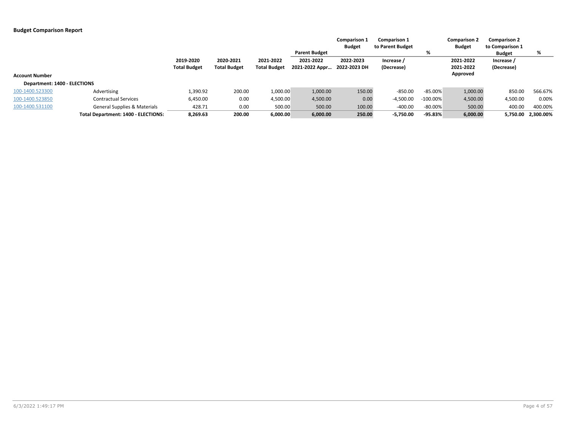|                              |                                            |                     |                     |                     |                      | <b>Comparison 1</b> | <b>Comparison 1</b> |             | <b>Comparison 2</b> | <b>Comparison 2</b> |                    |
|------------------------------|--------------------------------------------|---------------------|---------------------|---------------------|----------------------|---------------------|---------------------|-------------|---------------------|---------------------|--------------------|
|                              |                                            |                     |                     |                     |                      | <b>Budget</b>       | to Parent Budget    |             | <b>Budget</b>       | to Comparison 1     |                    |
|                              |                                            |                     |                     |                     | <b>Parent Budget</b> |                     |                     | %           |                     | <b>Budget</b>       | %                  |
|                              |                                            | 2019-2020           | 2020-2021           | 2021-2022           | 2021-2022            | 2022-2023           | Increase /          |             | 2021-2022           | Increase /          |                    |
|                              |                                            | <b>Total Budget</b> | <b>Total Budget</b> | <b>Total Budget</b> | 2021-2022 Appr       | 2022-2023 DH        | (Decrease)          |             | 2021-2022           | (Decrease)          |                    |
| <b>Account Number</b>        |                                            |                     |                     |                     |                      |                     |                     |             | Approved            |                     |                    |
| Department: 1400 - ELECTIONS |                                            |                     |                     |                     |                      |                     |                     |             |                     |                     |                    |
| 100-1400.523300              | Advertising                                | 1,390.92            | 200.00              | 1,000.00            | 1,000.00             | 150.00              | $-850.00$           | $-85.00%$   | 1,000.00            | 850.00              | 566.67%            |
| 100-1400.523850              | <b>Contractual Services</b>                | 6,450.00            | 0.00                | 4,500.00            | 4,500.00             | 0.00                | $-4,500.00$         | $-100.00\%$ | 4,500.00            | 4,500.00            | 0.00%              |
| 100-1400.531100              | <b>General Supplies &amp; Materials</b>    | 428.71              | 0.00                | 500.00              | 500.00               | 100.00              | $-400.00$           | $-80.00%$   | 500.00              | 400.00              | 400.00%            |
|                              | <b>Total Department: 1400 - ELECTIONS:</b> | 8,269.63            | 200.00              | 6,000.00            | 6,000.00             | 250.00              | $-5,750.00$         | $-95.83%$   | 6,000.00            |                     | 5,750.00 2,300.00% |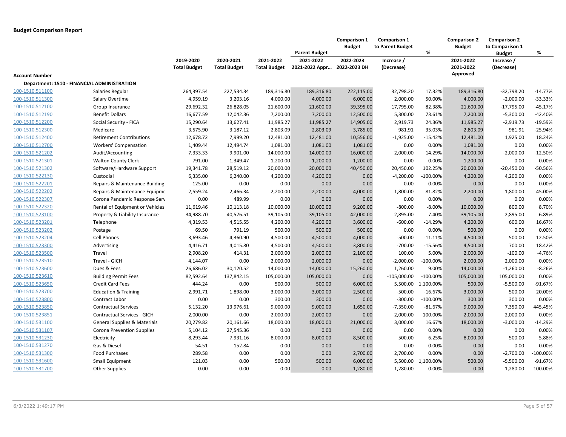| 2019-2020<br>2020-2021<br>2021-2022<br>2021-2022<br>2022-2023<br>2021-2022<br>Increase /<br>Increase /<br>2021-2022 Appr<br>2022-2023 DH<br>2021-2022<br><b>Total Budget</b><br><b>Total Budget</b><br><b>Total Budget</b><br>(Decrease)<br>(Decrease)<br>Approved<br><b>Account Number</b><br>Department: 1510 - FINANCIAL ADMINISTRATION<br>17.32%<br>100-1510.511100<br>264,397.54<br>227,534.34<br>189,316.80<br>189,316.80<br>222,115.00<br>32,798.20<br>189,316.80<br>$-32,798.20$<br>$-14.77%$<br>Salaries Regular<br>4,959.19<br>3,203.16<br>4,000.00<br>4,000.00<br>6,000.00<br>2,000.00<br>50.00%<br>4,000.00<br>$-2,000.00$<br>$-33.33%$<br>100-1510.511300<br>Salary Overtime<br>$-45.17%$<br>Group Insurance<br>29,692.32<br>26,828.05<br>21,600.00<br>21,600.00<br>39,395.00<br>17,795.00<br>82.38%<br>21,600.00<br>$-17,795.00$<br>100-1510.512190<br><b>Benefit Dollars</b><br>16,677.59<br>12,042.36<br>7,200.00<br>7,200.00<br>12,500.00<br>5,300.00<br>73.61%<br>7,200.00<br>$-5,300.00$<br>$-42.40%$<br>24.36%<br>11,985.27<br>$-19.59%$<br>100-1510.512200<br>Social Security - FICA<br>15,290.64<br>13,627.41<br>11,985.27<br>11,985.27<br>14,905.00<br>2,919.73<br>$-2,919.73$<br>Medicare<br>3,575.90<br>3,187.12<br>2,803.09<br>2,803.09<br>3,785.00<br>981.91<br>35.03%<br>2,803.09<br>$-981.91$<br>$-25.94%$<br>12,678.72<br>7,999.20<br>12,481.00<br>12,481.00<br>10,556.00<br>$-1,925.00$<br>12,481.00<br>1,925.00<br>18.24%<br>100-1510.512400<br><b>Retirement Contributions</b><br>$-15.42%$<br>0.00%<br>0.00<br>0.00%<br>100-1510.512700<br>Workers' Compensation<br>1,409.44<br>12,494.74<br>1,081.00<br>1,081.00<br>1,081.00<br>0.00<br>1,081.00<br>7,333.33<br>9,901.00<br>14,000.00<br>$-2,000.00$<br>$-12.50%$<br>100-1510.521202<br>Audit/Accounting<br>14,000.00<br>14,000.00<br>16,000.00<br>2,000.00<br>14.29%<br><b>Walton County Clerk</b><br>791.00<br>1,349.47<br>1,200.00<br>1,200.00<br>0.00<br>0.00%<br>1,200.00<br>0.00<br>0.00%<br>1,200.00<br>-50.56%<br>100-1510.521302<br>Software/Hardware Support<br>19,341.78<br>28,519.12<br>20,000.00<br>20,000.00<br>40,450.00<br>20,450.00<br>102.25%<br>20,000.00<br>$-20,450.00$<br>Custodial<br>6,335.00<br>6,240.00<br>4,200.00<br>4,200.00<br>0.00<br>$-4,200.00$<br>$-100.00%$<br>4,200.00<br>4,200.00<br>0.00%<br>100-1510.522130<br>Repairs & Maintenance Building<br>125.00<br>0.00<br>0.00<br>0.00<br>0.00<br>0.00<br>0.00%<br>0.00<br>0.00<br>0.00%<br>2,559.24<br>2,466.34<br>2,200.00<br>2,200.00<br>1,800.00<br>81.82%<br>2,200.00<br>$-1,800.00$<br>-45.00%<br>100-1510.522202<br>Repairs & Maintenance Equipme<br>4,000.00<br>489.99<br>0.00<br>0.00%<br>0.00<br>0.00<br>0.00%<br>100-1510.522307<br>Corona Pandemic Response Serv<br>0.00<br>0.00<br>0.00<br>0.00<br>10,000.00<br>$-800.00$<br>$-8.00%$<br>10,000.00<br>800.00<br>8.70%<br>100-1510.522320<br>Rental of Equipment or Vehicles<br>11,619.46<br>10,113.18<br>10,000.00<br>9,200.00<br>Property & Liability Insurance<br>34,988.70<br>40,576.51<br>39,105.00<br>39,105.00<br>2,895.00<br>7.40%<br>39,105.00<br>$-2,895.00$<br>$-6.89%$<br>42,000.00<br>100-1510.523201<br>Telephone<br>4,319.53<br>4,515.55<br>4,200.00<br>4,200.00<br>3,600.00<br>$-600.00$<br>$-14.29%$<br>4,200.00<br>600.00<br>16.67%<br>69.50<br>791.19<br>500.00<br>500.00<br>500.00<br>0.00<br>0.00%<br>500.00<br>0.00<br>0.00%<br>100-1510.523202<br>Postage<br>3,693.46<br>500.00<br>12.50%<br><b>Cell Phones</b><br>4,360.90<br>4,500.00<br>4,500.00<br>4,000.00<br>$-500.00$<br>$-11.11%$<br>4,500.00<br>4,416.71<br>4,500.00<br>$-700.00$<br>4,500.00<br>700.00<br>18.42%<br>100-1510.523300<br>Advertising<br>4,015.80<br>4,500.00<br>3,800.00<br>$-15.56%$<br>Travel<br>2,908.20<br>414.31<br>2,000.00<br>2,000.00<br>2,100.00<br>100.00<br>5.00%<br>2,000.00<br>$-100.00$<br>$-4.76%$<br>100-1510.523500<br>100-1510.523510<br>0.00<br>0.00<br>0.00%<br>Travel - GICH<br>4,144.07<br>2,000.00<br>2,000.00<br>$-2,000.00$<br>$-100.00%$<br>2,000.00<br>2,000.00<br>Dues & Fees<br>26,686.02<br>30,120.52<br>14,000.00<br>1,260.00<br>14,000.00<br>$-1,260.00$<br>$-8.26%$<br>14,000.00<br>15,260.00<br>9.00%<br>$-105,000.00$<br>82,592.64<br>137,842.15<br>105,000.00<br>0.00<br>$-100.00%$<br>105,000.00<br>105,000.00<br>0.00%<br>100-1510.523610<br><b>Building Permit Fees</b><br>105,000.00<br>444.24<br>0.00<br>500.00<br>500.00<br>5,500.00 1,100.00%<br>500.00<br>$-5,500.00$<br>$-91.67%$<br>100-1510.523650<br><b>Credit Card Fees</b><br>6,000.00<br>1,898.00<br>$-500.00$<br>500.00<br><b>Education &amp; Training</b><br>2,991.71<br>3,000.00<br>3,000.00<br>$-16.67%$<br>3,000.00<br>20.00%<br>2,500.00<br>100-1510.523800<br>0.00<br>300.00<br>300.00<br>$-300.00$<br>$-100.00%$<br>300.00<br>0.00%<br>Contract Labor<br>0.00<br>0.00<br>300.00<br>5,132.20<br>9,000.00<br>9,000.00<br>$-7,350.00$<br>$-81.67%$<br>9,000.00<br>7,350.00<br>445.45%<br>100-1510.523850<br><b>Contractual Services</b><br>13,976.61<br>1,650.00<br>100-1510.523851<br>Contractual Services - GICH<br>2,000.00<br>0.00<br>2,000.00<br>2,000.00<br>0.00<br>$-2,000.00$<br>$-100.00%$<br>2,000.00<br>2,000.00<br>0.00%<br>20,279.82<br>20,161.66<br>18,000.00<br>18,000.00<br>21,000.00<br>3,000.00<br>18,000.00<br>$-3,000.00$<br>$-14.29%$<br>General Supplies & Materials<br>16.67%<br>5,104.12<br>27,545.36<br>0.00<br>0.00<br>0.00<br>0.00<br>0.00%<br>0.00<br>0.00<br>0.00%<br>100-1510.531107<br>Corona Prevention Supplies<br>100-1510.531230<br>8,293.44<br>7,931.16<br>8,000.00<br>8,000.00<br>500.00<br>6.25%<br>8,000.00<br>$-500.00$<br>$-5.88%$<br>Electricity<br>8,500.00<br>0.00<br>Gas & Diesel<br>54.51<br>152.84<br>0.00<br>0.00<br>0.00<br>0.00<br>0.00%<br>0.00<br>0.00%<br>289.58<br>0.00<br>0.00<br>0.00%<br>$-2,700.00$<br>$-100.00%$<br>100-1510.531300<br>Food Purchases<br>0.00<br>2,700.00<br>2,700.00<br>0.00<br>121.03<br>0.00<br>500.00<br>500.00<br>5,500.00 1,100.00%<br>500.00<br>$-5,500.00$<br>$-91.67%$<br>100-1510.531600<br>Small Equipment<br>6,000.00<br>0.00<br>100-1510.531700<br>0.00<br>0.00<br>0.00<br>1,280.00<br>1,280.00<br>0.00%<br>0.00<br>$-1,280.00$<br>$-100.00%$<br><b>Other Supplies</b> |                 |  |  | <b>Parent Budget</b> | <b>Comparison 1</b><br><b>Budget</b> | Comparison 1<br>to Parent Budget | % | <b>Comparison 2</b><br><b>Budget</b> | <b>Comparison 2</b><br>to Comparison 1<br><b>Budget</b> | % |
|------------------------------------------------------------------------------------------------------------------------------------------------------------------------------------------------------------------------------------------------------------------------------------------------------------------------------------------------------------------------------------------------------------------------------------------------------------------------------------------------------------------------------------------------------------------------------------------------------------------------------------------------------------------------------------------------------------------------------------------------------------------------------------------------------------------------------------------------------------------------------------------------------------------------------------------------------------------------------------------------------------------------------------------------------------------------------------------------------------------------------------------------------------------------------------------------------------------------------------------------------------------------------------------------------------------------------------------------------------------------------------------------------------------------------------------------------------------------------------------------------------------------------------------------------------------------------------------------------------------------------------------------------------------------------------------------------------------------------------------------------------------------------------------------------------------------------------------------------------------------------------------------------------------------------------------------------------------------------------------------------------------------------------------------------------------------------------------------------------------------------------------------------------------------------------------------------------------------------------------------------------------------------------------------------------------------------------------------------------------------------------------------------------------------------------------------------------------------------------------------------------------------------------------------------------------------------------------------------------------------------------------------------------------------------------------------------------------------------------------------------------------------------------------------------------------------------------------------------------------------------------------------------------------------------------------------------------------------------------------------------------------------------------------------------------------------------------------------------------------------------------------------------------------------------------------------------------------------------------------------------------------------------------------------------------------------------------------------------------------------------------------------------------------------------------------------------------------------------------------------------------------------------------------------------------------------------------------------------------------------------------------------------------------------------------------------------------------------------------------------------------------------------------------------------------------------------------------------------------------------------------------------------------------------------------------------------------------------------------------------------------------------------------------------------------------------------------------------------------------------------------------------------------------------------------------------------------------------------------------------------------------------------------------------------------------------------------------------------------------------------------------------------------------------------------------------------------------------------------------------------------------------------------------------------------------------------------------------------------------------------------------------------------------------------------------------------------------------------------------------------------------------------------------------------------------------------------------------------------------------------------------------------------------------------------------------------------------------------------------------------------------------------------------------------------------------------------------------------------------------------------------------------------------------------------------------------------------------------------------------------------------------------------------------------------------------------------------------------------------------------------------------------------------------------------------------------------------------------------------------------------------------------------------------------------------------------------------------------------------------------------------------------------------------------------------------------------------------------------------------------------------------------------------------------------------------------------------------------------------------------------------------------------------------------------------------------------------------------------------------------------------------------------------------------------------------------------------------------------------------------------------------------------------------------------------------------|-----------------|--|--|----------------------|--------------------------------------|----------------------------------|---|--------------------------------------|---------------------------------------------------------|---|
|                                                                                                                                                                                                                                                                                                                                                                                                                                                                                                                                                                                                                                                                                                                                                                                                                                                                                                                                                                                                                                                                                                                                                                                                                                                                                                                                                                                                                                                                                                                                                                                                                                                                                                                                                                                                                                                                                                                                                                                                                                                                                                                                                                                                                                                                                                                                                                                                                                                                                                                                                                                                                                                                                                                                                                                                                                                                                                                                                                                                                                                                                                                                                                                                                                                                                                                                                                                                                                                                                                                                                                                                                                                                                                                                                                                                                                                                                                                                                                                                                                                                                                                                                                                                                                                                                                                                                                                                                                                                                                                                                                                                                                                                                                                                                                                                                                                                                                                                                                                                                                                                                                                                                                                                                                                                                                                                                                                                                                                                                                                                                                                                                                                                                                                                                                                                                                                                                                                                                                                                                                                                                                                                                                                                      |                 |  |  |                      |                                      |                                  |   |                                      |                                                         |   |
|                                                                                                                                                                                                                                                                                                                                                                                                                                                                                                                                                                                                                                                                                                                                                                                                                                                                                                                                                                                                                                                                                                                                                                                                                                                                                                                                                                                                                                                                                                                                                                                                                                                                                                                                                                                                                                                                                                                                                                                                                                                                                                                                                                                                                                                                                                                                                                                                                                                                                                                                                                                                                                                                                                                                                                                                                                                                                                                                                                                                                                                                                                                                                                                                                                                                                                                                                                                                                                                                                                                                                                                                                                                                                                                                                                                                                                                                                                                                                                                                                                                                                                                                                                                                                                                                                                                                                                                                                                                                                                                                                                                                                                                                                                                                                                                                                                                                                                                                                                                                                                                                                                                                                                                                                                                                                                                                                                                                                                                                                                                                                                                                                                                                                                                                                                                                                                                                                                                                                                                                                                                                                                                                                                                                      |                 |  |  |                      |                                      |                                  |   |                                      |                                                         |   |
|                                                                                                                                                                                                                                                                                                                                                                                                                                                                                                                                                                                                                                                                                                                                                                                                                                                                                                                                                                                                                                                                                                                                                                                                                                                                                                                                                                                                                                                                                                                                                                                                                                                                                                                                                                                                                                                                                                                                                                                                                                                                                                                                                                                                                                                                                                                                                                                                                                                                                                                                                                                                                                                                                                                                                                                                                                                                                                                                                                                                                                                                                                                                                                                                                                                                                                                                                                                                                                                                                                                                                                                                                                                                                                                                                                                                                                                                                                                                                                                                                                                                                                                                                                                                                                                                                                                                                                                                                                                                                                                                                                                                                                                                                                                                                                                                                                                                                                                                                                                                                                                                                                                                                                                                                                                                                                                                                                                                                                                                                                                                                                                                                                                                                                                                                                                                                                                                                                                                                                                                                                                                                                                                                                                                      |                 |  |  |                      |                                      |                                  |   |                                      |                                                         |   |
|                                                                                                                                                                                                                                                                                                                                                                                                                                                                                                                                                                                                                                                                                                                                                                                                                                                                                                                                                                                                                                                                                                                                                                                                                                                                                                                                                                                                                                                                                                                                                                                                                                                                                                                                                                                                                                                                                                                                                                                                                                                                                                                                                                                                                                                                                                                                                                                                                                                                                                                                                                                                                                                                                                                                                                                                                                                                                                                                                                                                                                                                                                                                                                                                                                                                                                                                                                                                                                                                                                                                                                                                                                                                                                                                                                                                                                                                                                                                                                                                                                                                                                                                                                                                                                                                                                                                                                                                                                                                                                                                                                                                                                                                                                                                                                                                                                                                                                                                                                                                                                                                                                                                                                                                                                                                                                                                                                                                                                                                                                                                                                                                                                                                                                                                                                                                                                                                                                                                                                                                                                                                                                                                                                                                      |                 |  |  |                      |                                      |                                  |   |                                      |                                                         |   |
|                                                                                                                                                                                                                                                                                                                                                                                                                                                                                                                                                                                                                                                                                                                                                                                                                                                                                                                                                                                                                                                                                                                                                                                                                                                                                                                                                                                                                                                                                                                                                                                                                                                                                                                                                                                                                                                                                                                                                                                                                                                                                                                                                                                                                                                                                                                                                                                                                                                                                                                                                                                                                                                                                                                                                                                                                                                                                                                                                                                                                                                                                                                                                                                                                                                                                                                                                                                                                                                                                                                                                                                                                                                                                                                                                                                                                                                                                                                                                                                                                                                                                                                                                                                                                                                                                                                                                                                                                                                                                                                                                                                                                                                                                                                                                                                                                                                                                                                                                                                                                                                                                                                                                                                                                                                                                                                                                                                                                                                                                                                                                                                                                                                                                                                                                                                                                                                                                                                                                                                                                                                                                                                                                                                                      |                 |  |  |                      |                                      |                                  |   |                                      |                                                         |   |
|                                                                                                                                                                                                                                                                                                                                                                                                                                                                                                                                                                                                                                                                                                                                                                                                                                                                                                                                                                                                                                                                                                                                                                                                                                                                                                                                                                                                                                                                                                                                                                                                                                                                                                                                                                                                                                                                                                                                                                                                                                                                                                                                                                                                                                                                                                                                                                                                                                                                                                                                                                                                                                                                                                                                                                                                                                                                                                                                                                                                                                                                                                                                                                                                                                                                                                                                                                                                                                                                                                                                                                                                                                                                                                                                                                                                                                                                                                                                                                                                                                                                                                                                                                                                                                                                                                                                                                                                                                                                                                                                                                                                                                                                                                                                                                                                                                                                                                                                                                                                                                                                                                                                                                                                                                                                                                                                                                                                                                                                                                                                                                                                                                                                                                                                                                                                                                                                                                                                                                                                                                                                                                                                                                                                      | 100-1510.512100 |  |  |                      |                                      |                                  |   |                                      |                                                         |   |
|                                                                                                                                                                                                                                                                                                                                                                                                                                                                                                                                                                                                                                                                                                                                                                                                                                                                                                                                                                                                                                                                                                                                                                                                                                                                                                                                                                                                                                                                                                                                                                                                                                                                                                                                                                                                                                                                                                                                                                                                                                                                                                                                                                                                                                                                                                                                                                                                                                                                                                                                                                                                                                                                                                                                                                                                                                                                                                                                                                                                                                                                                                                                                                                                                                                                                                                                                                                                                                                                                                                                                                                                                                                                                                                                                                                                                                                                                                                                                                                                                                                                                                                                                                                                                                                                                                                                                                                                                                                                                                                                                                                                                                                                                                                                                                                                                                                                                                                                                                                                                                                                                                                                                                                                                                                                                                                                                                                                                                                                                                                                                                                                                                                                                                                                                                                                                                                                                                                                                                                                                                                                                                                                                                                                      |                 |  |  |                      |                                      |                                  |   |                                      |                                                         |   |
|                                                                                                                                                                                                                                                                                                                                                                                                                                                                                                                                                                                                                                                                                                                                                                                                                                                                                                                                                                                                                                                                                                                                                                                                                                                                                                                                                                                                                                                                                                                                                                                                                                                                                                                                                                                                                                                                                                                                                                                                                                                                                                                                                                                                                                                                                                                                                                                                                                                                                                                                                                                                                                                                                                                                                                                                                                                                                                                                                                                                                                                                                                                                                                                                                                                                                                                                                                                                                                                                                                                                                                                                                                                                                                                                                                                                                                                                                                                                                                                                                                                                                                                                                                                                                                                                                                                                                                                                                                                                                                                                                                                                                                                                                                                                                                                                                                                                                                                                                                                                                                                                                                                                                                                                                                                                                                                                                                                                                                                                                                                                                                                                                                                                                                                                                                                                                                                                                                                                                                                                                                                                                                                                                                                                      |                 |  |  |                      |                                      |                                  |   |                                      |                                                         |   |
|                                                                                                                                                                                                                                                                                                                                                                                                                                                                                                                                                                                                                                                                                                                                                                                                                                                                                                                                                                                                                                                                                                                                                                                                                                                                                                                                                                                                                                                                                                                                                                                                                                                                                                                                                                                                                                                                                                                                                                                                                                                                                                                                                                                                                                                                                                                                                                                                                                                                                                                                                                                                                                                                                                                                                                                                                                                                                                                                                                                                                                                                                                                                                                                                                                                                                                                                                                                                                                                                                                                                                                                                                                                                                                                                                                                                                                                                                                                                                                                                                                                                                                                                                                                                                                                                                                                                                                                                                                                                                                                                                                                                                                                                                                                                                                                                                                                                                                                                                                                                                                                                                                                                                                                                                                                                                                                                                                                                                                                                                                                                                                                                                                                                                                                                                                                                                                                                                                                                                                                                                                                                                                                                                                                                      | 100-1510.512300 |  |  |                      |                                      |                                  |   |                                      |                                                         |   |
|                                                                                                                                                                                                                                                                                                                                                                                                                                                                                                                                                                                                                                                                                                                                                                                                                                                                                                                                                                                                                                                                                                                                                                                                                                                                                                                                                                                                                                                                                                                                                                                                                                                                                                                                                                                                                                                                                                                                                                                                                                                                                                                                                                                                                                                                                                                                                                                                                                                                                                                                                                                                                                                                                                                                                                                                                                                                                                                                                                                                                                                                                                                                                                                                                                                                                                                                                                                                                                                                                                                                                                                                                                                                                                                                                                                                                                                                                                                                                                                                                                                                                                                                                                                                                                                                                                                                                                                                                                                                                                                                                                                                                                                                                                                                                                                                                                                                                                                                                                                                                                                                                                                                                                                                                                                                                                                                                                                                                                                                                                                                                                                                                                                                                                                                                                                                                                                                                                                                                                                                                                                                                                                                                                                                      |                 |  |  |                      |                                      |                                  |   |                                      |                                                         |   |
|                                                                                                                                                                                                                                                                                                                                                                                                                                                                                                                                                                                                                                                                                                                                                                                                                                                                                                                                                                                                                                                                                                                                                                                                                                                                                                                                                                                                                                                                                                                                                                                                                                                                                                                                                                                                                                                                                                                                                                                                                                                                                                                                                                                                                                                                                                                                                                                                                                                                                                                                                                                                                                                                                                                                                                                                                                                                                                                                                                                                                                                                                                                                                                                                                                                                                                                                                                                                                                                                                                                                                                                                                                                                                                                                                                                                                                                                                                                                                                                                                                                                                                                                                                                                                                                                                                                                                                                                                                                                                                                                                                                                                                                                                                                                                                                                                                                                                                                                                                                                                                                                                                                                                                                                                                                                                                                                                                                                                                                                                                                                                                                                                                                                                                                                                                                                                                                                                                                                                                                                                                                                                                                                                                                                      |                 |  |  |                      |                                      |                                  |   |                                      |                                                         |   |
|                                                                                                                                                                                                                                                                                                                                                                                                                                                                                                                                                                                                                                                                                                                                                                                                                                                                                                                                                                                                                                                                                                                                                                                                                                                                                                                                                                                                                                                                                                                                                                                                                                                                                                                                                                                                                                                                                                                                                                                                                                                                                                                                                                                                                                                                                                                                                                                                                                                                                                                                                                                                                                                                                                                                                                                                                                                                                                                                                                                                                                                                                                                                                                                                                                                                                                                                                                                                                                                                                                                                                                                                                                                                                                                                                                                                                                                                                                                                                                                                                                                                                                                                                                                                                                                                                                                                                                                                                                                                                                                                                                                                                                                                                                                                                                                                                                                                                                                                                                                                                                                                                                                                                                                                                                                                                                                                                                                                                                                                                                                                                                                                                                                                                                                                                                                                                                                                                                                                                                                                                                                                                                                                                                                                      |                 |  |  |                      |                                      |                                  |   |                                      |                                                         |   |
|                                                                                                                                                                                                                                                                                                                                                                                                                                                                                                                                                                                                                                                                                                                                                                                                                                                                                                                                                                                                                                                                                                                                                                                                                                                                                                                                                                                                                                                                                                                                                                                                                                                                                                                                                                                                                                                                                                                                                                                                                                                                                                                                                                                                                                                                                                                                                                                                                                                                                                                                                                                                                                                                                                                                                                                                                                                                                                                                                                                                                                                                                                                                                                                                                                                                                                                                                                                                                                                                                                                                                                                                                                                                                                                                                                                                                                                                                                                                                                                                                                                                                                                                                                                                                                                                                                                                                                                                                                                                                                                                                                                                                                                                                                                                                                                                                                                                                                                                                                                                                                                                                                                                                                                                                                                                                                                                                                                                                                                                                                                                                                                                                                                                                                                                                                                                                                                                                                                                                                                                                                                                                                                                                                                                      | 100-1510.521301 |  |  |                      |                                      |                                  |   |                                      |                                                         |   |
|                                                                                                                                                                                                                                                                                                                                                                                                                                                                                                                                                                                                                                                                                                                                                                                                                                                                                                                                                                                                                                                                                                                                                                                                                                                                                                                                                                                                                                                                                                                                                                                                                                                                                                                                                                                                                                                                                                                                                                                                                                                                                                                                                                                                                                                                                                                                                                                                                                                                                                                                                                                                                                                                                                                                                                                                                                                                                                                                                                                                                                                                                                                                                                                                                                                                                                                                                                                                                                                                                                                                                                                                                                                                                                                                                                                                                                                                                                                                                                                                                                                                                                                                                                                                                                                                                                                                                                                                                                                                                                                                                                                                                                                                                                                                                                                                                                                                                                                                                                                                                                                                                                                                                                                                                                                                                                                                                                                                                                                                                                                                                                                                                                                                                                                                                                                                                                                                                                                                                                                                                                                                                                                                                                                                      |                 |  |  |                      |                                      |                                  |   |                                      |                                                         |   |
|                                                                                                                                                                                                                                                                                                                                                                                                                                                                                                                                                                                                                                                                                                                                                                                                                                                                                                                                                                                                                                                                                                                                                                                                                                                                                                                                                                                                                                                                                                                                                                                                                                                                                                                                                                                                                                                                                                                                                                                                                                                                                                                                                                                                                                                                                                                                                                                                                                                                                                                                                                                                                                                                                                                                                                                                                                                                                                                                                                                                                                                                                                                                                                                                                                                                                                                                                                                                                                                                                                                                                                                                                                                                                                                                                                                                                                                                                                                                                                                                                                                                                                                                                                                                                                                                                                                                                                                                                                                                                                                                                                                                                                                                                                                                                                                                                                                                                                                                                                                                                                                                                                                                                                                                                                                                                                                                                                                                                                                                                                                                                                                                                                                                                                                                                                                                                                                                                                                                                                                                                                                                                                                                                                                                      |                 |  |  |                      |                                      |                                  |   |                                      |                                                         |   |
|                                                                                                                                                                                                                                                                                                                                                                                                                                                                                                                                                                                                                                                                                                                                                                                                                                                                                                                                                                                                                                                                                                                                                                                                                                                                                                                                                                                                                                                                                                                                                                                                                                                                                                                                                                                                                                                                                                                                                                                                                                                                                                                                                                                                                                                                                                                                                                                                                                                                                                                                                                                                                                                                                                                                                                                                                                                                                                                                                                                                                                                                                                                                                                                                                                                                                                                                                                                                                                                                                                                                                                                                                                                                                                                                                                                                                                                                                                                                                                                                                                                                                                                                                                                                                                                                                                                                                                                                                                                                                                                                                                                                                                                                                                                                                                                                                                                                                                                                                                                                                                                                                                                                                                                                                                                                                                                                                                                                                                                                                                                                                                                                                                                                                                                                                                                                                                                                                                                                                                                                                                                                                                                                                                                                      | 100-1510.522201 |  |  |                      |                                      |                                  |   |                                      |                                                         |   |
|                                                                                                                                                                                                                                                                                                                                                                                                                                                                                                                                                                                                                                                                                                                                                                                                                                                                                                                                                                                                                                                                                                                                                                                                                                                                                                                                                                                                                                                                                                                                                                                                                                                                                                                                                                                                                                                                                                                                                                                                                                                                                                                                                                                                                                                                                                                                                                                                                                                                                                                                                                                                                                                                                                                                                                                                                                                                                                                                                                                                                                                                                                                                                                                                                                                                                                                                                                                                                                                                                                                                                                                                                                                                                                                                                                                                                                                                                                                                                                                                                                                                                                                                                                                                                                                                                                                                                                                                                                                                                                                                                                                                                                                                                                                                                                                                                                                                                                                                                                                                                                                                                                                                                                                                                                                                                                                                                                                                                                                                                                                                                                                                                                                                                                                                                                                                                                                                                                                                                                                                                                                                                                                                                                                                      |                 |  |  |                      |                                      |                                  |   |                                      |                                                         |   |
|                                                                                                                                                                                                                                                                                                                                                                                                                                                                                                                                                                                                                                                                                                                                                                                                                                                                                                                                                                                                                                                                                                                                                                                                                                                                                                                                                                                                                                                                                                                                                                                                                                                                                                                                                                                                                                                                                                                                                                                                                                                                                                                                                                                                                                                                                                                                                                                                                                                                                                                                                                                                                                                                                                                                                                                                                                                                                                                                                                                                                                                                                                                                                                                                                                                                                                                                                                                                                                                                                                                                                                                                                                                                                                                                                                                                                                                                                                                                                                                                                                                                                                                                                                                                                                                                                                                                                                                                                                                                                                                                                                                                                                                                                                                                                                                                                                                                                                                                                                                                                                                                                                                                                                                                                                                                                                                                                                                                                                                                                                                                                                                                                                                                                                                                                                                                                                                                                                                                                                                                                                                                                                                                                                                                      |                 |  |  |                      |                                      |                                  |   |                                      |                                                         |   |
|                                                                                                                                                                                                                                                                                                                                                                                                                                                                                                                                                                                                                                                                                                                                                                                                                                                                                                                                                                                                                                                                                                                                                                                                                                                                                                                                                                                                                                                                                                                                                                                                                                                                                                                                                                                                                                                                                                                                                                                                                                                                                                                                                                                                                                                                                                                                                                                                                                                                                                                                                                                                                                                                                                                                                                                                                                                                                                                                                                                                                                                                                                                                                                                                                                                                                                                                                                                                                                                                                                                                                                                                                                                                                                                                                                                                                                                                                                                                                                                                                                                                                                                                                                                                                                                                                                                                                                                                                                                                                                                                                                                                                                                                                                                                                                                                                                                                                                                                                                                                                                                                                                                                                                                                                                                                                                                                                                                                                                                                                                                                                                                                                                                                                                                                                                                                                                                                                                                                                                                                                                                                                                                                                                                                      |                 |  |  |                      |                                      |                                  |   |                                      |                                                         |   |
|                                                                                                                                                                                                                                                                                                                                                                                                                                                                                                                                                                                                                                                                                                                                                                                                                                                                                                                                                                                                                                                                                                                                                                                                                                                                                                                                                                                                                                                                                                                                                                                                                                                                                                                                                                                                                                                                                                                                                                                                                                                                                                                                                                                                                                                                                                                                                                                                                                                                                                                                                                                                                                                                                                                                                                                                                                                                                                                                                                                                                                                                                                                                                                                                                                                                                                                                                                                                                                                                                                                                                                                                                                                                                                                                                                                                                                                                                                                                                                                                                                                                                                                                                                                                                                                                                                                                                                                                                                                                                                                                                                                                                                                                                                                                                                                                                                                                                                                                                                                                                                                                                                                                                                                                                                                                                                                                                                                                                                                                                                                                                                                                                                                                                                                                                                                                                                                                                                                                                                                                                                                                                                                                                                                                      | 100-1510.523100 |  |  |                      |                                      |                                  |   |                                      |                                                         |   |
|                                                                                                                                                                                                                                                                                                                                                                                                                                                                                                                                                                                                                                                                                                                                                                                                                                                                                                                                                                                                                                                                                                                                                                                                                                                                                                                                                                                                                                                                                                                                                                                                                                                                                                                                                                                                                                                                                                                                                                                                                                                                                                                                                                                                                                                                                                                                                                                                                                                                                                                                                                                                                                                                                                                                                                                                                                                                                                                                                                                                                                                                                                                                                                                                                                                                                                                                                                                                                                                                                                                                                                                                                                                                                                                                                                                                                                                                                                                                                                                                                                                                                                                                                                                                                                                                                                                                                                                                                                                                                                                                                                                                                                                                                                                                                                                                                                                                                                                                                                                                                                                                                                                                                                                                                                                                                                                                                                                                                                                                                                                                                                                                                                                                                                                                                                                                                                                                                                                                                                                                                                                                                                                                                                                                      |                 |  |  |                      |                                      |                                  |   |                                      |                                                         |   |
|                                                                                                                                                                                                                                                                                                                                                                                                                                                                                                                                                                                                                                                                                                                                                                                                                                                                                                                                                                                                                                                                                                                                                                                                                                                                                                                                                                                                                                                                                                                                                                                                                                                                                                                                                                                                                                                                                                                                                                                                                                                                                                                                                                                                                                                                                                                                                                                                                                                                                                                                                                                                                                                                                                                                                                                                                                                                                                                                                                                                                                                                                                                                                                                                                                                                                                                                                                                                                                                                                                                                                                                                                                                                                                                                                                                                                                                                                                                                                                                                                                                                                                                                                                                                                                                                                                                                                                                                                                                                                                                                                                                                                                                                                                                                                                                                                                                                                                                                                                                                                                                                                                                                                                                                                                                                                                                                                                                                                                                                                                                                                                                                                                                                                                                                                                                                                                                                                                                                                                                                                                                                                                                                                                                                      |                 |  |  |                      |                                      |                                  |   |                                      |                                                         |   |
|                                                                                                                                                                                                                                                                                                                                                                                                                                                                                                                                                                                                                                                                                                                                                                                                                                                                                                                                                                                                                                                                                                                                                                                                                                                                                                                                                                                                                                                                                                                                                                                                                                                                                                                                                                                                                                                                                                                                                                                                                                                                                                                                                                                                                                                                                                                                                                                                                                                                                                                                                                                                                                                                                                                                                                                                                                                                                                                                                                                                                                                                                                                                                                                                                                                                                                                                                                                                                                                                                                                                                                                                                                                                                                                                                                                                                                                                                                                                                                                                                                                                                                                                                                                                                                                                                                                                                                                                                                                                                                                                                                                                                                                                                                                                                                                                                                                                                                                                                                                                                                                                                                                                                                                                                                                                                                                                                                                                                                                                                                                                                                                                                                                                                                                                                                                                                                                                                                                                                                                                                                                                                                                                                                                                      | 100-1510.523204 |  |  |                      |                                      |                                  |   |                                      |                                                         |   |
|                                                                                                                                                                                                                                                                                                                                                                                                                                                                                                                                                                                                                                                                                                                                                                                                                                                                                                                                                                                                                                                                                                                                                                                                                                                                                                                                                                                                                                                                                                                                                                                                                                                                                                                                                                                                                                                                                                                                                                                                                                                                                                                                                                                                                                                                                                                                                                                                                                                                                                                                                                                                                                                                                                                                                                                                                                                                                                                                                                                                                                                                                                                                                                                                                                                                                                                                                                                                                                                                                                                                                                                                                                                                                                                                                                                                                                                                                                                                                                                                                                                                                                                                                                                                                                                                                                                                                                                                                                                                                                                                                                                                                                                                                                                                                                                                                                                                                                                                                                                                                                                                                                                                                                                                                                                                                                                                                                                                                                                                                                                                                                                                                                                                                                                                                                                                                                                                                                                                                                                                                                                                                                                                                                                                      |                 |  |  |                      |                                      |                                  |   |                                      |                                                         |   |
|                                                                                                                                                                                                                                                                                                                                                                                                                                                                                                                                                                                                                                                                                                                                                                                                                                                                                                                                                                                                                                                                                                                                                                                                                                                                                                                                                                                                                                                                                                                                                                                                                                                                                                                                                                                                                                                                                                                                                                                                                                                                                                                                                                                                                                                                                                                                                                                                                                                                                                                                                                                                                                                                                                                                                                                                                                                                                                                                                                                                                                                                                                                                                                                                                                                                                                                                                                                                                                                                                                                                                                                                                                                                                                                                                                                                                                                                                                                                                                                                                                                                                                                                                                                                                                                                                                                                                                                                                                                                                                                                                                                                                                                                                                                                                                                                                                                                                                                                                                                                                                                                                                                                                                                                                                                                                                                                                                                                                                                                                                                                                                                                                                                                                                                                                                                                                                                                                                                                                                                                                                                                                                                                                                                                      |                 |  |  |                      |                                      |                                  |   |                                      |                                                         |   |
|                                                                                                                                                                                                                                                                                                                                                                                                                                                                                                                                                                                                                                                                                                                                                                                                                                                                                                                                                                                                                                                                                                                                                                                                                                                                                                                                                                                                                                                                                                                                                                                                                                                                                                                                                                                                                                                                                                                                                                                                                                                                                                                                                                                                                                                                                                                                                                                                                                                                                                                                                                                                                                                                                                                                                                                                                                                                                                                                                                                                                                                                                                                                                                                                                                                                                                                                                                                                                                                                                                                                                                                                                                                                                                                                                                                                                                                                                                                                                                                                                                                                                                                                                                                                                                                                                                                                                                                                                                                                                                                                                                                                                                                                                                                                                                                                                                                                                                                                                                                                                                                                                                                                                                                                                                                                                                                                                                                                                                                                                                                                                                                                                                                                                                                                                                                                                                                                                                                                                                                                                                                                                                                                                                                                      |                 |  |  |                      |                                      |                                  |   |                                      |                                                         |   |
|                                                                                                                                                                                                                                                                                                                                                                                                                                                                                                                                                                                                                                                                                                                                                                                                                                                                                                                                                                                                                                                                                                                                                                                                                                                                                                                                                                                                                                                                                                                                                                                                                                                                                                                                                                                                                                                                                                                                                                                                                                                                                                                                                                                                                                                                                                                                                                                                                                                                                                                                                                                                                                                                                                                                                                                                                                                                                                                                                                                                                                                                                                                                                                                                                                                                                                                                                                                                                                                                                                                                                                                                                                                                                                                                                                                                                                                                                                                                                                                                                                                                                                                                                                                                                                                                                                                                                                                                                                                                                                                                                                                                                                                                                                                                                                                                                                                                                                                                                                                                                                                                                                                                                                                                                                                                                                                                                                                                                                                                                                                                                                                                                                                                                                                                                                                                                                                                                                                                                                                                                                                                                                                                                                                                      | 100-1510.523600 |  |  |                      |                                      |                                  |   |                                      |                                                         |   |
|                                                                                                                                                                                                                                                                                                                                                                                                                                                                                                                                                                                                                                                                                                                                                                                                                                                                                                                                                                                                                                                                                                                                                                                                                                                                                                                                                                                                                                                                                                                                                                                                                                                                                                                                                                                                                                                                                                                                                                                                                                                                                                                                                                                                                                                                                                                                                                                                                                                                                                                                                                                                                                                                                                                                                                                                                                                                                                                                                                                                                                                                                                                                                                                                                                                                                                                                                                                                                                                                                                                                                                                                                                                                                                                                                                                                                                                                                                                                                                                                                                                                                                                                                                                                                                                                                                                                                                                                                                                                                                                                                                                                                                                                                                                                                                                                                                                                                                                                                                                                                                                                                                                                                                                                                                                                                                                                                                                                                                                                                                                                                                                                                                                                                                                                                                                                                                                                                                                                                                                                                                                                                                                                                                                                      |                 |  |  |                      |                                      |                                  |   |                                      |                                                         |   |
|                                                                                                                                                                                                                                                                                                                                                                                                                                                                                                                                                                                                                                                                                                                                                                                                                                                                                                                                                                                                                                                                                                                                                                                                                                                                                                                                                                                                                                                                                                                                                                                                                                                                                                                                                                                                                                                                                                                                                                                                                                                                                                                                                                                                                                                                                                                                                                                                                                                                                                                                                                                                                                                                                                                                                                                                                                                                                                                                                                                                                                                                                                                                                                                                                                                                                                                                                                                                                                                                                                                                                                                                                                                                                                                                                                                                                                                                                                                                                                                                                                                                                                                                                                                                                                                                                                                                                                                                                                                                                                                                                                                                                                                                                                                                                                                                                                                                                                                                                                                                                                                                                                                                                                                                                                                                                                                                                                                                                                                                                                                                                                                                                                                                                                                                                                                                                                                                                                                                                                                                                                                                                                                                                                                                      |                 |  |  |                      |                                      |                                  |   |                                      |                                                         |   |
|                                                                                                                                                                                                                                                                                                                                                                                                                                                                                                                                                                                                                                                                                                                                                                                                                                                                                                                                                                                                                                                                                                                                                                                                                                                                                                                                                                                                                                                                                                                                                                                                                                                                                                                                                                                                                                                                                                                                                                                                                                                                                                                                                                                                                                                                                                                                                                                                                                                                                                                                                                                                                                                                                                                                                                                                                                                                                                                                                                                                                                                                                                                                                                                                                                                                                                                                                                                                                                                                                                                                                                                                                                                                                                                                                                                                                                                                                                                                                                                                                                                                                                                                                                                                                                                                                                                                                                                                                                                                                                                                                                                                                                                                                                                                                                                                                                                                                                                                                                                                                                                                                                                                                                                                                                                                                                                                                                                                                                                                                                                                                                                                                                                                                                                                                                                                                                                                                                                                                                                                                                                                                                                                                                                                      | 100-1510.523700 |  |  |                      |                                      |                                  |   |                                      |                                                         |   |
|                                                                                                                                                                                                                                                                                                                                                                                                                                                                                                                                                                                                                                                                                                                                                                                                                                                                                                                                                                                                                                                                                                                                                                                                                                                                                                                                                                                                                                                                                                                                                                                                                                                                                                                                                                                                                                                                                                                                                                                                                                                                                                                                                                                                                                                                                                                                                                                                                                                                                                                                                                                                                                                                                                                                                                                                                                                                                                                                                                                                                                                                                                                                                                                                                                                                                                                                                                                                                                                                                                                                                                                                                                                                                                                                                                                                                                                                                                                                                                                                                                                                                                                                                                                                                                                                                                                                                                                                                                                                                                                                                                                                                                                                                                                                                                                                                                                                                                                                                                                                                                                                                                                                                                                                                                                                                                                                                                                                                                                                                                                                                                                                                                                                                                                                                                                                                                                                                                                                                                                                                                                                                                                                                                                                      |                 |  |  |                      |                                      |                                  |   |                                      |                                                         |   |
|                                                                                                                                                                                                                                                                                                                                                                                                                                                                                                                                                                                                                                                                                                                                                                                                                                                                                                                                                                                                                                                                                                                                                                                                                                                                                                                                                                                                                                                                                                                                                                                                                                                                                                                                                                                                                                                                                                                                                                                                                                                                                                                                                                                                                                                                                                                                                                                                                                                                                                                                                                                                                                                                                                                                                                                                                                                                                                                                                                                                                                                                                                                                                                                                                                                                                                                                                                                                                                                                                                                                                                                                                                                                                                                                                                                                                                                                                                                                                                                                                                                                                                                                                                                                                                                                                                                                                                                                                                                                                                                                                                                                                                                                                                                                                                                                                                                                                                                                                                                                                                                                                                                                                                                                                                                                                                                                                                                                                                                                                                                                                                                                                                                                                                                                                                                                                                                                                                                                                                                                                                                                                                                                                                                                      |                 |  |  |                      |                                      |                                  |   |                                      |                                                         |   |
|                                                                                                                                                                                                                                                                                                                                                                                                                                                                                                                                                                                                                                                                                                                                                                                                                                                                                                                                                                                                                                                                                                                                                                                                                                                                                                                                                                                                                                                                                                                                                                                                                                                                                                                                                                                                                                                                                                                                                                                                                                                                                                                                                                                                                                                                                                                                                                                                                                                                                                                                                                                                                                                                                                                                                                                                                                                                                                                                                                                                                                                                                                                                                                                                                                                                                                                                                                                                                                                                                                                                                                                                                                                                                                                                                                                                                                                                                                                                                                                                                                                                                                                                                                                                                                                                                                                                                                                                                                                                                                                                                                                                                                                                                                                                                                                                                                                                                                                                                                                                                                                                                                                                                                                                                                                                                                                                                                                                                                                                                                                                                                                                                                                                                                                                                                                                                                                                                                                                                                                                                                                                                                                                                                                                      |                 |  |  |                      |                                      |                                  |   |                                      |                                                         |   |
|                                                                                                                                                                                                                                                                                                                                                                                                                                                                                                                                                                                                                                                                                                                                                                                                                                                                                                                                                                                                                                                                                                                                                                                                                                                                                                                                                                                                                                                                                                                                                                                                                                                                                                                                                                                                                                                                                                                                                                                                                                                                                                                                                                                                                                                                                                                                                                                                                                                                                                                                                                                                                                                                                                                                                                                                                                                                                                                                                                                                                                                                                                                                                                                                                                                                                                                                                                                                                                                                                                                                                                                                                                                                                                                                                                                                                                                                                                                                                                                                                                                                                                                                                                                                                                                                                                                                                                                                                                                                                                                                                                                                                                                                                                                                                                                                                                                                                                                                                                                                                                                                                                                                                                                                                                                                                                                                                                                                                                                                                                                                                                                                                                                                                                                                                                                                                                                                                                                                                                                                                                                                                                                                                                                                      | 100-1510.531100 |  |  |                      |                                      |                                  |   |                                      |                                                         |   |
|                                                                                                                                                                                                                                                                                                                                                                                                                                                                                                                                                                                                                                                                                                                                                                                                                                                                                                                                                                                                                                                                                                                                                                                                                                                                                                                                                                                                                                                                                                                                                                                                                                                                                                                                                                                                                                                                                                                                                                                                                                                                                                                                                                                                                                                                                                                                                                                                                                                                                                                                                                                                                                                                                                                                                                                                                                                                                                                                                                                                                                                                                                                                                                                                                                                                                                                                                                                                                                                                                                                                                                                                                                                                                                                                                                                                                                                                                                                                                                                                                                                                                                                                                                                                                                                                                                                                                                                                                                                                                                                                                                                                                                                                                                                                                                                                                                                                                                                                                                                                                                                                                                                                                                                                                                                                                                                                                                                                                                                                                                                                                                                                                                                                                                                                                                                                                                                                                                                                                                                                                                                                                                                                                                                                      |                 |  |  |                      |                                      |                                  |   |                                      |                                                         |   |
|                                                                                                                                                                                                                                                                                                                                                                                                                                                                                                                                                                                                                                                                                                                                                                                                                                                                                                                                                                                                                                                                                                                                                                                                                                                                                                                                                                                                                                                                                                                                                                                                                                                                                                                                                                                                                                                                                                                                                                                                                                                                                                                                                                                                                                                                                                                                                                                                                                                                                                                                                                                                                                                                                                                                                                                                                                                                                                                                                                                                                                                                                                                                                                                                                                                                                                                                                                                                                                                                                                                                                                                                                                                                                                                                                                                                                                                                                                                                                                                                                                                                                                                                                                                                                                                                                                                                                                                                                                                                                                                                                                                                                                                                                                                                                                                                                                                                                                                                                                                                                                                                                                                                                                                                                                                                                                                                                                                                                                                                                                                                                                                                                                                                                                                                                                                                                                                                                                                                                                                                                                                                                                                                                                                                      |                 |  |  |                      |                                      |                                  |   |                                      |                                                         |   |
|                                                                                                                                                                                                                                                                                                                                                                                                                                                                                                                                                                                                                                                                                                                                                                                                                                                                                                                                                                                                                                                                                                                                                                                                                                                                                                                                                                                                                                                                                                                                                                                                                                                                                                                                                                                                                                                                                                                                                                                                                                                                                                                                                                                                                                                                                                                                                                                                                                                                                                                                                                                                                                                                                                                                                                                                                                                                                                                                                                                                                                                                                                                                                                                                                                                                                                                                                                                                                                                                                                                                                                                                                                                                                                                                                                                                                                                                                                                                                                                                                                                                                                                                                                                                                                                                                                                                                                                                                                                                                                                                                                                                                                                                                                                                                                                                                                                                                                                                                                                                                                                                                                                                                                                                                                                                                                                                                                                                                                                                                                                                                                                                                                                                                                                                                                                                                                                                                                                                                                                                                                                                                                                                                                                                      | 100-1510.531270 |  |  |                      |                                      |                                  |   |                                      |                                                         |   |
|                                                                                                                                                                                                                                                                                                                                                                                                                                                                                                                                                                                                                                                                                                                                                                                                                                                                                                                                                                                                                                                                                                                                                                                                                                                                                                                                                                                                                                                                                                                                                                                                                                                                                                                                                                                                                                                                                                                                                                                                                                                                                                                                                                                                                                                                                                                                                                                                                                                                                                                                                                                                                                                                                                                                                                                                                                                                                                                                                                                                                                                                                                                                                                                                                                                                                                                                                                                                                                                                                                                                                                                                                                                                                                                                                                                                                                                                                                                                                                                                                                                                                                                                                                                                                                                                                                                                                                                                                                                                                                                                                                                                                                                                                                                                                                                                                                                                                                                                                                                                                                                                                                                                                                                                                                                                                                                                                                                                                                                                                                                                                                                                                                                                                                                                                                                                                                                                                                                                                                                                                                                                                                                                                                                                      |                 |  |  |                      |                                      |                                  |   |                                      |                                                         |   |
|                                                                                                                                                                                                                                                                                                                                                                                                                                                                                                                                                                                                                                                                                                                                                                                                                                                                                                                                                                                                                                                                                                                                                                                                                                                                                                                                                                                                                                                                                                                                                                                                                                                                                                                                                                                                                                                                                                                                                                                                                                                                                                                                                                                                                                                                                                                                                                                                                                                                                                                                                                                                                                                                                                                                                                                                                                                                                                                                                                                                                                                                                                                                                                                                                                                                                                                                                                                                                                                                                                                                                                                                                                                                                                                                                                                                                                                                                                                                                                                                                                                                                                                                                                                                                                                                                                                                                                                                                                                                                                                                                                                                                                                                                                                                                                                                                                                                                                                                                                                                                                                                                                                                                                                                                                                                                                                                                                                                                                                                                                                                                                                                                                                                                                                                                                                                                                                                                                                                                                                                                                                                                                                                                                                                      |                 |  |  |                      |                                      |                                  |   |                                      |                                                         |   |
|                                                                                                                                                                                                                                                                                                                                                                                                                                                                                                                                                                                                                                                                                                                                                                                                                                                                                                                                                                                                                                                                                                                                                                                                                                                                                                                                                                                                                                                                                                                                                                                                                                                                                                                                                                                                                                                                                                                                                                                                                                                                                                                                                                                                                                                                                                                                                                                                                                                                                                                                                                                                                                                                                                                                                                                                                                                                                                                                                                                                                                                                                                                                                                                                                                                                                                                                                                                                                                                                                                                                                                                                                                                                                                                                                                                                                                                                                                                                                                                                                                                                                                                                                                                                                                                                                                                                                                                                                                                                                                                                                                                                                                                                                                                                                                                                                                                                                                                                                                                                                                                                                                                                                                                                                                                                                                                                                                                                                                                                                                                                                                                                                                                                                                                                                                                                                                                                                                                                                                                                                                                                                                                                                                                                      |                 |  |  |                      |                                      |                                  |   |                                      |                                                         |   |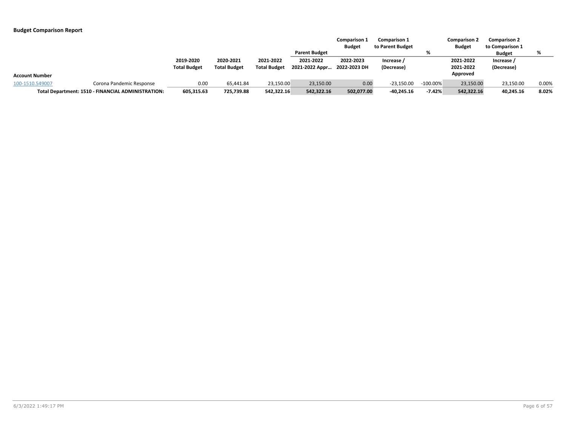|                       |                                                    |                     |                     |                     |                      | <b>Comparison 1</b><br><b>Budget</b> | <b>Comparison 1</b><br>to Parent Budget |             | <b>Comparison 2</b><br><b>Budget</b> | <b>Comparison 2</b><br>to Comparison 1 |       |
|-----------------------|----------------------------------------------------|---------------------|---------------------|---------------------|----------------------|--------------------------------------|-----------------------------------------|-------------|--------------------------------------|----------------------------------------|-------|
|                       |                                                    |                     |                     |                     | <b>Parent Budget</b> |                                      |                                         | %           |                                      | <b>Budget</b>                          |       |
|                       |                                                    | 2019-2020           | 2020-2021           | 2021-2022           | 2021-2022            | 2022-2023                            | Increase /                              |             | 2021-2022                            | Increase /                             |       |
|                       |                                                    | <b>Total Budget</b> | <b>Total Budget</b> | <b>Total Budget</b> | 2021-2022 Appr       | 2022-2023 DH                         | (Decrease)                              |             | 2021-2022                            | (Decrease)                             |       |
| <b>Account Number</b> |                                                    |                     |                     |                     |                      |                                      |                                         |             | Approved                             |                                        |       |
| 100-1510.549007       | Corona Pandemic Response                           | 0.00                | 65.441.84           | 23,150.00           | 23,150.00            | 0.00                                 | $-23.150.00$                            | $-100.00\%$ | 23,150.00                            | 23,150.00                              | 0.00% |
|                       | Total Department: 1510 - FINANCIAL ADMINISTRATION: | 605,315.63          | 725,739.88          | 542,322.16          | 542,322.16           | 502,077.00                           | $-40,245.16$                            | $-7.42%$    | 542,322.16                           | 40,245.16                              | 8.02% |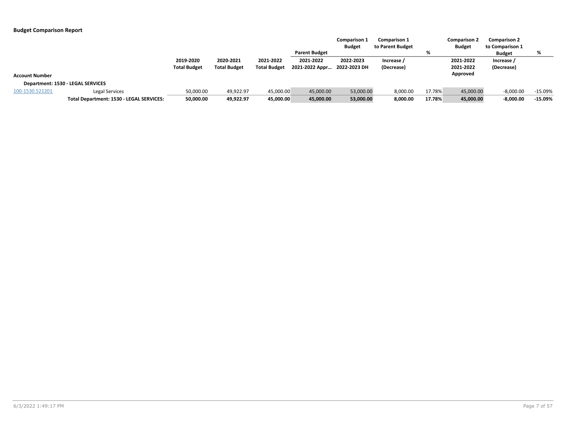|                       |                                          |                     |                     |                     |                      | <b>Comparison 1</b><br><b>Budget</b> | <b>Comparison 1</b><br>to Parent Budget |        | <b>Comparison 2</b><br><b>Budget</b> | <b>Comparison 2</b><br>to Comparison 1 |           |
|-----------------------|------------------------------------------|---------------------|---------------------|---------------------|----------------------|--------------------------------------|-----------------------------------------|--------|--------------------------------------|----------------------------------------|-----------|
|                       |                                          |                     |                     |                     | <b>Parent Budget</b> |                                      |                                         | %      |                                      | <b>Budget</b>                          | %         |
|                       |                                          | 2019-2020           | 2020-2021           | 2021-2022           | 2021-2022            | 2022-2023                            | Increase /                              |        | 2021-2022                            | Increase /                             |           |
|                       |                                          | <b>Total Budget</b> | <b>Total Budget</b> | <b>Total Budget</b> | 2021-2022 Appr       | 2022-2023 DH                         | (Decrease)                              |        | 2021-2022                            | (Decrease)                             |           |
| <b>Account Number</b> |                                          |                     |                     |                     |                      |                                      |                                         |        | Approved                             |                                        |           |
|                       | Department: 1530 - LEGAL SERVICES        |                     |                     |                     |                      |                                      |                                         |        |                                      |                                        |           |
| 100-1530.521201       | <b>Legal Services</b>                    | 50,000.00           | 49,922.97           | 45,000.00           | 45,000.00            | 53,000.00                            | 8,000.00                                | 17.78% | 45,000.00                            | $-8,000.00$                            | $-15.09%$ |
|                       | Total Department: 1530 - LEGAL SERVICES: | 50,000.00           | 49,922.97           | 45,000.00           | 45,000.00            | 53,000.00                            | 8,000.00                                | 17.78% | 45,000.00                            | $-8,000.00$                            | $-15.09%$ |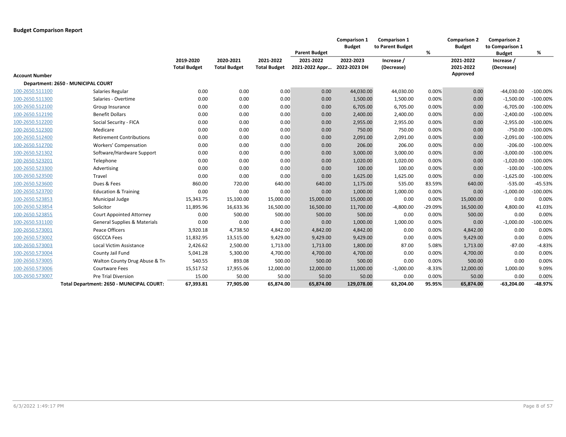|                       |                                           |                                  |                                  |                                  |                             | <b>Comparison 1</b><br><b>Budget</b> | <b>Comparison 1</b><br>to Parent Budget |           | <b>Comparison 2</b><br><b>Budget</b> | <b>Comparison 2</b><br>to Comparison 1 |             |
|-----------------------|-------------------------------------------|----------------------------------|----------------------------------|----------------------------------|-----------------------------|--------------------------------------|-----------------------------------------|-----------|--------------------------------------|----------------------------------------|-------------|
|                       |                                           |                                  |                                  |                                  | <b>Parent Budget</b>        |                                      |                                         | %         |                                      | <b>Budget</b>                          | %           |
|                       |                                           | 2019-2020<br><b>Total Budget</b> | 2020-2021<br><b>Total Budget</b> | 2021-2022<br><b>Total Budget</b> | 2021-2022<br>2021-2022 Appr | 2022-2023<br>2022-2023 DH            | Increase /<br>(Decrease)                |           | 2021-2022<br>2021-2022               | Increase /<br>(Decrease)               |             |
| <b>Account Number</b> |                                           |                                  |                                  |                                  |                             |                                      |                                         |           | Approved                             |                                        |             |
|                       | Department: 2650 - MUNICIPAL COURT        |                                  |                                  |                                  |                             |                                      |                                         |           |                                      |                                        |             |
| 100-2650.511100       | Salaries Regular                          | 0.00                             | 0.00                             | 0.00                             | 0.00                        | 44,030.00                            | 44,030.00                               | 0.00%     | 0.00                                 | $-44,030.00$                           | $-100.00\%$ |
| 100-2650.511300       | Salaries - Overtime                       | 0.00                             | 0.00                             | 0.00                             | 0.00                        | 1,500.00                             | 1,500.00                                | 0.00%     | 0.00                                 | $-1,500.00$                            | $-100.00\%$ |
| 100-2650.512100       | Group Insurance                           | 0.00                             | 0.00                             | 0.00                             | 0.00                        | 6,705.00                             | 6,705.00                                | 0.00%     | 0.00                                 | $-6,705.00$                            | $-100.00\%$ |
| 100-2650.512190       | <b>Benefit Dollars</b>                    | 0.00                             | 0.00                             | 0.00                             | 0.00                        | 2,400.00                             | 2,400.00                                | 0.00%     | 0.00                                 | $-2,400.00$                            | $-100.00\%$ |
| 100-2650.512200       | Social Security - FICA                    | 0.00                             | 0.00                             | 0.00                             | 0.00                        | 2,955.00                             | 2,955.00                                | 0.00%     | 0.00                                 | $-2,955.00$                            | $-100.00\%$ |
| 100-2650.512300       | Medicare                                  | 0.00                             | 0.00                             | 0.00                             | 0.00                        | 750.00                               | 750.00                                  | 0.00%     | 0.00                                 | $-750.00$                              | $-100.00\%$ |
| 100-2650.512400       | <b>Retirement Contributions</b>           | 0.00                             | 0.00                             | 0.00                             | 0.00                        | 2,091.00                             | 2,091.00                                | 0.00%     | 0.00                                 | $-2,091.00$                            | $-100.00\%$ |
| 100-2650.512700       | <b>Workers' Compensation</b>              | 0.00                             | 0.00                             | 0.00                             | 0.00                        | 206.00                               | 206.00                                  | 0.00%     | 0.00                                 | $-206.00$                              | $-100.00\%$ |
| 100-2650.521302       | Software/Hardware Support                 | 0.00                             | 0.00                             | 0.00                             | 0.00                        | 3,000.00                             | 3,000.00                                | 0.00%     | 0.00                                 | $-3,000.00$                            | $-100.00\%$ |
| 100-2650.523201       | Telephone                                 | 0.00                             | 0.00                             | 0.00                             | 0.00                        | 1,020.00                             | 1,020.00                                | 0.00%     | 0.00                                 | $-1,020.00$                            | $-100.00\%$ |
| 100-2650.523300       | Advertising                               | 0.00                             | 0.00                             | 0.00                             | 0.00                        | 100.00                               | 100.00                                  | 0.00%     | 0.00                                 | $-100.00$                              | $-100.00\%$ |
| 100-2650.523500       | Travel                                    | 0.00                             | 0.00                             | 0.00                             | 0.00                        | 1,625.00                             | 1,625.00                                | 0.00%     | 0.00                                 | $-1,625.00$                            | $-100.00\%$ |
| 100-2650.523600       | Dues & Fees                               | 860.00                           | 720.00                           | 640.00                           | 640.00                      | 1,175.00                             | 535.00                                  | 83.59%    | 640.00                               | $-535.00$                              | $-45.53%$   |
| 100-2650.523700       | <b>Education &amp; Training</b>           | 0.00                             | 0.00                             | 0.00                             | 0.00                        | 1,000.00                             | 1,000.00                                | 0.00%     | 0.00                                 | $-1,000.00$                            | $-100.00\%$ |
| 100-2650.523853       | Municipal Judge                           | 15,343.75                        | 15,100.00                        | 15,000.00                        | 15,000.00                   | 15,000.00                            | 0.00                                    | 0.00%     | 15,000.00                            | 0.00                                   | 0.00%       |
| 100-2650.523854       | Solicitor                                 | 11,895.96                        | 16,633.36                        | 16,500.00                        | 16,500.00                   | 11,700.00                            | $-4,800.00$                             | $-29.09%$ | 16,500.00                            | 4,800.00                               | 41.03%      |
| 100-2650.523855       | <b>Court Appointed Attorney</b>           | 0.00                             | 500.00                           | 500.00                           | 500.00                      | 500.00                               | 0.00                                    | 0.00%     | 500.00                               | 0.00                                   | 0.00%       |
| 100-2650.531100       | <b>General Supplies &amp; Materials</b>   | 0.00                             | 0.00                             | 0.00                             | 0.00                        | 1,000.00                             | 1,000.00                                | 0.00%     | 0.00                                 | $-1,000.00$                            | $-100.00\%$ |
| 100-2650.573001       | Peace Officers                            | 3,920.18                         | 4,738.50                         | 4,842.00                         | 4,842.00                    | 4,842.00                             | 0.00                                    | 0.00%     | 4,842.00                             | 0.00                                   | 0.00%       |
| 100-2650.573002       | <b>GSCCCA Fees</b>                        | 11,832.95                        | 13,515.00                        | 9,429.00                         | 9,429.00                    | 9,429.00                             | 0.00                                    | 0.00%     | 9,429.00                             | 0.00                                   | 0.00%       |
| 100-2650.573003       | Local Victim Assistance                   | 2,426.62                         | 2,500.00                         | 1,713.00                         | 1,713.00                    | 1,800.00                             | 87.00                                   | 5.08%     | 1,713.00                             | $-87.00$                               | $-4.83%$    |
| 100-2650.573004       | County Jail Fund                          | 5,041.28                         | 5,300.00                         | 4,700.00                         | 4,700.00                    | 4,700.00                             | 0.00                                    | 0.00%     | 4,700.00                             | 0.00                                   | 0.00%       |
| 100-2650.573005       | Walton County Drug Abuse & Tro            | 540.55                           | 893.08                           | 500.00                           | 500.00                      | 500.00                               | 0.00                                    | 0.00%     | 500.00                               | 0.00                                   | 0.00%       |
| 100-2650.573006       | <b>Courtware Fees</b>                     | 15,517.52                        | 17,955.06                        | 12,000.00                        | 12,000.00                   | 11,000.00                            | $-1,000.00$                             | $-8.33%$  | 12,000.00                            | 1,000.00                               | 9.09%       |
| 100-2650.573007       | <b>Pre Trial Diversion</b>                | 15.00                            | 50.00                            | 50.00                            | 50.00                       | 50.00                                | 0.00                                    | 0.00%     | 50.00                                | 0.00                                   | 0.00%       |
|                       | Total Department: 2650 - MUNICIPAL COURT: | 67,393.81                        | 77.905.00                        | 65.874.00                        | 65.874.00                   | 129.078.00                           | 63,204.00                               | 95.95%    | 65,874.00                            | $-63,204.00$                           | -48.97%     |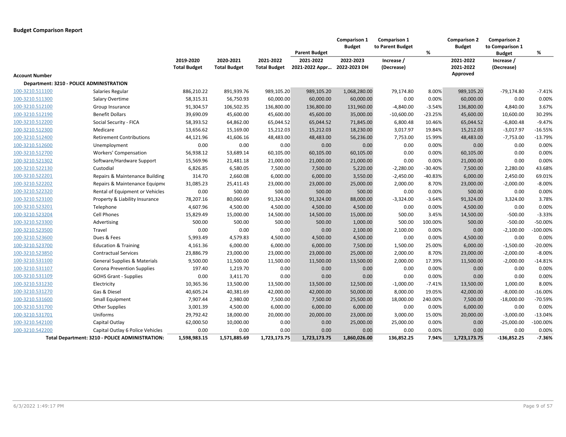|                       |                                                 |                                  |                                  |                                  | <b>Parent Budget</b>        | Comparison 1<br><b>Budget</b> | Comparison 1<br>to Parent Budget | %         | <b>Comparison 2</b><br><b>Budget</b> | <b>Comparison 2</b><br>to Comparison 1<br><b>Budget</b> | %           |
|-----------------------|-------------------------------------------------|----------------------------------|----------------------------------|----------------------------------|-----------------------------|-------------------------------|----------------------------------|-----------|--------------------------------------|---------------------------------------------------------|-------------|
|                       |                                                 | 2019-2020<br><b>Total Budget</b> | 2020-2021<br><b>Total Budget</b> | 2021-2022<br><b>Total Budget</b> | 2021-2022<br>2021-2022 Appr | 2022-2023<br>2022-2023 DH     | Increase /<br>(Decrease)         |           | 2021-2022<br>2021-2022               | Increase /<br>(Decrease)                                |             |
| <b>Account Number</b> |                                                 |                                  |                                  |                                  |                             |                               |                                  |           | Approved                             |                                                         |             |
|                       | Department: 3210 - POLICE ADMINISTRATION        |                                  |                                  |                                  |                             |                               |                                  |           |                                      |                                                         |             |
| 100-3210.511100       | Salaries Regular                                | 886,210.22                       | 891,939.76                       | 989,105.20                       | 989,105.20                  | 1,068,280.00                  | 79,174.80                        | 8.00%     | 989,105.20                           | $-79,174.80$                                            | $-7.41%$    |
| 100-3210.511300       | Salary Overtime                                 | 58,315.31                        | 56,750.93                        | 60,000.00                        | 60,000.00                   | 60,000.00                     | 0.00                             | 0.00%     | 60,000.00                            | 0.00                                                    | 0.00%       |
| 100-3210.512100       | Group Insurance                                 | 91,304.57                        | 106,502.35                       | 136,800.00                       | 136,800.00                  | 131,960.00                    | $-4,840.00$                      | $-3.54%$  | 136,800.00                           | 4,840.00                                                | 3.67%       |
| 100-3210.512190       | <b>Benefit Dollars</b>                          | 39,690.09                        | 45,600.00                        | 45,600.00                        | 45,600.00                   | 35,000.00                     | $-10,600.00$                     | $-23.25%$ | 45,600.00                            | 10,600.00                                               | 30.29%      |
| 100-3210.512200       | Social Security - FICA                          | 58,393.52                        | 64,862.00                        | 65,044.52                        | 65,044.52                   | 71,845.00                     | 6,800.48                         | 10.46%    | 65,044.52                            | $-6,800.48$                                             | $-9.47%$    |
| 100-3210.512300       | Medicare                                        | 13,656.62                        | 15,169.00                        | 15,212.03                        | 15,212.03                   | 18,230.00                     | 3,017.97                         | 19.84%    | 15,212.03                            | $-3,017.97$                                             | $-16.55%$   |
| 100-3210.512400       | <b>Retirement Contributions</b>                 | 44,121.96                        | 41,606.16                        | 48,483.00                        | 48,483.00                   | 56,236.00                     | 7,753.00                         | 15.99%    | 48,483.00                            | $-7,753.00$                                             | $-13.79%$   |
| 100-3210.512600       | Unemployment                                    | 0.00                             | 0.00                             | 0.00                             | 0.00                        | 0.00                          | 0.00                             | 0.00%     | 0.00                                 | 0.00                                                    | 0.00%       |
| 100-3210.512700       | <b>Workers' Compensation</b>                    | 56,938.12                        | 53,689.14                        | 60,105.00                        | 60,105.00                   | 60,105.00                     | 0.00                             | 0.00%     | 60,105.00                            | 0.00                                                    | 0.00%       |
| 100-3210.521302       | Software/Hardware Support                       | 15,569.96                        | 21,481.18                        | 21,000.00                        | 21,000.00                   | 21,000.00                     | 0.00                             | 0.00%     | 21,000.00                            | 0.00                                                    | 0.00%       |
| 100-3210.522130       | Custodial                                       | 6,826.85                         | 6,580.05                         | 7,500.00                         | 7,500.00                    | 5,220.00                      | $-2,280.00$                      | $-30.40%$ | 7,500.00                             | 2,280.00                                                | 43.68%      |
| 100-3210.522201       | Repairs & Maintenance Building                  | 314.70                           | 2,660.08                         | 6,000.00                         | 6,000.00                    | 3,550.00                      | $-2,450.00$                      | $-40.83%$ | 6,000.00                             | 2,450.00                                                | 69.01%      |
| 100-3210.522202       | Repairs & Maintenance Equipme                   | 31,085.23                        | 25,411.43                        | 23,000.00                        | 23,000.00                   | 25,000.00                     | 2,000.00                         | 8.70%     | 23,000.00                            | $-2,000.00$                                             | $-8.00%$    |
| 100-3210.522320       | Rental of Equipment or Vehicles                 | 0.00                             | 500.00                           | 500.00                           | 500.00                      | 500.00                        | 0.00                             | 0.00%     | 500.00                               | 0.00                                                    | 0.00%       |
| 100-3210.523100       | Property & Liability Insurance                  | 78,207.16                        | 80,060.69                        | 91,324.00                        | 91,324.00                   | 88,000.00                     | $-3,324.00$                      | $-3.64%$  | 91,324.00                            | 3,324.00                                                | 3.78%       |
| 100-3210.523201       | Telephone                                       | 4,607.96                         | 4,500.00                         | 4,500.00                         | 4,500.00                    | 4,500.00                      | 0.00                             | 0.00%     | 4,500.00                             | 0.00                                                    | 0.00%       |
| 100-3210.523204       | Cell Phones                                     | 15,829.49                        | 15,000.00                        | 14,500.00                        | 14,500.00                   | 15,000.00                     | 500.00                           | 3.45%     | 14,500.00                            | $-500.00$                                               | $-3.33%$    |
| 100-3210.523300       | Advertising                                     | 500.00                           | 500.00                           | 500.00                           | 500.00                      | 1,000.00                      | 500.00                           | 100.00%   | 500.00                               | $-500.00$                                               | $-50.00%$   |
| 100-3210.523500       | Travel                                          | 0.00                             | 0.00                             | 0.00                             | 0.00                        | 2,100.00                      | 2,100.00                         | 0.00%     | 0.00                                 | $-2,100.00$                                             | $-100.00\%$ |
| 100-3210.523600       | Dues & Fees                                     | 5,993.49                         | 4,579.83                         | 4,500.00                         | 4,500.00                    | 4,500.00                      | 0.00                             | 0.00%     | 4,500.00                             | 0.00                                                    | 0.00%       |
| 100-3210.523700       | <b>Education &amp; Training</b>                 | 4,161.36                         | 6,000.00                         | 6,000.00                         | 6,000.00                    | 7,500.00                      | 1,500.00                         | 25.00%    | 6,000.00                             | $-1,500.00$                                             | $-20.00%$   |
| 100-3210.523850       | <b>Contractual Services</b>                     | 23,886.79                        | 23,000.00                        | 23,000.00                        | 23,000.00                   | 25,000.00                     | 2,000.00                         | 8.70%     | 23,000.00                            | $-2,000.00$                                             | $-8.00%$    |
| 100-3210.531100       | <b>General Supplies &amp; Materials</b>         | 9,500.00                         | 11,500.00                        | 11,500.00                        | 11,500.00                   | 13,500.00                     | 2,000.00                         | 17.39%    | 11,500.00                            | $-2,000.00$                                             | $-14.81%$   |
| 100-3210.531107       | Corona Prevention Supplies                      | 197.40                           | 1,219.70                         | 0.00                             | 0.00                        | 0.00                          | 0.00                             | 0.00%     | 0.00                                 | 0.00                                                    | 0.00%       |
| 100-3210.531109       | <b>GOHS Grant - Supplies</b>                    | 0.00                             | 3,411.70                         | 0.00                             | 0.00                        | 0.00                          | 0.00                             | 0.00%     | 0.00                                 | 0.00                                                    | 0.00%       |
| 100-3210.531230       | Electricity                                     | 10,365.36                        | 13,500.00                        | 13,500.00                        | 13,500.00                   | 12,500.00                     | $-1,000.00$                      | $-7.41%$  | 13,500.00                            | 1,000.00                                                | 8.00%       |
| 100-3210.531270       | Gas & Diesel                                    | 40,605.24                        | 40,381.69                        | 42,000.00                        | 42,000.00                   | 50,000.00                     | 8,000.00                         | 19.05%    | 42,000.00                            | $-8,000.00$                                             | $-16.00%$   |
| 100-3210.531600       | <b>Small Equipment</b>                          | 7,907.44                         | 2,980.00                         | 7,500.00                         | 7,500.00                    | 25,500.00                     | 18,000.00                        | 240.00%   | 7,500.00                             | $-18,000.00$                                            | -70.59%     |
| 100-3210.531700       | <b>Other Supplies</b>                           | 3,001.39                         | 4,500.00                         | 6,000.00                         | 6,000.00                    | 6,000.00                      | 0.00                             | 0.00%     | 6,000.00                             | 0.00                                                    | 0.00%       |
| 100-3210.531701       | Uniforms                                        | 29,792.42                        | 18,000.00                        | 20,000.00                        | 20,000.00                   | 23,000.00                     | 3,000.00                         | 15.00%    | 20,000.00                            | $-3,000.00$                                             | $-13.04%$   |
| 100-3210.542100       | Capital Outlay                                  | 62,000.50                        | 10,000.00                        | 0.00                             | 0.00                        | 25,000.00                     | 25,000.00                        | 0.00%     | 0.00                                 | $-25,000.00$                                            | -100.00%    |
| 100-3210.542200       | Capital Outlay 6 Police Vehicles                | 0.00                             | 0.00                             | 0.00                             | 0.00                        | 0.00                          | 0.00                             | 0.00%     | 0.00                                 | 0.00                                                    | 0.00%       |
|                       | Total Department: 3210 - POLICE ADMINISTRATION: | 1,598,983.15                     | 1,571,885.69                     | 1,723,173.75                     | 1,723,173.75                | 1,860,026.00                  | 136,852.25                       | 7.94%     | 1,723,173.75                         | $-136,852.25$                                           | $-7.36%$    |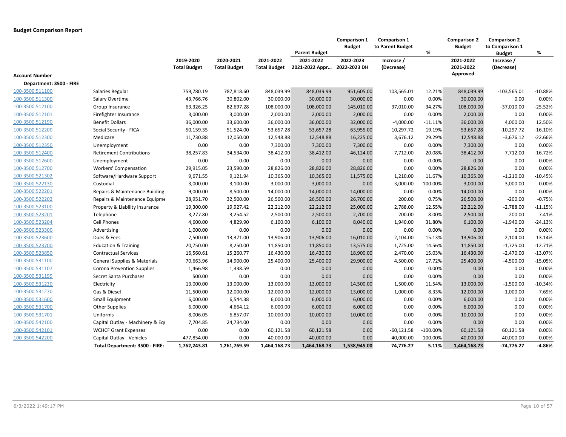|                         |                                         |                                  |                                  |                                  | <b>Parent Budget</b>        | Comparison 1<br><b>Budget</b> | Comparison 1<br>to Parent Budget | $\%$        | <b>Comparison 2</b><br><b>Budget</b> | <b>Comparison 2</b><br>to Comparison 1<br><b>Budget</b> | %         |
|-------------------------|-----------------------------------------|----------------------------------|----------------------------------|----------------------------------|-----------------------------|-------------------------------|----------------------------------|-------------|--------------------------------------|---------------------------------------------------------|-----------|
|                         |                                         | 2019-2020<br><b>Total Budget</b> | 2020-2021<br><b>Total Budget</b> | 2021-2022<br><b>Total Budget</b> | 2021-2022<br>2021-2022 Appr | 2022-2023<br>2022-2023 DH     | Increase /<br>(Decrease)         |             | 2021-2022<br>2021-2022               | Increase /<br>(Decrease)                                |           |
| <b>Account Number</b>   |                                         |                                  |                                  |                                  |                             |                               |                                  |             | Approved                             |                                                         |           |
| Department: 3500 - FIRE |                                         |                                  |                                  |                                  |                             |                               |                                  |             |                                      |                                                         |           |
| 100-3500.511100         | Salaries Regular                        | 759,780.19                       | 787,818.60                       | 848,039.99                       | 848,039.99                  | 951,605.00                    | 103,565.01                       | 12.21%      | 848,039.99                           | $-103,565.01$                                           | $-10.88%$ |
| 100-3500.511300         | Salary Overtime                         | 43,766.76                        | 30,802.00                        | 30,000.00                        | 30,000.00                   | 30,000.00                     | 0.00                             | 0.00%       | 30,000.00                            | 0.00                                                    | 0.00%     |
| 100-3500.512100         | Group Insurance                         | 63,326.25                        | 82,697.28                        | 108,000.00                       | 108,000.00                  | 145,010.00                    | 37,010.00                        | 34.27%      | 108,000.00                           | $-37,010.00$                                            | $-25.52%$ |
| 100-3500.512101         | Firefighter Insurance                   | 3,000.00                         | 3,000.00                         | 2,000.00                         | 2,000.00                    | 2,000.00                      | 0.00                             | 0.00%       | 2,000.00                             | 0.00                                                    | 0.00%     |
| 100-3500.512190         | <b>Benefit Dollars</b>                  | 36,000.00                        | 33,600.00                        | 36,000.00                        | 36,000.00                   | 32,000.00                     | $-4,000.00$                      | $-11.11%$   | 36,000.00                            | 4,000.00                                                | 12.50%    |
| 100-3500.512200         | Social Security - FICA                  | 50,159.35                        | 51,524.00                        | 53,657.28                        | 53,657.28                   | 63,955.00                     | 10,297.72                        | 19.19%      | 53,657.28                            | $-10,297.72$                                            | $-16.10%$ |
| 100-3500.512300         | Medicare                                | 11,730.88                        | 12,050.00                        | 12,548.88                        | 12,548.88                   | 16,225.00                     | 3,676.12                         | 29.29%      | 12,548.88                            | $-3,676.12$                                             | $-22.66%$ |
| 100-3500.512350         | Unemployment                            | 0.00                             | 0.00                             | 7,300.00                         | 7,300.00                    | 7,300.00                      | 0.00                             | 0.00%       | 7,300.00                             | 0.00                                                    | 0.00%     |
| 100-3500.512400         | <b>Retirement Contributions</b>         | 38,257.83                        | 34,534.00                        | 38,412.00                        | 38,412.00                   | 46,124.00                     | 7,712.00                         | 20.08%      | 38,412.00                            | $-7,712.00$                                             | $-16.72%$ |
| 100-3500.512600         | Unemployment                            | 0.00                             | 0.00                             | 0.00                             | 0.00                        | 0.00                          | 0.00                             | 0.00%       | 0.00                                 | 0.00                                                    | 0.00%     |
| 100-3500.512700         | <b>Workers' Compensation</b>            | 29,915.05                        | 23,590.00                        | 28,826.00                        | 28,826.00                   | 28,826.00                     | 0.00                             | 0.00%       | 28,826.00                            | 0.00                                                    | 0.00%     |
| 100-3500.521302         | Software/Hardware Support               | 9,671.55                         | 9,121.94                         | 10,365.00                        | 10,365.00                   | 11,575.00                     | 1,210.00                         | 11.67%      | 10,365.00                            | $-1,210.00$                                             | $-10.45%$ |
| 100-3500.522130         | Custodial                               | 3,000.00                         | 3,100.00                         | 3,000.00                         | 3,000.00                    | 0.00                          | $-3,000.00$                      | $-100.00%$  | 3,000.00                             | 3,000.00                                                | 0.00%     |
| 100-3500.522201         | Repairs & Maintenance Building          | 9,000.00                         | 8,500.00                         | 14,000.00                        | 14,000.00                   | 14,000.00                     | 0.00                             | 0.00%       | 14,000.00                            | 0.00                                                    | 0.00%     |
| 100-3500.522202         | Repairs & Maintenance Equipme           | 28,951.70                        | 32,500.00                        | 26,500.00                        | 26,500.00                   | 26,700.00                     | 200.00                           | 0.75%       | 26,500.00                            | $-200.00$                                               | $-0.75%$  |
| 100-3500.523100         | Property & Liability Insurance          | 19,300.00                        | 19,927.42                        | 22,212.00                        | 22,212.00                   | 25,000.00                     | 2,788.00                         | 12.55%      | 22,212.00                            | $-2,788.00$                                             | $-11.15%$ |
| 100-3500.523201         | Telephone                               | 3,277.80                         | 3,254.52                         | 2,500.00                         | 2,500.00                    | 2,700.00                      | 200.00                           | 8.00%       | 2,500.00                             | $-200.00$                                               | $-7.41%$  |
| 100-3500.523204         | <b>Cell Phones</b>                      | 4,600.00                         | 4,829.90                         | 6,100.00                         | 6,100.00                    | 8,040.00                      | 1,940.00                         | 31.80%      | 6,100.00                             | $-1,940.00$                                             | $-24.13%$ |
| 100-3500.523300         | Advertising                             | 1,000.00                         | 0.00                             | 0.00                             | 0.00                        | 0.00                          | 0.00                             | 0.00%       | 0.00                                 | 0.00                                                    | 0.00%     |
| 100-3500.523600         | Dues & Fees                             | 7,500.00                         | 13,371.00                        | 13,906.00                        | 13,906.00                   | 16,010.00                     | 2,104.00                         | 15.13%      | 13,906.00                            | $-2,104.00$                                             | $-13.14%$ |
| 100-3500.523700         | <b>Education &amp; Training</b>         | 20,750.00                        | 8,250.00                         | 11,850.00                        | 11,850.00                   | 13,575.00                     | 1,725.00                         | 14.56%      | 11,850.00                            | $-1,725.00$                                             | $-12.71%$ |
| 100-3500.523850         | <b>Contractual Services</b>             | 16,560.61                        | 15,260.77                        | 16,430.00                        | 16,430.00                   | 18,900.00                     | 2,470.00                         | 15.03%      | 16,430.00                            | $-2,470.00$                                             | $-13.07%$ |
| 100-3500.531100         | <b>General Supplies &amp; Materials</b> | 70,663.96                        | 14,900.00                        | 25,400.00                        | 25,400.00                   | 29,900.00                     | 4,500.00                         | 17.72%      | 25,400.00                            | $-4,500.00$                                             | $-15.05%$ |
| 100-3500.531107         | Corona Prevention Supplies              | 1,466.98                         | 1,338.59                         | 0.00                             | 0.00                        | 0.00                          | 0.00                             | 0.00%       | 0.00                                 | 0.00                                                    | 0.00%     |
| 100-3500.531199         | Secret Santa Purchases                  | 500.00                           | 0.00                             | 0.00                             | 0.00                        | 0.00                          | 0.00                             | 0.00%       | 0.00                                 | 0.00                                                    | 0.00%     |
| 100-3500.531230         | Electricity                             | 13,000.00                        | 13,000.00                        | 13,000.00                        | 13,000.00                   | 14,500.00                     | 1,500.00                         | 11.54%      | 13,000.00                            | $-1,500.00$                                             | $-10.34%$ |
| 100-3500.531270         | Gas & Diesel                            | 11,500.00                        | 12,000.00                        | 12,000.00                        | 12,000.00                   | 13,000.00                     | 1,000.00                         | 8.33%       | 12,000.00                            | $-1,000.00$                                             | $-7.69%$  |
| 100-3500.531600         | Small Equipment                         | 6,000.00                         | 6,544.38                         | 6,000.00                         | 6,000.00                    | 6,000.00                      | 0.00                             | 0.00%       | 6,000.00                             | 0.00                                                    | 0.00%     |
| 100-3500.531700         | Other Supplies                          | 6,000.00                         | 4,664.12                         | 6,000.00                         | 6,000.00                    | 6,000.00                      | 0.00                             | 0.00%       | 6,000.00                             | 0.00                                                    | 0.00%     |
| 100-3500.531701         | Uniforms                                | 8,006.05                         | 6,857.07                         | 10,000.00                        | 10,000.00                   | 10,000.00                     | 0.00                             | 0.00%       | 10,000.00                            | 0.00                                                    | 0.00%     |
| 100-3500.542100         | Capital Outlay - Machinery & Equ        | 7,704.85                         | 24,734.00                        | 0.00                             | 0.00                        | 0.00                          | 0.00                             | 0.00%       | 0.00                                 | 0.00                                                    | 0.00%     |
| 100-3500.542101         | <b>WCHCF Grant Expenses</b>             | 0.00                             | 0.00                             | 60,121.58                        | 60,121.58                   | 0.00                          | -60,121.58                       | $-100.00\%$ | 60,121.58                            | 60,121.58                                               | 0.00%     |
| 100-3500.542200         | Capital Outlay - Vehicles               | 477,854.00                       | 0.00                             | 40,000.00                        | 40,000.00                   | 0.00                          | $-40,000.00$                     | $-100.00%$  | 40,000.00                            | 40,000.00                                               | 0.00%     |
|                         | Total Department: 3500 - FIRE:          | 1,762,243.81                     | 1,261,769.59                     | 1,464,168.73                     | 1,464,168.73                | 1,538,945.00                  | 74,776.27                        | 5.11%       | 1,464,168.73                         | -74,776.27                                              | $-4.86%$  |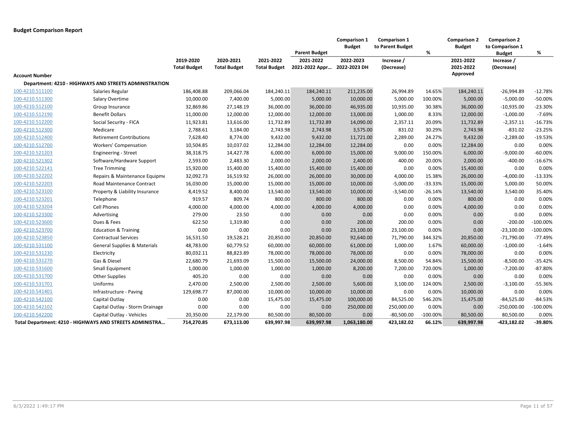|                 |                                                          |                                  |                                  |                                  | <b>Parent Budget</b>        | Comparison 1<br><b>Budget</b> | <b>Comparison 1</b><br>to Parent Budget | %           | <b>Comparison 2</b><br><b>Budget</b> | <b>Comparison 2</b><br>to Comparison 1<br><b>Budget</b> | %          |
|-----------------|----------------------------------------------------------|----------------------------------|----------------------------------|----------------------------------|-----------------------------|-------------------------------|-----------------------------------------|-------------|--------------------------------------|---------------------------------------------------------|------------|
|                 |                                                          | 2019-2020<br><b>Total Budget</b> | 2020-2021<br><b>Total Budget</b> | 2021-2022<br><b>Total Budget</b> | 2021-2022<br>2021-2022 Appr | 2022-2023<br>2022-2023 DH     | Increase /<br>(Decrease)                |             | 2021-2022<br>2021-2022               | Increase /<br>(Decrease)                                |            |
| Account Number  |                                                          |                                  |                                  |                                  |                             |                               |                                         |             | Approved                             |                                                         |            |
|                 | Department: 4210 - HIGHWAYS AND STREETS ADMINISTRATION   |                                  |                                  |                                  |                             |                               |                                         |             |                                      |                                                         |            |
| 100-4210.511100 | Salaries Regular                                         | 186,408.88                       | 209,066.04                       | 184,240.11                       | 184,240.11                  | 211,235.00                    | 26,994.89                               | 14.65%      | 184,240.11                           | $-26,994.89$                                            | $-12.78%$  |
| 100-4210.511300 | Salary Overtime                                          | 10,000.00                        | 7,400.00                         | 5,000.00                         | 5,000.00                    | 10,000.00                     | 5,000.00                                | 100.00%     | 5,000.00                             | $-5,000.00$                                             | $-50.00%$  |
| 100-4210.512100 | Group Insurance                                          | 32,869.86                        | 27,148.19                        | 36,000.00                        | 36,000.00                   | 46,935.00                     | 10,935.00                               | 30.38%      | 36,000.00                            | $-10,935.00$                                            | $-23.30%$  |
| 100-4210.512190 | <b>Benefit Dollars</b>                                   | 11,000.00                        | 12,000.00                        | 12,000.00                        | 12,000.00                   | 13,000.00                     | 1,000.00                                | 8.33%       | 12,000.00                            | $-1,000.00$                                             | $-7.69%$   |
| 100-4210.512200 | Social Security - FICA                                   | 11,923.81                        | 13,616.00                        | 11,732.89                        | 11,732.89                   | 14,090.00                     | 2,357.11                                | 20.09%      | 11,732.89                            | $-2,357.11$                                             | $-16.73%$  |
| 100-4210.512300 | Medicare                                                 | 2,788.61                         | 3,184.00                         | 2,743.98                         | 2,743.98                    | 3,575.00                      | 831.02                                  | 30.29%      | 2,743.98                             | $-831.02$                                               | $-23.25%$  |
| 100-4210.512400 | <b>Retirement Contributions</b>                          | 7,628.40                         | 8,774.00                         | 9,432.00                         | 9,432.00                    | 11,721.00                     | 2,289.00                                | 24.27%      | 9,432.00                             | $-2,289.00$                                             | $-19.53%$  |
| 100-4210.512700 | Workers' Compensation                                    | 10,504.85                        | 10,037.02                        | 12,284.00                        | 12,284.00                   | 12,284.00                     | 0.00                                    | 0.00%       | 12,284.00                            | 0.00                                                    | 0.00%      |
| 100-4210.521203 | Engineering - Street                                     | 38,318.75                        | 14,427.78                        | 6,000.00                         | 6,000.00                    | 15,000.00                     | 9,000.00                                | 150.00%     | 6,000.00                             | $-9,000.00$                                             | $-60.00%$  |
| 100-4210.521302 | Software/Hardware Support                                | 2,593.00                         | 2,483.30                         | 2,000.00                         | 2,000.00                    | 2,400.00                      | 400.00                                  | 20.00%      | 2,000.00                             | $-400.00$                                               | $-16.67%$  |
| 100-4210.522141 | <b>Tree Trimming</b>                                     | 15,920.00                        | 15,400.00                        | 15,400.00                        | 15,400.00                   | 15,400.00                     | 0.00                                    | 0.00%       | 15,400.00                            | 0.00                                                    | 0.00%      |
| 100-4210.522202 | Repairs & Maintenance Equipme                            | 32,092.73                        | 16,519.92                        | 26,000.00                        | 26,000.00                   | 30,000.00                     | 4,000.00                                | 15.38%      | 26,000.00                            | $-4,000.00$                                             | $-13.33%$  |
| 100-4210.522203 | Road Maintenance Contract                                | 16,030.00                        | 15,000.00                        | 15,000.00                        | 15,000.00                   | 10,000.00                     | $-5,000.00$                             | $-33.33%$   | 15,000.00                            | 5,000.00                                                | 50.00%     |
| 100-4210.523100 | Property & Liability Insurance                           | 8,419.52                         | 8,400.00                         | 13,540.00                        | 13,540.00                   | 10,000.00                     | $-3,540.00$                             | $-26.14%$   | 13,540.00                            | 3,540.00                                                | 35.40%     |
| 100-4210.523201 | Telephone                                                | 919.57                           | 809.74                           | 800.00                           | 800.00                      | 800.00                        | 0.00                                    | 0.00%       | 800.00                               | 0.00                                                    | 0.00%      |
| 100-4210.523204 | <b>Cell Phones</b>                                       | 4,000.00                         | 4,000.00                         | 4,000.00                         | 4,000.00                    | 4,000.00                      | 0.00                                    | 0.00%       | 4,000.00                             | 0.00                                                    | 0.00%      |
| 100-4210.523300 | Advertising                                              | 279.00                           | 23.50                            | 0.00                             | 0.00                        | 0.00                          | 0.00                                    | 0.00%       | 0.00                                 | 0.00                                                    | 0.00%      |
| 100-4210.523600 | Dues & Fees                                              | 622.50                           | 1,319.80                         | 0.00                             | 0.00                        | 200.00                        | 200.00                                  | 0.00%       | 0.00                                 | $-200.00$                                               | $-100.00%$ |
| 100-4210.523700 | <b>Education &amp; Training</b>                          | 0.00                             | 0.00                             | 0.00                             | 0.00                        | 23,100.00                     | 23,100.00                               | 0.00%       | 0.00                                 | $-23,100.00$                                            | $-100.00%$ |
| 100-4210.523850 | <b>Contractual Services</b>                              | 16,531.50                        | 19,528.21                        | 20,850.00                        | 20,850.00                   | 92,640.00                     | 71,790.00                               | 344.32%     | 20,850.00                            | $-71,790.00$                                            | -77.49%    |
| 100-4210.531100 | <b>General Supplies &amp; Materials</b>                  | 48,783.00                        | 60,779.52                        | 60,000.00                        | 60,000.00                   | 61,000.00                     | 1,000.00                                | 1.67%       | 60,000.00                            | $-1,000.00$                                             | $-1.64%$   |
| 100-4210.531230 | Electricity                                              | 80,032.11                        | 88,823.89                        | 78,000.00                        | 78,000.00                   | 78,000.00                     | 0.00                                    | 0.00%       | 78,000.00                            | 0.00                                                    | 0.00%      |
| 100-4210.531270 | Gas & Diesel                                             | 22,680.79                        | 21,693.09                        | 15,500.00                        | 15,500.00                   | 24,000.00                     | 8,500.00                                | 54.84%      | 15,500.00                            | $-8,500.00$                                             | $-35.42%$  |
| 100-4210.531600 | Small Equipment                                          | 1,000.00                         | 1,000.00                         | 1,000.00                         | 1,000.00                    | 8,200.00                      | 7,200.00                                | 720.00%     | 1,000.00                             | $-7,200.00$                                             | -87.80%    |
| 100-4210.531700 | Other Supplies                                           | 405.20                           | 0.00                             | 0.00                             | 0.00                        | 0.00                          | 0.00                                    | 0.00%       | 0.00                                 | 0.00                                                    | 0.00%      |
| 100-4210.531701 | Uniforms                                                 | 2,470.00                         | 2,500.00                         | 2,500.00                         | 2,500.00                    | 5,600.00                      | 3,100.00                                | 124.00%     | 2,500.00                             | $-3,100.00$                                             | -55.36%    |
| 100-4210.541401 | Infrastructure - Paving                                  | 129,698.77                       | 87,000.00                        | 10,000.00                        | 10,000.00                   | 10,000.00                     | 0.00                                    | 0.00%       | 10,000.00                            | 0.00                                                    | 0.00%      |
| 100-4210.542100 | Capital Outlay                                           | 0.00                             | 0.00                             | 15,475.00                        | 15,475.00                   | 100,000.00                    | 84,525.00                               | 546.20%     | 15,475.00                            | $-84,525.00$                                            | $-84.53%$  |
| 100-4210.542102 | Capital Outlay - Storm Drainage                          | 0.00                             | 0.00                             | 0.00                             | 0.00                        | 250,000.00                    | 250,000.00                              | 0.00%       | 0.00                                 | $-250,000.00$                                           | $-100.00%$ |
| 100-4210.542200 | Capital Outlay - Vehicles                                | 20,350.00                        | 22,179.00                        | 80,500.00                        | 80,500.00                   | 0.00                          | $-80,500.00$                            | $-100.00\%$ | 80,500.00                            | 80,500.00                                               | 0.00%      |
|                 | Total Department: 4210 - HIGHWAYS AND STREETS ADMINISTRA | 714,270.85                       | 673,113.00                       | 639,997.98                       | 639,997.98                  | 1,063,180.00                  | 423,182.02                              | 66.12%      | 639,997.98                           | -423,182.02                                             | $-39.80%$  |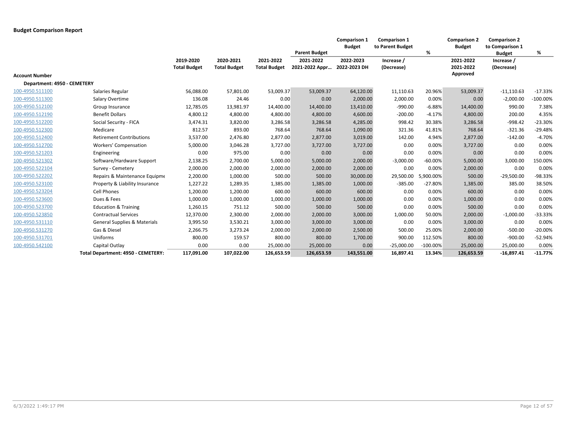|                             |                                         |                                  |                                  |                                  |                             | <b>Comparison 1</b><br><b>Budget</b> | <b>Comparison 1</b><br>to Parent Budget |             | <b>Comparison 2</b><br><b>Budget</b> | <b>Comparison 2</b><br>to Comparison 1 |             |
|-----------------------------|-----------------------------------------|----------------------------------|----------------------------------|----------------------------------|-----------------------------|--------------------------------------|-----------------------------------------|-------------|--------------------------------------|----------------------------------------|-------------|
|                             |                                         |                                  |                                  |                                  | <b>Parent Budget</b>        |                                      |                                         | %           |                                      | <b>Budget</b>                          | %           |
|                             |                                         | 2019-2020<br><b>Total Budget</b> | 2020-2021<br><b>Total Budget</b> | 2021-2022<br><b>Total Budget</b> | 2021-2022<br>2021-2022 Appr | 2022-2023<br>2022-2023 DH            | Increase /<br>(Decrease)                |             | 2021-2022<br>2021-2022               | Increase /<br>(Decrease)               |             |
| <b>Account Number</b>       |                                         |                                  |                                  |                                  |                             |                                      |                                         |             | Approved                             |                                        |             |
| Department: 4950 - CEMETERY |                                         |                                  |                                  |                                  |                             |                                      |                                         |             |                                      |                                        |             |
| 100-4950.511100             | Salaries Regular                        | 56,088.00                        | 57,801.00                        | 53,009.37                        | 53,009.37                   | 64,120.00                            | 11,110.63                               | 20.96%      | 53,009.37                            | $-11,110.63$                           | $-17.33%$   |
| 100-4950.511300             | Salary Overtime                         | 136.08                           | 24.46                            | 0.00                             | 0.00                        | 2,000.00                             | 2,000.00                                | 0.00%       | 0.00                                 | $-2,000.00$                            | $-100.00\%$ |
| 100-4950.512100             | Group Insurance                         | 12,785.05                        | 13,981.97                        | 14,400.00                        | 14,400.00                   | 13,410.00                            | $-990.00$                               | $-6.88%$    | 14,400.00                            | 990.00                                 | 7.38%       |
| 100-4950.512190             | <b>Benefit Dollars</b>                  | 4,800.12                         | 4,800.00                         | 4,800.00                         | 4,800.00                    | 4,600.00                             | $-200.00$                               | $-4.17%$    | 4,800.00                             | 200.00                                 | 4.35%       |
| 100-4950.512200             | Social Security - FICA                  | 3,474.31                         | 3,820.00                         | 3,286.58                         | 3,286.58                    | 4,285.00                             | 998.42                                  | 30.38%      | 3,286.58                             | $-998.42$                              | $-23.30%$   |
| 100-4950.512300             | Medicare                                | 812.57                           | 893.00                           | 768.64                           | 768.64                      | 1,090.00                             | 321.36                                  | 41.81%      | 768.64                               | $-321.36$                              | $-29.48%$   |
| 100-4950.512400             | <b>Retirement Contributions</b>         | 3,537.00                         | 2,476.80                         | 2,877.00                         | 2,877.00                    | 3,019.00                             | 142.00                                  | 4.94%       | 2,877.00                             | $-142.00$                              | $-4.70%$    |
| 100-4950.512700             | Workers' Compensation                   | 5,000.00                         | 3,046.28                         | 3,727.00                         | 3,727.00                    | 3,727.00                             | 0.00                                    | 0.00%       | 3,727.00                             | 0.00                                   | 0.00%       |
| 100-4950.521203             | Engineering                             | 0.00                             | 975.00                           | 0.00                             | 0.00                        | 0.00                                 | 0.00                                    | 0.00%       | 0.00                                 | 0.00                                   | 0.00%       |
| 100-4950.521302             | Software/Hardware Support               | 2,138.25                         | 2,700.00                         | 5,000.00                         | 5,000.00                    | 2,000.00                             | $-3,000.00$                             | $-60.00%$   | 5,000.00                             | 3,000.00                               | 150.00%     |
| 100-4950.522104             | Survey - Cemetery                       | 2,000.00                         | 2,000.00                         | 2,000.00                         | 2,000.00                    | 2,000.00                             | 0.00                                    | 0.00%       | 2,000.00                             | 0.00                                   | 0.00%       |
| 100-4950.522202             | Repairs & Maintenance Equipme           | 2,200.00                         | 1,000.00                         | 500.00                           | 500.00                      | 30,000.00                            | 29,500.00                               | 5,900.00%   | 500.00                               | $-29,500.00$                           | -98.33%     |
| 100-4950.523100             | Property & Liability Insurance          | 1,227.22                         | 1,289.35                         | 1,385.00                         | 1,385.00                    | 1,000.00                             | $-385.00$                               | $-27.80%$   | 1,385.00                             | 385.00                                 | 38.50%      |
| 100-4950.523204             | <b>Cell Phones</b>                      | 1,200.00                         | 1,200.00                         | 600.00                           | 600.00                      | 600.00                               | 0.00                                    | 0.00%       | 600.00                               | 0.00                                   | 0.00%       |
| 100-4950.523600             | Dues & Fees                             | 1,000.00                         | 1,000.00                         | 1,000.00                         | 1,000.00                    | 1,000.00                             | 0.00                                    | 0.00%       | 1,000.00                             | 0.00                                   | 0.00%       |
| 100-4950.523700             | <b>Education &amp; Training</b>         | 1,260.15                         | 751.12                           | 500.00                           | 500.00                      | 500.00                               | 0.00                                    | 0.00%       | 500.00                               | 0.00                                   | 0.00%       |
| 100-4950.523850             | <b>Contractual Services</b>             | 12,370.00                        | 2,300.00                         | 2,000.00                         | 2,000.00                    | 3,000.00                             | 1,000.00                                | 50.00%      | 2,000.00                             | $-1,000.00$                            | -33.33%     |
| 100-4950.531110             | <b>General Supplies &amp; Materials</b> | 3,995.50                         | 3,530.21                         | 3,000.00                         | 3,000.00                    | 3,000.00                             | 0.00                                    | 0.00%       | 3,000.00                             | 0.00                                   | 0.00%       |
| 100-4950.531270             | Gas & Diesel                            | 2,266.75                         | 3,273.24                         | 2,000.00                         | 2,000.00                    | 2,500.00                             | 500.00                                  | 25.00%      | 2,000.00                             | $-500.00$                              | $-20.00\%$  |
| 100-4950.531701             | Uniforms                                | 800.00                           | 159.57                           | 800.00                           | 800.00                      | 1,700.00                             | 900.00                                  | 112.50%     | 800.00                               | $-900.00$                              | $-52.94%$   |
| 100-4950.542100             | Capital Outlay                          | 0.00                             | 0.00                             | 25,000.00                        | 25,000.00                   | 0.00                                 | $-25,000.00$                            | $-100.00\%$ | 25,000.00                            | 25,000.00                              | 0.00%       |
|                             | Total Department: 4950 - CEMETERY:      | 117,091.00                       | 107,022.00                       | 126,653.59                       | 126,653.59                  | 143,551.00                           | 16,897.41                               | 13.34%      | 126,653.59                           | $-16,897.41$                           | $-11.77%$   |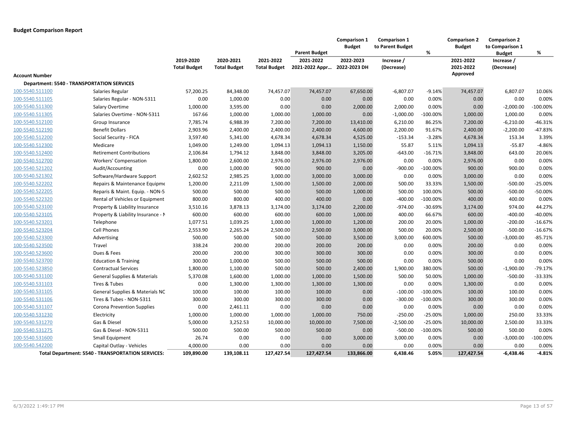|                       |                                                   |                                  |                                  |                                  | <b>Parent Budget</b>                     | <b>Comparison 1</b><br><b>Budget</b> | <b>Comparison 1</b><br>to Parent Budget | %           | <b>Comparison 2</b><br><b>Budget</b> | <b>Comparison 2</b><br>to Comparison 1<br><b>Budget</b> | %          |
|-----------------------|---------------------------------------------------|----------------------------------|----------------------------------|----------------------------------|------------------------------------------|--------------------------------------|-----------------------------------------|-------------|--------------------------------------|---------------------------------------------------------|------------|
|                       |                                                   | 2019-2020<br><b>Total Budget</b> | 2020-2021<br><b>Total Budget</b> | 2021-2022<br><b>Total Budget</b> | 2021-2022<br>2021-2022 Appr 2022-2023 DH | 2022-2023                            | Increase /<br>(Decrease)                |             | 2021-2022<br>2021-2022               | Increase /<br>(Decrease)                                |            |
| <b>Account Number</b> |                                                   |                                  |                                  |                                  |                                          |                                      |                                         |             | Approved                             |                                                         |            |
|                       | <b>Department: 5540 - TRANSPORTATION SERVICES</b> |                                  |                                  |                                  |                                          |                                      |                                         |             |                                      |                                                         |            |
| 100-5540.511100       | Salaries Regular                                  | 57,200.25                        | 84,348.00                        | 74,457.07                        | 74,457.07                                | 67,650.00                            | $-6,807.07$                             | $-9.14%$    | 74,457.07                            | 6,807.07                                                | 10.06%     |
| 100-5540.511105       | Salaries Regular - NON-5311                       | 0.00                             | 1,000.00                         | 0.00                             | 0.00                                     | 0.00                                 | 0.00                                    | 0.00%       | 0.00                                 | 0.00                                                    | 0.00%      |
| 100-5540.511300       | Salary Overtime                                   | 1,000.00                         | 3,595.00                         | 0.00                             | 0.00                                     | 2,000.00                             | 2,000.00                                | 0.00%       | 0.00                                 | $-2,000.00$                                             | $-100.00%$ |
| 100-5540.511305       | Salaries Overtime - NON-5311                      | 167.66                           | 1,000.00                         | 1,000.00                         | 1,000.00                                 | 0.00                                 | $-1,000.00$                             | $-100.00\%$ | 1,000.00                             | 1,000.00                                                | 0.00%      |
| 100-5540.512100       | Group Insurance                                   | 7,785.74                         | 6,988.39                         | 7,200.00                         | 7,200.00                                 | 13,410.00                            | 6,210.00                                | 86.25%      | 7,200.00                             | $-6,210.00$                                             | $-46.31%$  |
| 100-5540.512190       | <b>Benefit Dollars</b>                            | 2,903.96                         | 2,400.00                         | 2,400.00                         | 2,400.00                                 | 4,600.00                             | 2,200.00                                | 91.67%      | 2,400.00                             | $-2,200.00$                                             | -47.83%    |
| 100-5540.512200       | Social Security - FICA                            | 3,597.40                         | 5,341.00                         | 4,678.34                         | 4,678.34                                 | 4,525.00                             | $-153.34$                               | $-3.28%$    | 4,678.34                             | 153.34                                                  | 3.39%      |
| 100-5540.512300       | Medicare                                          | 1,049.00                         | 1,249.00                         | 1,094.13                         | 1,094.13                                 | 1,150.00                             | 55.87                                   | 5.11%       | 1,094.13                             | $-55.87$                                                | $-4.86%$   |
| 100-5540.512400       | <b>Retirement Contributions</b>                   | 2,106.84                         | 1,794.12                         | 3,848.00                         | 3,848.00                                 | 3,205.00                             | $-643.00$                               | $-16.71%$   | 3,848.00                             | 643.00                                                  | 20.06%     |
| 100-5540.512700       | Workers' Compensation                             | 1,800.00                         | 2,600.00                         | 2,976.00                         | 2,976.00                                 | 2,976.00                             | 0.00                                    | 0.00%       | 2,976.00                             | 0.00                                                    | 0.00%      |
| 100-5540.521202       | Audit/Accounting                                  | 0.00                             | 1,000.00                         | 900.00                           | 900.00                                   | 0.00                                 | $-900.00$                               | $-100.00%$  | 900.00                               | 900.00                                                  | 0.00%      |
| 100-5540.521302       | Software/Hardware Support                         | 2,602.52                         | 2,985.25                         | 3,000.00                         | 3,000.00                                 | 3,000.00                             | 0.00                                    | 0.00%       | 3,000.00                             | 0.00                                                    | 0.00%      |
| 100-5540.522202       | Repairs & Maintenance Equipme                     | 1,200.00                         | 2,211.09                         | 1,500.00                         | 1,500.00                                 | 2,000.00                             | 500.00                                  | 33.33%      | 1,500.00                             | $-500.00$                                               | $-25.00%$  |
| 100-5540.522205       | Reparis & Maint. Equip. - NON-5                   | 500.00                           | 500.00                           | 500.00                           | 500.00                                   | 1,000.00                             | 500.00                                  | 100.00%     | 500.00                               | $-500.00$                                               | $-50.00%$  |
| 100-5540.522320       | Rental of Vehicles or Equipment                   | 800.00                           | 800.00                           | 400.00                           | 400.00                                   | 0.00                                 | $-400.00$                               | $-100.00%$  | 400.00                               | 400.00                                                  | 0.00%      |
| 100-5540.523100       | Property & Liability Insurance                    | 3,510.16                         | 3,878.13                         | 3,174.00                         | 3,174.00                                 | 2,200.00                             | $-974.00$                               | $-30.69%$   | 3,174.00                             | 974.00                                                  | 44.27%     |
| 100-5540.523105       | Property & Liability Insurance - M                | 600.00                           | 600.00                           | 600.00                           | 600.00                                   | 1,000.00                             | 400.00                                  | 66.67%      | 600.00                               | $-400.00$                                               | $-40.00%$  |
| 100-5540.523201       | Telephone                                         | 1,077.51                         | 1,039.25                         | 1,000.00                         | 1,000.00                                 | 1,200.00                             | 200.00                                  | 20.00%      | 1,000.00                             | $-200.00$                                               | $-16.67%$  |
| 100-5540.523204       | Cell Phones                                       | 2,553.90                         | 2,265.24                         | 2,500.00                         | 2,500.00                                 | 3,000.00                             | 500.00                                  | 20.00%      | 2,500.00                             | $-500.00$                                               | $-16.67%$  |
| 100-5540.523300       | Advertising                                       | 500.00                           | 500.00                           | 500.00                           | 500.00                                   | 3,500.00                             | 3,000.00                                | 600.00%     | 500.00                               | $-3,000.00$                                             | $-85.71%$  |
| 100-5540.523500       | Travel                                            | 338.24                           | 200.00                           | 200.00                           | 200.00                                   | 200.00                               | 0.00                                    | 0.00%       | 200.00                               | 0.00                                                    | 0.00%      |
| 100-5540.523600       | Dues & Fees                                       | 200.00                           | 200.00                           | 300.00                           | 300.00                                   | 300.00                               | 0.00                                    | 0.00%       | 300.00                               | 0.00                                                    | 0.00%      |
| 100-5540.523700       | <b>Education &amp; Training</b>                   | 300.00                           | 1,000.00                         | 500.00                           | 500.00                                   | 500.00                               | 0.00                                    | 0.00%       | 500.00                               | 0.00                                                    | 0.00%      |
| 100-5540.523850       | <b>Contractual Services</b>                       | 1,800.00                         | 1,100.00                         | 500.00                           | 500.00                                   | 2,400.00                             | 1,900.00                                | 380.00%     | 500.00                               | $-1,900.00$                                             | $-79.17%$  |
| 100-5540.531100       | <b>General Supplies &amp; Materials</b>           | 5,370.08                         | 1,600.00                         | 1,000.00                         | 1,000.00                                 | 1,500.00                             | 500.00                                  | 50.00%      | 1,000.00                             | $-500.00$                                               | -33.33%    |
| 100-5540.531103       | Tires & Tubes                                     | 0.00                             | 1,300.00                         | 1,300.00                         | 1,300.00                                 | 1,300.00                             | 0.00                                    | 0.00%       | 1,300.00                             | 0.00                                                    | 0.00%      |
| 100-5540.531105       | General Supplies & Materials NC                   | 100.00                           | 100.00                           | 100.00                           | 100.00                                   | 0.00                                 | $-100.00$                               | $-100.00\%$ | 100.00                               | 100.00                                                  | 0.00%      |
| 100-5540.531106       | Tires & Tubes - NON-5311                          | 300.00                           | 300.00                           | 300.00                           | 300.00                                   | 0.00                                 | $-300.00$                               | $-100.00%$  | 300.00                               | 300.00                                                  | 0.00%      |
| 100-5540.531107       | <b>Corona Prevention Supplies</b>                 | 0.00                             | 2,461.11                         | 0.00                             | 0.00                                     | 0.00                                 | 0.00                                    | 0.00%       | 0.00                                 | 0.00                                                    | 0.00%      |
| 100-5540.531230       | Electricity                                       | 1,000.00                         | 1,000.00                         | 1,000.00                         | 1,000.00                                 | 750.00                               | $-250.00$                               | $-25.00%$   | 1,000.00                             | 250.00                                                  | 33.33%     |
| 100-5540.531270       | Gas & Diesel                                      | 5,000.00                         | 3,252.53                         | 10,000.00                        | 10,000.00                                | 7,500.00                             | $-2,500.00$                             | $-25.00%$   | 10,000.00                            | 2,500.00                                                | 33.33%     |
| 100-5540.531275       | Gas & Diesel - NON-5311                           | 500.00                           | 500.00                           | 500.00                           | 500.00                                   | 0.00                                 | $-500.00$                               | $-100.00%$  | 500.00                               | 500.00                                                  | 0.00%      |
| 100-5540.531600       | <b>Small Equipment</b>                            | 26.74                            | 0.00                             | 0.00                             | 0.00                                     | 3,000.00                             | 3,000.00                                | 0.00%       | 0.00                                 | $-3,000.00$                                             | $-100.00%$ |
| 100-5540.542200       | Capital Outlay - Vehicles                         | 4,000.00                         | 0.00                             | 0.00                             | 0.00                                     | 0.00                                 | 0.00                                    | 0.00%       | 0.00                                 | 0.00                                                    | 0.00%      |
|                       | Total Department: 5540 - TRANSPORTATION SERVICES: | 109,890.00                       | 139,108.11                       | 127,427.54                       | 127,427.54                               | 133,866.00                           | 6,438.46                                | 5.05%       | 127,427.54                           | $-6,438.46$                                             | -4.81%     |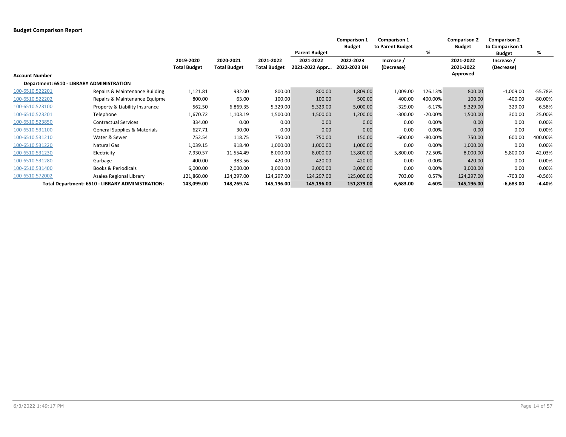|                                           |                                                  |                     |                     |                     | <b>Parent Budget</b> | <b>Comparison 1</b><br><b>Budget</b> | <b>Comparison 1</b><br>to Parent Budget | %         | <b>Comparison 2</b><br><b>Budget</b> | <b>Comparison 2</b><br>to Comparison 1<br><b>Budget</b> | %         |
|-------------------------------------------|--------------------------------------------------|---------------------|---------------------|---------------------|----------------------|--------------------------------------|-----------------------------------------|-----------|--------------------------------------|---------------------------------------------------------|-----------|
|                                           |                                                  | 2019-2020           | 2020-2021           | 2021-2022           | 2021-2022            | 2022-2023                            | Increase /                              |           | 2021-2022                            | Increase /                                              |           |
|                                           |                                                  | <b>Total Budget</b> | <b>Total Budget</b> | <b>Total Budget</b> | 2021-2022 Appr       | 2022-2023 DH                         | (Decrease)                              |           | 2021-2022                            | (Decrease)                                              |           |
| <b>Account Number</b>                     |                                                  |                     |                     |                     |                      |                                      |                                         |           | Approved                             |                                                         |           |
| Department: 6510 - LIBRARY ADMINISTRATION |                                                  |                     |                     |                     |                      |                                      |                                         |           |                                      |                                                         |           |
| 100-6510.522201                           | Repairs & Maintenance Building                   | 1,121.81            | 932.00              | 800.00              | 800.00               | 1,809.00                             | 1,009.00                                | 126.13%   | 800.00                               | $-1,009.00$                                             | $-55.78%$ |
| 100-6510.522202                           | Repairs & Maintenance Equipme                    | 800.00              | 63.00               | 100.00              | 100.00               | 500.00                               | 400.00                                  | 400.00%   | 100.00                               | $-400.00$                                               | $-80.00%$ |
| 100-6510.523100                           | Property & Liability Insurance                   | 562.50              | 6,869.35            | 5,329.00            | 5,329.00             | 5,000.00                             | $-329.00$                               | $-6.17%$  | 5,329.00                             | 329.00                                                  | 6.58%     |
| 100-6510.523201                           | Telephone                                        | 1,670.72            | 1,103.19            | 1,500.00            | 1,500.00             | 1,200.00                             | $-300.00$                               | $-20.00%$ | 1,500.00                             | 300.00                                                  | 25.00%    |
| 100-6510.523850                           | <b>Contractual Services</b>                      | 334.00              | 0.00                | 0.00                | 0.00                 | 0.00                                 | 0.00                                    | 0.00%     | 0.00                                 | 0.00                                                    | 0.00%     |
| 100-6510.531100                           | <b>General Supplies &amp; Materials</b>          | 627.71              | 30.00               | 0.00                | 0.00                 | 0.00                                 | 0.00                                    | 0.00%     | 0.00                                 | 0.00                                                    | 0.00%     |
| 100-6510.531210                           | Water & Sewer                                    | 752.54              | 118.75              | 750.00              | 750.00               | 150.00                               | $-600.00$                               | $-80.00%$ | 750.00                               | 600.00                                                  | 400.00%   |
| 100-6510.531220                           | <b>Natural Gas</b>                               | 1,039.15            | 918.40              | 1,000.00            | 1,000.00             | 1,000.00                             | 0.00                                    | 0.00%     | 1,000.00                             | 0.00                                                    | 0.00%     |
| 100-6510.531230                           | Electricity                                      | 7,930.57            | 11,554.49           | 8,000.00            | 8,000.00             | 13,800.00                            | 5,800.00                                | 72.50%    | 8,000.00                             | $-5,800.00$                                             | $-42.03%$ |
| 100-6510.531280                           | Garbage                                          | 400.00              | 383.56              | 420.00              | 420.00               | 420.00                               | 0.00                                    | 0.00%     | 420.00                               | 0.00                                                    | 0.00%     |
| 100-6510.531400                           | Books & Periodicals                              | 6,000.00            | 2,000.00            | 3,000.00            | 3,000.00             | 3,000.00                             | 0.00                                    | 0.00%     | 3,000.00                             | 0.00                                                    | 0.00%     |
| 100-6510.572002                           | Azalea Regional Library                          | 121,860.00          | 124,297.00          | 124,297.00          | 124,297.00           | 125,000.00                           | 703.00                                  | 0.57%     | 124,297.00                           | $-703.00$                                               | $-0.56%$  |
|                                           | Total Department: 6510 - LIBRARY ADMINISTRATION: | 143,099.00          | 148,269.74          | 145,196.00          | 145,196.00           | 151,879.00                           | 6,683.00                                | 4.60%     | 145,196.00                           | $-6,683.00$                                             | $-4.40%$  |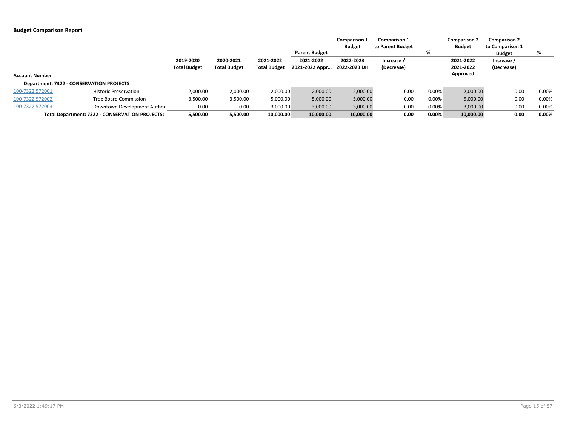|                       |                                                 |                     |                     |                     |                      | <b>Comparison 1</b> | <b>Comparison 1</b> |       | <b>Comparison 2</b> | <b>Comparison 2</b> |          |
|-----------------------|-------------------------------------------------|---------------------|---------------------|---------------------|----------------------|---------------------|---------------------|-------|---------------------|---------------------|----------|
|                       |                                                 |                     |                     |                     |                      | <b>Budget</b>       | to Parent Budget    |       | <b>Budget</b>       | to Comparison 1     |          |
|                       |                                                 |                     |                     |                     | <b>Parent Budget</b> |                     |                     | %     |                     | <b>Budget</b>       | %        |
|                       |                                                 | 2019-2020           | 2020-2021           | 2021-2022           | 2021-2022            | 2022-2023           | Increase /          |       | 2021-2022           | Increase /          |          |
|                       |                                                 | <b>Total Budget</b> | <b>Total Budget</b> | <b>Total Budget</b> | 2021-2022 Appr       | 2022-2023 DH        | (Decrease)          |       | 2021-2022           | (Decrease)          |          |
| <b>Account Number</b> |                                                 |                     |                     |                     |                      |                     |                     |       | Approved            |                     |          |
|                       | Department: 7322 - CONSERVATION PROJECTS        |                     |                     |                     |                      |                     |                     |       |                     |                     |          |
| 100-7322.572001       | <b>Historic Preservation</b>                    | 2,000.00            | 2,000.00            | 2,000.00            | 2,000.00             | 2,000.00            | 0.00                | 0.00% | 2,000.00            | 0.00                | 0.00%    |
| 100-7322.572002       | <b>Tree Board Commission</b>                    | 3,500.00            | 3,500.00            | 5,000.00            | 5,000.00             | 5,000.00            | 0.00                | 0.00% | 5,000.00            | 0.00                | 0.00%    |
| 100-7322.572003       | Downtown Development Author                     | 0.00                | 0.00                | 3,000.00            | 3,000.00             | 3,000.00            | 0.00                | 0.00% | 3,000.00            | 0.00                | 0.00%    |
|                       | Total Department: 7322 - CONSERVATION PROJECTS: | 5,500.00            | 5,500.00            | 10,000.00           | 10,000.00            | 10,000.00           | 0.00                | 0.00% | 10,000.00           | 0.00                | $0.00\%$ |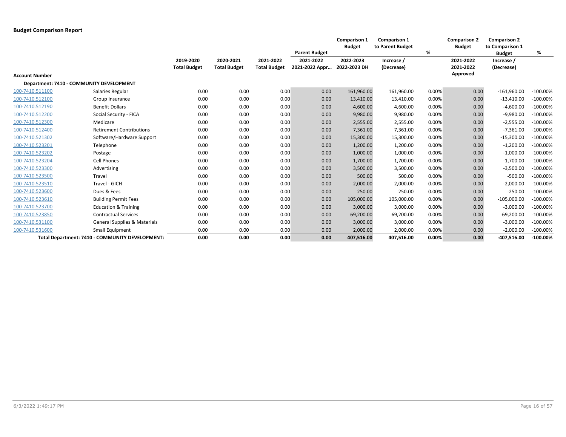|                       |                                                 |                     |                     |                     |                      | <b>Comparison 1</b><br><b>Budget</b> | <b>Comparison 1</b><br>to Parent Budget |       | <b>Comparison 2</b><br><b>Budget</b> | <b>Comparison 2</b><br>to Comparison 1 |             |
|-----------------------|-------------------------------------------------|---------------------|---------------------|---------------------|----------------------|--------------------------------------|-----------------------------------------|-------|--------------------------------------|----------------------------------------|-------------|
|                       |                                                 |                     |                     |                     | <b>Parent Budget</b> |                                      |                                         | %     |                                      | <b>Budget</b>                          | %           |
|                       |                                                 | 2019-2020           | 2020-2021           | 2021-2022           | 2021-2022            | 2022-2023                            | Increase /                              |       | 2021-2022                            | Increase /                             |             |
|                       |                                                 | <b>Total Budget</b> | <b>Total Budget</b> | <b>Total Budget</b> | 2021-2022 Appr       | 2022-2023 DH                         | (Decrease)                              |       | 2021-2022                            | (Decrease)                             |             |
| <b>Account Number</b> |                                                 |                     |                     |                     |                      |                                      |                                         |       | Approved                             |                                        |             |
|                       | <b>Department: 7410 - COMMUNITY DEVELOPMENT</b> |                     |                     |                     |                      |                                      |                                         |       |                                      |                                        |             |
| 100-7410.511100       | Salaries Regular                                | 0.00                | 0.00                | 0.00                | 0.00                 | 161,960.00                           | 161,960.00                              | 0.00% | 0.00                                 | $-161,960.00$                          | $-100.00%$  |
| 100-7410.512100       | Group Insurance                                 | 0.00                | 0.00                | 0.00                | 0.00                 | 13,410.00                            | 13,410.00                               | 0.00% | 0.00                                 | $-13,410.00$                           | $-100.00%$  |
| 100-7410.512190       | <b>Benefit Dollars</b>                          | 0.00                | 0.00                | 0.00                | 0.00                 | 4,600.00                             | 4,600.00                                | 0.00% | 0.00                                 | $-4,600.00$                            | $-100.00\%$ |
| 100-7410.512200       | Social Security - FICA                          | 0.00                | 0.00                | 0.00                | 0.00                 | 9,980.00                             | 9,980.00                                | 0.00% | 0.00                                 | $-9,980.00$                            | $-100.00\%$ |
| 100-7410.512300       | Medicare                                        | 0.00                | 0.00                | 0.00                | 0.00                 | 2,555.00                             | 2,555.00                                | 0.00% | 0.00                                 | $-2,555.00$                            | $-100.00\%$ |
| 100-7410.512400       | <b>Retirement Contributions</b>                 | 0.00                | 0.00                | 0.00                | 0.00                 | 7,361.00                             | 7,361.00                                | 0.00% | 0.00                                 | $-7,361.00$                            | $-100.00\%$ |
| 100-7410.521302       | Software/Hardware Support                       | 0.00                | 0.00                | 0.00                | 0.00                 | 15,300.00                            | 15,300.00                               | 0.00% | 0.00                                 | $-15,300.00$                           | $-100.00%$  |
| 100-7410.523201       | Telephone                                       | 0.00                | 0.00                | 0.00                | 0.00                 | 1,200.00                             | 1,200.00                                | 0.00% | 0.00                                 | $-1,200.00$                            | $-100.00\%$ |
| 100-7410.523202       | Postage                                         | 0.00                | 0.00                | 0.00                | 0.00                 | 1,000.00                             | 1,000.00                                | 0.00% | 0.00                                 | $-1,000.00$                            | $-100.00\%$ |
| 100-7410.523204       | <b>Cell Phones</b>                              | 0.00                | 0.00                | 0.00                | 0.00                 | 1,700.00                             | 1,700.00                                | 0.00% | 0.00                                 | $-1,700.00$                            | $-100.00%$  |
| 100-7410.523300       | Advertising                                     | 0.00                | 0.00                | 0.00                | 0.00                 | 3,500.00                             | 3,500.00                                | 0.00% | 0.00                                 | $-3,500.00$                            | $-100.00\%$ |
| 100-7410.523500       | Travel                                          | 0.00                | 0.00                | 0.00                | 0.00                 | 500.00                               | 500.00                                  | 0.00% | 0.00                                 | $-500.00$                              | $-100.00%$  |
| 100-7410.523510       | Travel - GICH                                   | 0.00                | 0.00                | 0.00                | 0.00                 | 2,000.00                             | 2,000.00                                | 0.00% | 0.00                                 | $-2,000.00$                            | $-100.00%$  |
| 100-7410.523600       | Dues & Fees                                     | 0.00                | 0.00                | 0.00                | 0.00                 | 250.00                               | 250.00                                  | 0.00% | 0.00                                 | $-250.00$                              | $-100.00%$  |
| 100-7410.523610       | <b>Building Permit Fees</b>                     | 0.00                | 0.00                | 0.00                | 0.00                 | 105,000.00                           | 105,000.00                              | 0.00% | 0.00                                 | $-105,000.00$                          | $-100.00\%$ |
| 100-7410.523700       | <b>Education &amp; Training</b>                 | 0.00                | 0.00                | 0.00                | 0.00                 | 3,000.00                             | 3,000.00                                | 0.00% | 0.00                                 | $-3,000.00$                            | $-100.00\%$ |
| 100-7410.523850       | <b>Contractual Services</b>                     | 0.00                | 0.00                | 0.00                | 0.00                 | 69,200.00                            | 69,200.00                               | 0.00% | 0.00                                 | $-69,200.00$                           | $-100.00%$  |
| 100-7410.531100       | <b>General Supplies &amp; Materials</b>         | 0.00                | 0.00                | 0.00                | 0.00                 | 3,000.00                             | 3,000.00                                | 0.00% | 0.00                                 | $-3,000.00$                            | $-100.00%$  |
| 100-7410.531600       | <b>Small Equipment</b>                          | 0.00                | 0.00                | 0.00                | 0.00                 | 2,000.00                             | 2,000.00                                | 0.00% | 0.00                                 | $-2,000.00$                            | $-100.00%$  |
|                       | Total Department: 7410 - COMMUNITY DEVELOPMENT: | 0.00                | 0.00                | 0.00                | 0.00                 | 407,516.00                           | 407,516.00                              | 0.00% | 0.00                                 | $-407,516.00$                          | $-100.00\%$ |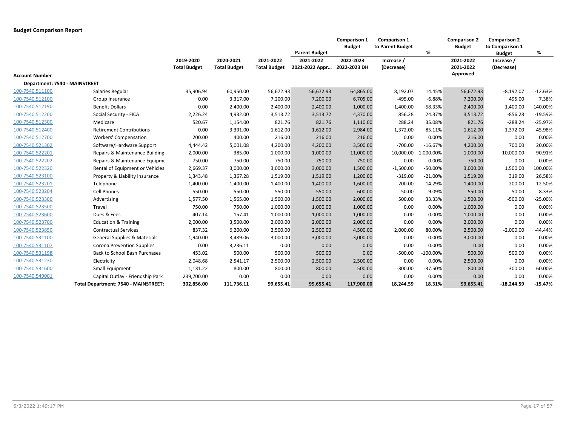|                               |                                         |                                  |                                  |                                  | <b>Parent Budget</b>        | <b>Comparison 1</b><br><b>Budget</b> | <b>Comparison 1</b><br>to Parent Budget | %          | <b>Comparison 2</b><br><b>Budget</b> | <b>Comparison 2</b><br>to Comparison 1<br><b>Budget</b> | %         |
|-------------------------------|-----------------------------------------|----------------------------------|----------------------------------|----------------------------------|-----------------------------|--------------------------------------|-----------------------------------------|------------|--------------------------------------|---------------------------------------------------------|-----------|
|                               |                                         | 2019-2020<br><b>Total Budget</b> | 2020-2021<br><b>Total Budget</b> | 2021-2022<br><b>Total Budget</b> | 2021-2022<br>2021-2022 Appr | 2022-2023<br>2022-2023 DH            | Increase /<br>(Decrease)                |            | 2021-2022<br>2021-2022               | Increase /<br>(Decrease)                                |           |
| <b>Account Number</b>         |                                         |                                  |                                  |                                  |                             |                                      |                                         |            | Approved                             |                                                         |           |
| Department: 7540 - MAINSTREET |                                         |                                  |                                  |                                  |                             |                                      |                                         |            |                                      |                                                         |           |
| 100-7540.511100               | Salaries Regular                        | 35,906.94                        | 60,950.00                        | 56,672.93                        | 56,672.93                   | 64,865.00                            | 8,192.07                                | 14.45%     | 56,672.93                            | $-8,192.07$                                             | $-12.63%$ |
| 100-7540.512100               | Group Insurance                         | 0.00                             | 3,317.00                         | 7,200.00                         | 7,200.00                    | 6,705.00                             | $-495.00$                               | $-6.88%$   | 7,200.00                             | 495.00                                                  | 7.38%     |
| 100-7540.512190               | <b>Benefit Dollars</b>                  | 0.00                             | 2,400.00                         | 2,400.00                         | 2,400.00                    | 1,000.00                             | $-1,400.00$                             | $-58.33%$  | 2,400.00                             | 1,400.00                                                | 140.00%   |
| 100-7540.512200               | Social Security - FICA                  | 2,226.24                         | 4,932.00                         | 3,513.72                         | 3,513.72                    | 4,370.00                             | 856.28                                  | 24.37%     | 3,513.72                             | $-856.28$                                               | $-19.59%$ |
| 100-7540.512300               | Medicare                                | 520.67                           | 1,154.00                         | 821.76                           | 821.76                      | 1,110.00                             | 288.24                                  | 35.08%     | 821.76                               | $-288.24$                                               | $-25.97%$ |
| 100-7540.512400               | <b>Retirement Contributions</b>         | 0.00                             | 3,391.00                         | 1,612.00                         | 1,612.00                    | 2,984.00                             | 1,372.00                                | 85.11%     | 1,612.00                             | $-1,372.00$                                             | $-45.98%$ |
| 100-7540.512700               | Workers' Compensation                   | 200.00                           | 400.00                           | 216.00                           | 216.00                      | 216.00                               | 0.00                                    | 0.00%      | 216.00                               | 0.00                                                    | 0.00%     |
| 100-7540.521302               | Software/Hardware Support               | 4,444.42                         | 5,001.08                         | 4,200.00                         | 4,200.00                    | 3,500.00                             | $-700.00$                               | $-16.67%$  | 4,200.00                             | 700.00                                                  | 20.00%    |
| 100-7540.522201               | Repairs & Maintenance Building          | 2,000.00                         | 385.00                           | 1,000.00                         | 1,000.00                    | 11,000.00                            | 10,000.00                               | 1,000.00%  | 1,000.00                             | $-10,000.00$                                            | $-90.91%$ |
| 100-7540.522202               | Repairs & Maintenance Equipme           | 750.00                           | 750.00                           | 750.00                           | 750.00                      | 750.00                               | 0.00                                    | 0.00%      | 750.00                               | 0.00                                                    | 0.00%     |
| 100-7540.522320               | Rental of Equipment or Vehicles         | 2,669.37                         | 3,000.00                         | 3,000.00                         | 3,000.00                    | 1,500.00                             | $-1,500.00$                             | $-50.00%$  | 3,000.00                             | 1,500.00                                                | 100.00%   |
| 100-7540.523100               | Property & Liability Insurance          | 1,343.48                         | 1,367.28                         | 1,519.00                         | 1,519.00                    | 1,200.00                             | $-319.00$                               | $-21.00%$  | 1,519.00                             | 319.00                                                  | 26.58%    |
| 100-7540.523201               | Telephone                               | 1,400.00                         | 1,400.00                         | 1,400.00                         | 1,400.00                    | 1,600.00                             | 200.00                                  | 14.29%     | 1,400.00                             | $-200.00$                                               | $-12.50%$ |
| 100-7540.523204               | <b>Cell Phones</b>                      | 550.00                           | 550.00                           | 550.00                           | 550.00                      | 600.00                               | 50.00                                   | 9.09%      | 550.00                               | $-50.00$                                                | $-8.33%$  |
| 100-7540.523300               | Advertising                             | 1,577.50                         | 1,565.00                         | 1,500.00                         | 1,500.00                    | 2,000.00                             | 500.00                                  | 33.33%     | 1,500.00                             | $-500.00$                                               | $-25.00%$ |
| 100-7540.523500               | Travel                                  | 750.00                           | 750.00                           | 1,000.00                         | 1,000.00                    | 1,000.00                             | 0.00                                    | 0.00%      | 1,000.00                             | 0.00                                                    | 0.00%     |
| 100-7540.523600               | Dues & Fees                             | 407.14                           | 157.41                           | 1,000.00                         | 1,000.00                    | 1,000.00                             | 0.00                                    | 0.00%      | 1,000.00                             | 0.00                                                    | 0.00%     |
| 100-7540.523700               | <b>Education &amp; Training</b>         | 2,000.00                         | 3,500.00                         | 2,000.00                         | 2,000.00                    | 2,000.00                             | 0.00                                    | 0.00%      | 2,000.00                             | 0.00                                                    | 0.00%     |
| 100-7540.523850               | <b>Contractual Services</b>             | 837.32                           | 6,200.00                         | 2,500.00                         | 2,500.00                    | 4,500.00                             | 2,000.00                                | 80.00%     | 2,500.00                             | $-2,000.00$                                             | $-44.44%$ |
| 100-7540.531100               | <b>General Supplies &amp; Materials</b> | 1,940.00                         | 3,489.06                         | 3,000.00                         | 3,000.00                    | 3,000.00                             | 0.00                                    | 0.00%      | 3,000.00                             | 0.00                                                    | 0.00%     |
| 100-7540.531107               | <b>Corona Prevention Supplies</b>       | 0.00                             | 3,236.11                         | 0.00                             | 0.00                        | 0.00                                 | 0.00                                    | 0.00%      | 0.00                                 | 0.00                                                    | 0.00%     |
| 100-7540.531198               | <b>Back to School Bash Purchases</b>    | 453.02                           | 500.00                           | 500.00                           | 500.00                      | 0.00                                 | $-500.00$                               | $-100.00%$ | 500.00                               | 500.00                                                  | 0.00%     |
| 100-7540.531230               | Electricity                             | 2,048.68                         | 2,541.17                         | 2,500.00                         | 2,500.00                    | 2,500.00                             | 0.00                                    | 0.00%      | 2,500.00                             | 0.00                                                    | 0.00%     |
| 100-7540.531600               | Small Equipment                         | 1,131.22                         | 800.00                           | 800.00                           | 800.00                      | 500.00                               | $-300.00$                               | $-37.50%$  | 800.00                               | 300.00                                                  | 60.00%    |
| 100-7540.549001               | Capital Outlay - Friendship Park        | 239,700.00                       | 0.00                             | 0.00                             | 0.00                        | 0.00                                 | 0.00                                    | 0.00%      | 0.00                                 | 0.00                                                    | 0.00%     |
|                               | Total Department: 7540 - MAINSTREET:    | 302.856.00                       | 111.736.11                       | 99.655.41                        | 99,655.41                   | 117.900.00                           | 18.244.59                               | 18.31%     | 99.655.41                            | $-18.244.59$                                            | $-15.47%$ |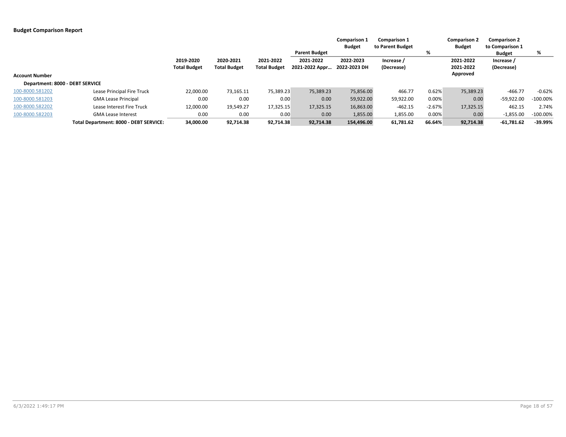|                                 |                                        |                                  | <b>Comparison 1</b><br><b>Comparison 1</b><br><b>Budget</b><br>to Parent Budget |                                  |                             | <b>Comparison 2</b><br><b>Budget</b> | <b>Comparison 2</b><br>to Comparison 1 |          |                        |                          |             |
|---------------------------------|----------------------------------------|----------------------------------|---------------------------------------------------------------------------------|----------------------------------|-----------------------------|--------------------------------------|----------------------------------------|----------|------------------------|--------------------------|-------------|
|                                 |                                        |                                  |                                                                                 |                                  | <b>Parent Budget</b>        |                                      |                                        | %        |                        | <b>Budget</b>            | %           |
|                                 |                                        | 2019-2020<br><b>Total Budget</b> | 2020-2021<br><b>Total Budget</b>                                                | 2021-2022<br><b>Total Budget</b> | 2021-2022<br>2021-2022 Appr | 2022-2023<br>2022-2023 DH            | Increase /<br>(Decrease)               |          | 2021-2022<br>2021-2022 | Increase /<br>(Decrease) |             |
| <b>Account Number</b>           |                                        |                                  |                                                                                 |                                  |                             |                                      |                                        |          | Approved               |                          |             |
| Department: 8000 - DEBT SERVICE |                                        |                                  |                                                                                 |                                  |                             |                                      |                                        |          |                        |                          |             |
| 100-8000.581202                 | Lease Principal Fire Truck             | 22,000.00                        | 73,165.11                                                                       | 75,389.23                        | 75,389.23                   | 75,856.00                            | 466.77                                 | 0.62%    | 75,389.23              | $-466.77$                | $-0.62%$    |
| 100-8000.581203                 | <b>GMA Lease Principal</b>             | 0.00                             | 0.00                                                                            | 0.00                             | 0.00                        | 59,922.00                            | 59,922.00                              | 0.00%    | 0.00                   | $-59,922.00$             | $-100.00\%$ |
| 100-8000.582202                 | Lease Interest Fire Truck              | 12,000.00                        | 19,549.27                                                                       | 17,325.15                        | 17,325.15                   | 16,863.00                            | $-462.15$                              | $-2.67%$ | 17,325.15              | 462.15                   | 2.74%       |
| 100-8000.582203                 | <b>GMA Lease Interest</b>              | 0.00                             | 0.00                                                                            | 0.00                             | 0.00                        | 1,855.00                             | 1,855.00                               | 0.00%    | 0.00                   | $-1,855.00$              | $-100.00\%$ |
|                                 | Total Department: 8000 - DEBT SERVICE: | 34.000.00                        | 92,714.38                                                                       | 92.714.38                        | 92,714.38                   | 154.496.00                           | 61,781.62                              | 66.64%   | 92,714.38              | $-61,781.62$             | $-39.99%$   |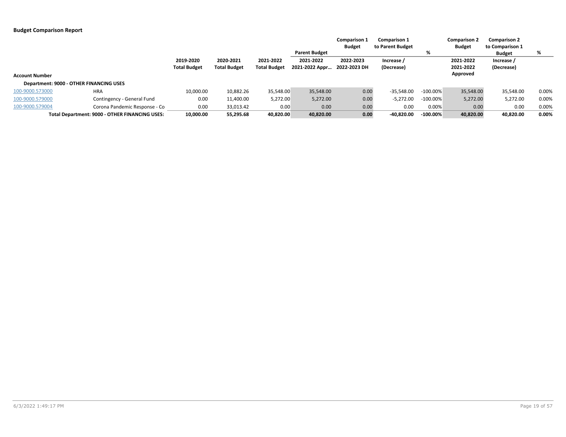|                       |                                                |                     |                     |                     |                      | <b>Comparison 1</b> | <b>Comparison 1</b> |             | <b>Comparison 2</b> | <b>Comparison 2</b> |       |
|-----------------------|------------------------------------------------|---------------------|---------------------|---------------------|----------------------|---------------------|---------------------|-------------|---------------------|---------------------|-------|
|                       |                                                |                     |                     |                     |                      | <b>Budget</b>       | to Parent Budget    |             | <b>Budget</b>       | to Comparison 1     |       |
|                       |                                                |                     |                     |                     | <b>Parent Budget</b> |                     |                     | %           |                     | Budget              | %     |
|                       |                                                | 2019-2020           | 2020-2021           | 2021-2022           | 2021-2022            | 2022-2023           | Increase /          |             | 2021-2022           | Increase /          |       |
|                       |                                                | <b>Total Budget</b> | <b>Total Budget</b> | <b>Total Budget</b> | 2021-2022 Appr       | 2022-2023 DH        | (Decrease)          |             | 2021-2022           | (Decrease)          |       |
| <b>Account Number</b> |                                                |                     |                     |                     |                      |                     |                     |             | Approved            |                     |       |
|                       | Department: 9000 - OTHER FINANCING USES        |                     |                     |                     |                      |                     |                     |             |                     |                     |       |
| 100-9000.573000       | <b>HRA</b>                                     | 10,000.00           | 10,882.26           | 35,548.00           | 35,548.00            | 0.00                | $-35,548.00$        | $-100.00\%$ | 35,548.00           | 35,548.00           | 0.00% |
| 100-9000.579000       | Contingency - General Fund                     | 0.00                | 11,400.00           | 5,272.00            | 5,272.00             | 0.00                | $-5,272.00$         | $-100.00\%$ | 5,272.00            | 5,272.00            | 0.00% |
| 100-9000.579004       | Corona Pandemic Response - Co                  | 0.00                | 33,013.42           | 0.00                | 0.00                 | 0.00                | 0.00                | 0.00%       | 0.00                | 0.00                | 0.00% |
|                       | Total Department: 9000 - OTHER FINANCING USES: | 10.000.00           | 55,295.68           | 40.820.00           | 40,820.00            | 0.00                | $-40,820.00$        | $-100.00\%$ | 40,820.00           | 40.820.00           | 0.00% |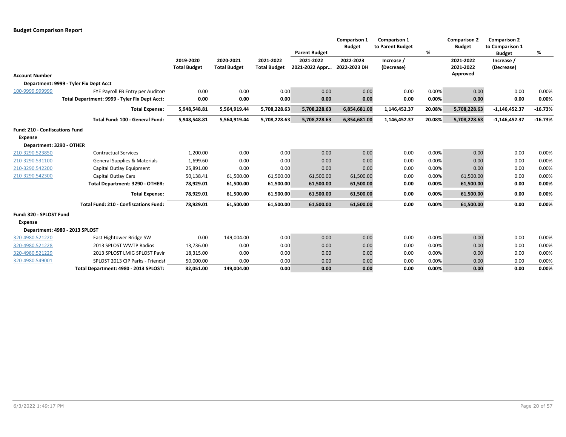|                                       |                                               |                     |                     |                     |                      | <b>Comparison 1</b><br><b>Budget</b> | <b>Comparison 1</b><br>to Parent Budget |        | <b>Comparison 2</b><br><b>Budget</b> | <b>Comparison 2</b><br>to Comparison 1 |           |
|---------------------------------------|-----------------------------------------------|---------------------|---------------------|---------------------|----------------------|--------------------------------------|-----------------------------------------|--------|--------------------------------------|----------------------------------------|-----------|
|                                       |                                               |                     |                     |                     | <b>Parent Budget</b> |                                      |                                         | %      |                                      | <b>Budget</b>                          | %         |
|                                       |                                               | 2019-2020           | 2020-2021           | 2021-2022           | 2021-2022            | 2022-2023                            | Increase /                              |        | 2021-2022                            | Increase /                             |           |
|                                       |                                               | <b>Total Budget</b> | <b>Total Budget</b> | <b>Total Budget</b> | 2021-2022 Appr       | 2022-2023 DH                         | (Decrease)                              |        | 2021-2022                            | (Decrease)                             |           |
| <b>Account Number</b>                 |                                               |                     |                     |                     |                      |                                      |                                         |        | Approved                             |                                        |           |
|                                       | Department: 9999 - Tyler Fix Dept Acct        |                     |                     |                     |                      |                                      |                                         |        |                                      |                                        |           |
| 100-9999.999999                       | FYE Payroll FB Entry per Auditors             | 0.00                | 0.00                | 0.00                | 0.00                 | 0.00                                 | 0.00                                    | 0.00%  | 0.00                                 | 0.00                                   | 0.00%     |
|                                       | Total Department: 9999 - Tyler Fix Dept Acct: | 0.00                | 0.00                | 0.00                | 0.00                 | 0.00                                 | 0.00                                    | 0.00%  | 0.00                                 | 0.00                                   | 0.00%     |
|                                       | <b>Total Expense:</b>                         | 5,948,548.81        | 5,564,919.44        | 5,708,228.63        | 5,708,228.63         | 6,854,681.00                         | 1,146,452.37                            | 20.08% | 5,708,228.63                         | $-1,146,452.37$                        | $-16.73%$ |
|                                       | Total Fund: 100 - General Fund:               | 5,948,548.81        | 5,564,919.44        | 5,708,228.63        | 5,708,228.63         | 6,854,681.00                         | 1,146,452.37                            | 20.08% | 5,708,228.63                         | $-1,146,452.37$                        | $-16.73%$ |
| <b>Fund: 210 - Confiscations Fund</b> |                                               |                     |                     |                     |                      |                                      |                                         |        |                                      |                                        |           |
| <b>Expense</b>                        |                                               |                     |                     |                     |                      |                                      |                                         |        |                                      |                                        |           |
| Department: 3290 - OTHER              |                                               |                     |                     |                     |                      |                                      |                                         |        |                                      |                                        |           |
| 210-3290.523850                       | <b>Contractual Services</b>                   | 1,200.00            | 0.00                | 0.00                | 0.00                 | 0.00                                 | 0.00                                    | 0.00%  | 0.00                                 | 0.00                                   | 0.00%     |
| 210-3290.531100                       | <b>General Supplies &amp; Materials</b>       | 1,699.60            | 0.00                | 0.00                | 0.00                 | 0.00                                 | 0.00                                    | 0.00%  | 0.00                                 | 0.00                                   | 0.00%     |
| 210-3290.542200                       | Capital Outlay Equipment                      | 25,891.00           | 0.00                | 0.00                | 0.00                 | 0.00                                 | 0.00                                    | 0.00%  | 0.00                                 | 0.00                                   | 0.00%     |
| 210-3290.542300                       | <b>Capital Outlay Cars</b>                    | 50,138.41           | 61,500.00           | 61,500.00           | 61,500.00            | 61,500.00                            | 0.00                                    | 0.00%  | 61,500.00                            | 0.00                                   | 0.00%     |
|                                       | Total Department: 3290 - OTHER:               | 78,929.01           | 61,500.00           | 61,500.00           | 61,500.00            | 61,500.00                            | 0.00                                    | 0.00%  | 61,500.00                            | 0.00                                   | 0.00%     |
|                                       | <b>Total Expense:</b>                         | 78,929.01           | 61,500.00           | 61,500.00           | 61,500.00            | 61,500.00                            | 0.00                                    | 0.00%  | 61,500.00                            | 0.00                                   | 0.00%     |
|                                       | <b>Total Fund: 210 - Confiscations Fund:</b>  | 78,929.01           | 61,500.00           | 61,500.00           | 61,500.00            | 61,500.00                            | 0.00                                    | 0.00%  | 61,500.00                            | 0.00                                   | 0.00%     |
| Fund: 320 - SPLOST Fund               |                                               |                     |                     |                     |                      |                                      |                                         |        |                                      |                                        |           |
| <b>Expense</b>                        |                                               |                     |                     |                     |                      |                                      |                                         |        |                                      |                                        |           |
|                                       | Department: 4980 - 2013 SPLOST                |                     |                     |                     |                      |                                      |                                         |        |                                      |                                        |           |
| 320-4980.521220                       | East Hightower Bridge SW                      | 0.00                | 149,004.00          | 0.00                | 0.00                 | 0.00                                 | 0.00                                    | 0.00%  | 0.00                                 | 0.00                                   | 0.00%     |
| 320-4980.521228                       | 2013 SPLOST WWTP Radios                       | 13,736.00           | 0.00                | 0.00                | 0.00                 | 0.00                                 | 0.00                                    | 0.00%  | 0.00                                 | 0.00                                   | 0.00%     |
| 320-4980.521229                       | 2013 SPLOST LMIG SPLOST Pavir                 | 18,315.00           | 0.00                | 0.00                | 0.00                 | 0.00                                 | 0.00                                    | 0.00%  | 0.00                                 | 0.00                                   | 0.00%     |
| 320-4980.549001                       | SPLOST 2013 CIP Parks - Friendsl              | 50,000.00           | 0.00                | 0.00                | 0.00                 | 0.00                                 | 0.00                                    | 0.00%  | 0.00                                 | 0.00                                   | 0.00%     |
|                                       | Total Department: 4980 - 2013 SPLOST:         | 82,051.00           | 149,004.00          | 0.00                | 0.00                 | 0.00                                 | 0.00                                    | 0.00%  | 0.00                                 | 0.00                                   | 0.00%     |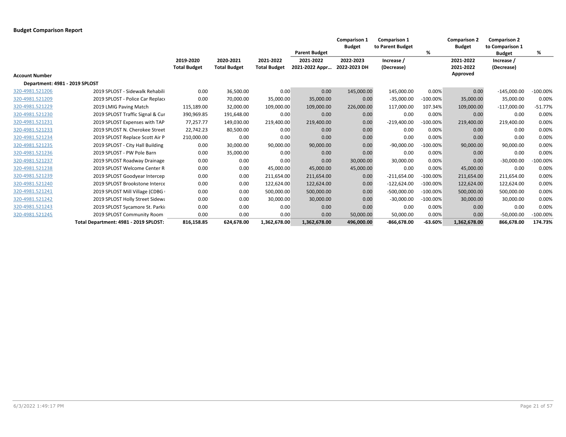|                                |                                       |                                  |                                  |                                  |                             | <b>Comparison 1</b><br><b>Budget</b> | <b>Comparison 1</b><br>to Parent Budget |             | <b>Comparison 2</b><br><b>Budget</b> | <b>Comparison 2</b><br>to Comparison 1 |             |
|--------------------------------|---------------------------------------|----------------------------------|----------------------------------|----------------------------------|-----------------------------|--------------------------------------|-----------------------------------------|-------------|--------------------------------------|----------------------------------------|-------------|
|                                |                                       |                                  |                                  |                                  | <b>Parent Budget</b>        |                                      |                                         | %           |                                      | <b>Budget</b>                          | %           |
|                                |                                       | 2019-2020<br><b>Total Budget</b> | 2020-2021<br><b>Total Budget</b> | 2021-2022<br><b>Total Budget</b> | 2021-2022<br>2021-2022 Appr | 2022-2023<br>2022-2023 DH            | Increase /<br>(Decrease)                |             | 2021-2022<br>2021-2022               | Increase /<br>(Decrease)               |             |
| <b>Account Number</b>          |                                       |                                  |                                  |                                  |                             |                                      |                                         |             | Approved                             |                                        |             |
| Department: 4981 - 2019 SPLOST |                                       |                                  |                                  |                                  |                             |                                      |                                         |             |                                      |                                        |             |
| 320-4981.521206                | 2019 SPLOST - Sidewalk Rehabili       | 0.00                             | 36,500.00                        | 0.00                             | 0.00                        | 145,000.00                           | 145,000.00                              | 0.00%       | 0.00                                 | $-145,000.00$                          | $-100.00\%$ |
| 320-4981.521209                | 2019 SPLOST - Police Car Replace      | 0.00                             | 70,000.00                        | 35,000.00                        | 35,000.00                   | 0.00                                 | $-35,000.00$                            | $-100.00\%$ | 35,000.00                            | 35,000.00                              | 0.00%       |
| 320-4981.521229                | 2019 LMIG Paving Match                | 115,189.00                       | 32,000.00                        | 109,000.00                       | 109,000.00                  | 226,000.00                           | 117,000.00                              | 107.34%     | 109,000.00                           | $-117,000.00$                          | $-51.77%$   |
| 320-4981.521230                | 2019 SPLOST Traffic Signal & Cur      | 390,969.85                       | 191,648.00                       | 0.00                             | 0.00                        | 0.00                                 | 0.00                                    | 0.00%       | 0.00                                 | 0.00                                   | 0.00%       |
| 320-4981.521231                | 2019 SPLOST Expenses with TAP         | 77,257.77                        | 149,030.00                       | 219,400.00                       | 219,400.00                  | 0.00                                 | $-219,400.00$                           | $-100.00%$  | 219,400.00                           | 219,400.00                             | 0.00%       |
| 320-4981.521233                | 2019 SPLOST N. Cherokee Street        | 22,742.23                        | 80,500.00                        | 0.00                             | 0.00                        | 0.00                                 | 0.00                                    | 0.00%       | 0.00                                 | 0.00                                   | 0.00%       |
| 320-4981.521234                | 2019 SPLOST Replace Scott Air P       | 210,000.00                       | 0.00                             | 0.00                             | 0.00                        | 0.00                                 | 0.00                                    | 0.00%       | 0.00                                 | 0.00                                   | 0.00%       |
| 320-4981.521235                | 2019 SPLOST - City Hall Building      | 0.00                             | 30,000.00                        | 90,000.00                        | 90,000.00                   | 0.00                                 | $-90,000.00$                            | $-100.00\%$ | 90,000.00                            | 90,000.00                              | 0.00%       |
| 320-4981.521236                | 2019 SPLOST - PW Pole Barn            | 0.00                             | 35,000.00                        | 0.00                             | 0.00                        | 0.00                                 | 0.00                                    | 0.00%       | 0.00                                 | 0.00                                   | 0.00%       |
| 320-4981.521237                | 2019 SPLOST Roadway Drainage          | 0.00                             | 0.00                             | 0.00                             | 0.00                        | 30,000.00                            | 30,000.00                               | 0.00%       | 0.00                                 | $-30,000.00$                           | $-100.00%$  |
| 320-4981.521238                | 2019 SPLOST Welcome Center R          | 0.00                             | 0.00                             | 45,000.00                        | 45,000.00                   | 45,000.00                            | 0.00                                    | 0.00%       | 45,000.00                            | 0.00                                   | 0.00%       |
| 320-4981.521239                | 2019 SPLOST Goodyear Intercep         | 0.00                             | 0.00                             | 211,654.00                       | 211,654.00                  | 0.00                                 | $-211,654.00$                           | $-100.00%$  | 211,654.00                           | 211,654.00                             | 0.00%       |
| 320-4981.521240                | 2019 SPLOST Brookstone Interce        | 0.00                             | 0.00                             | 122,624.00                       | 122,624.00                  | 0.00                                 | $-122,624.00$                           | $-100.00%$  | 122,624.00                           | 122,624.00                             | 0.00%       |
| 320-4981.521241                | 2019 SPLOST Mill Village (CDBG        | 0.00                             | 0.00                             | 500,000.00                       | 500,000.00                  | 0.00                                 | $-500,000.00$                           | $-100.00%$  | 500,000.00                           | 500,000.00                             | 0.00%       |
| 320-4981.521242                | 2019 SPLOST Holly Street Sidewa       | 0.00                             | 0.00                             | 30,000.00                        | 30,000.00                   | 0.00                                 | $-30,000.00$                            | $-100.00%$  | 30,000.00                            | 30,000.00                              | 0.00%       |
| 320-4981.521243                | 2019 SPLOST Sycamore St. Parkin       | 0.00                             | 0.00                             | 0.00                             | 0.00                        | 0.00                                 | 0.00                                    | 0.00%       | 0.00                                 | 0.00                                   | 0.00%       |
| 320-4981.521245                | 2019 SPLOST Community Room            | 0.00                             | 0.00                             | 0.00                             | 0.00                        | 50,000.00                            | 50,000.00                               | 0.00%       | 0.00                                 | $-50,000.00$                           | $-100.00\%$ |
|                                | Total Department: 4981 - 2019 SPLOST: | 816,158.85                       | 624,678.00                       | 1,362,678.00                     | 1,362,678.00                | 496,000.00                           | $-866,678.00$                           | $-63.60%$   | 1,362,678.00                         | 866,678.00                             | 174.73%     |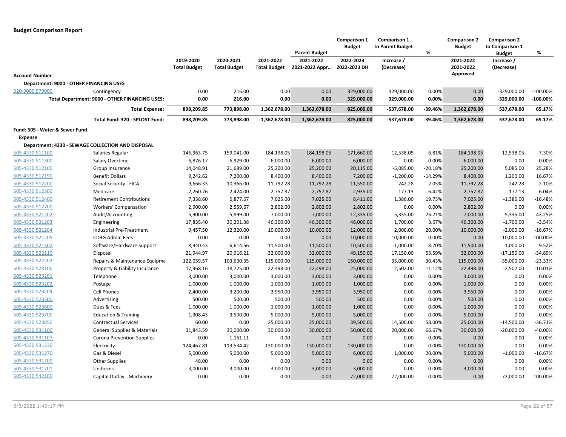|                                                   |                                                |                                  |                                  |                                  | <b>Parent Budget</b>        | Comparison 1<br><b>Budget</b> | <b>Comparison 1</b><br>to Parent Budget | %         | <b>Comparison 2</b><br><b>Budget</b> | <b>Comparison 2</b><br>to Comparison 1<br><b>Budget</b> | %           |
|---------------------------------------------------|------------------------------------------------|----------------------------------|----------------------------------|----------------------------------|-----------------------------|-------------------------------|-----------------------------------------|-----------|--------------------------------------|---------------------------------------------------------|-------------|
|                                                   |                                                | 2019-2020<br><b>Total Budget</b> | 2020-2021<br><b>Total Budget</b> | 2021-2022<br><b>Total Budget</b> | 2021-2022<br>2021-2022 Appr | 2022-2023<br>2022-2023 DH     | Increase /<br>(Decrease)                |           | 2021-2022<br>2021-2022               | Increase /<br>(Decrease)                                |             |
| <b>Account Number</b>                             |                                                |                                  |                                  |                                  |                             |                               |                                         |           | Approved                             |                                                         |             |
| Department: 9000 - OTHER FINANCING USES           |                                                |                                  |                                  |                                  |                             |                               |                                         |           |                                      |                                                         |             |
| 320-9000.579000                                   | Contingency                                    | 0.00                             | 216.00                           | 0.00                             | 0.00                        | 329,000.00                    | 329,000.00                              | 0.00%     | 0.00                                 | $-329,000.00$                                           | $-100.00\%$ |
|                                                   | Total Department: 9000 - OTHER FINANCING USES: | 0.00                             | 216.00                           | 0.00                             | 0.00                        | 329,000.00                    | 329,000.00                              | 0.00%     | 0.00                                 | $-329,000.00$                                           | $-100.00\%$ |
|                                                   | <b>Total Expense:</b>                          | 898,209.85                       | 773,898.00                       | 1,362,678.00                     | 1,362,678.00                | 825,000.00                    | -537,678.00                             | $-39.46%$ | 1,362,678.00                         | 537,678.00                                              | 65.17%      |
|                                                   | Total Fund: 320 - SPLOST Fund:                 | 898,209.85                       | 773,898.00                       | 1,362,678.00                     | 1,362,678.00                | 825,000.00                    | -537,678.00                             | $-39.46%$ | 1,362,678.00                         | 537,678.00                                              | 65.17%      |
| Fund: 505 - Water & Sewer Fund                    |                                                |                                  |                                  |                                  |                             |                               |                                         |           |                                      |                                                         |             |
| Expense                                           |                                                |                                  |                                  |                                  |                             |                               |                                         |           |                                      |                                                         |             |
| Department: 4330 - SEWAGE COLLECTION AND DISPOSAL |                                                |                                  |                                  |                                  |                             |                               |                                         |           |                                      |                                                         |             |
| 505-4330.511100                                   | Salaries Regular                               | 146,963.75                       | 159,041.00                       | 184,198.05                       | 184,198.05                  | 171,660.00                    | $-12,538.05$                            | $-6.81%$  | 184,198.05                           | 12,538.05                                               | 7.30%       |
| 505-4330.511300                                   | Salary Overtime                                | 6,876.17                         | 6,929.00                         | 6,000.00                         | 6,000.00                    | 6,000.00                      | 0.00                                    | 0.00%     | 6,000.00                             | 0.00                                                    | 0.00%       |
| 505-4330.512100                                   | Group Insurance                                | 14,048.91                        | 21,689.00                        | 25,200.00                        | 25,200.00                   | 20,115.00                     | $-5,085.00$                             | $-20.18%$ | 25,200.00                            | 5,085.00                                                | 25.28%      |
| 505-4330.512190                                   | <b>Benefit Dollars</b>                         | 9,242.62                         | 7,200.00                         | 8,400.00                         | 8,400.00                    | 7,200.00                      | $-1,200.00$                             | $-14.29%$ | 8,400.00                             | 1,200.00                                                | 16.67%      |
| 505-4330.512200                                   | Social Security - FICA                         | 9,666.33                         | 10,366.00                        | 11,792.28                        | 11,792.28                   | 11,550.00                     | $-242.28$                               | $-2.05%$  | 11,792.28                            | 242.28                                                  | 2.10%       |
| 505-4330.512300                                   | Medicare                                       | 2,260.76                         | 2,424.00                         | 2,757.87                         | 2,757.87                    | 2,935.00                      | 177.13                                  | 6.42%     | 2,757.87                             | $-177.13$                                               | $-6.04%$    |
| 505-4330.512400                                   | <b>Retirement Contributions</b>                | 7,338.60                         | 6,877.67                         | 7,025.00                         | 7,025.00                    | 8,411.00                      | 1,386.00                                | 19.73%    | 7,025.00                             | $-1,386.00$                                             | $-16.48%$   |
| 505-4330.512700                                   | Workers' Compensation                          | 2,900.00                         | 2,559.67                         | 2,802.00                         | 2,802.00                    | 2,802.00                      | 0.00                                    | 0.00%     | 2,802.00                             | 0.00                                                    | 0.00%       |
| 505-4330.521202                                   | Audit/Accounting                               | 5,900.00                         | 5,899.00                         | 7,000.00                         | 7,000.00                    | 12,335.00                     | 5,335.00                                | 76.21%    | 7,000.00                             | $-5,335.00$                                             | $-43.25%$   |
| 505-4330.521203                                   | Engineering                                    | 17,835.40                        | 30,201.38                        | 46,300.00                        | 46,300.00                   | 48,000.00                     | 1,700.00                                | 3.67%     | 46,300.00                            | $-1,700.00$                                             | $-3.54%$    |
| 505-4330.521204                                   | Industrial Pre-Treatment                       | 9,457.50                         | 12,320.00                        | 10,000.00                        | 10,000.00                   | 12,000.00                     | 2,000.00                                | 20.00%    | 10,000.00                            | $-2,000.00$                                             | $-16.67%$   |
| 505-4330.521205                                   | <b>CDBG Admin Fees</b>                         | 0.00                             | 0.00                             | 0.00                             | 0.00                        | 10,000.00                     | 10,000.00                               | 0.00%     | 0.00                                 | $-10,000.00$                                            | $-100.00\%$ |
| 505-4330.521302                                   | Software/Hardware Support                      | 8,940.43                         | 6,614.56                         | 11,500.00                        | 11,500.00                   | 10,500.00                     | $-1,000.00$                             | $-8.70%$  | 11,500.00                            | 1,000.00                                                | 9.52%       |
| 505-4330.522110                                   | Disposal                                       | 21,944.97                        | 20,916.21                        | 32,000.00                        | 32,000.00                   | 49,150.00                     | 17,150.00                               | 53.59%    | 32,000.00                            | $-17,150.00$                                            | $-34.89%$   |
| 505-4330.522202                                   | Repairs & Maintenance Equipme                  | 122,059.57                       | 103,630.35                       | 115,000.00                       | 115,000.00                  | 150,000.00                    | 35,000.00                               | 30.43%    | 115,000.00                           | $-35,000.00$                                            | $-23.33%$   |
| 505-4330.523100                                   | Property & Liability Insurance                 | 17,968.16                        | 18,725.00                        | 22,498.00                        | 22,498.00                   | 25,000.00                     | 2,502.00                                | 11.12%    | 22,498.00                            | $-2,502.00$                                             | $-10.01%$   |
| 505-4330.523201                                   | Telephone                                      | 3,000.00                         | 3,000.00                         | 3,000.00                         | 3,000.00                    | 3,000.00                      | 0.00                                    | 0.00%     | 3,000.00                             | 0.00                                                    | 0.00%       |
| 505-4330.523202                                   | Postage                                        | 1,000.00                         | 1,000.00                         | 1,000.00                         | 1,000.00                    | 1,000.00                      | 0.00                                    | 0.00%     | 1,000.00                             | 0.00                                                    | 0.00%       |
| 505-4330.523204                                   | <b>Cell Phones</b>                             | 2,400.00                         | 3,200.00                         | 3,950.00                         | 3,950.00                    | 3,950.00                      | 0.00                                    | 0.00%     | 3,950.00                             | 0.00                                                    | 0.00%       |
| 505-4330.523300                                   | Advertising                                    | 500.00                           | 500.00                           | 500.00                           | 500.00                      | 500.00                        | 0.00                                    | 0.00%     | 500.00                               | 0.00                                                    | 0.00%       |
| 505-4330.523600                                   | Dues & Fees                                    | 1,000.00                         | 1,000.00                         | 1,000.00                         | 1,000.00                    | 1,000.00                      | 0.00                                    | 0.00%     | 1,000.00                             | 0.00                                                    | 0.00%       |
| 505-4330.523700                                   | <b>Education &amp; Training</b>                | 1,308.43                         | 3,500.00                         | 5,000.00                         | 5,000.00                    | 5,000.00                      | 0.00                                    | 0.00%     | 5,000.00                             | 0.00                                                    | 0.00%       |
| 505-4330.523850                                   | <b>Contractual Services</b>                    | 60.00                            | 0.00                             | 25,000.00                        | 25,000.00                   | 39,500.00                     | 14,500.00                               | 58.00%    | 25,000.00                            | $-14,500.00$                                            | $-36.71%$   |
| 505-4330.531100                                   | <b>General Supplies &amp; Materials</b>        | 31,843.59                        | 30,000.00                        | 30,000.00                        | 30,000.00                   | 50,000.00                     | 20,000.00                               | 66.67%    | 30,000.00                            | $-20,000.00$                                            | $-40.00%$   |
| 505-4330.531107                                   | Corona Prevention Supplies                     | 0.00                             | 1,161.11                         | 0.00                             | 0.00                        | 0.00                          | 0.00                                    | 0.00%     | 0.00                                 | 0.00                                                    | 0.00%       |
| 505-4330.531230                                   | Electricity                                    | 124,467.81                       | 113,534.42                       | 130,000.00                       | 130,000.00                  | 130,000.00                    | 0.00                                    | 0.00%     | 130,000.00                           | 0.00                                                    | 0.00%       |
| 505-4330.531270                                   | Gas & Diesel                                   | 5,000.00                         | 5,000.00                         | 5,000.00                         | 5,000.00                    | 6,000.00                      | 1,000.00                                | 20.00%    | 5,000.00                             | $-1,000.00$                                             | $-16.67%$   |
| 505-4330.531700                                   | <b>Other Supplies</b>                          | 48.00                            | 0.00                             | 0.00                             | 0.00                        | 0.00                          | 0.00                                    | 0.00%     | 0.00                                 | 0.00                                                    | 0.00%       |
| 505-4330.531701                                   | Uniforms                                       | 3,000.00                         | 3,000.00                         | 3,000.00                         | 3,000.00                    | 3,000.00                      | 0.00                                    | 0.00%     | 3,000.00                             | 0.00                                                    | 0.00%       |
| 505-4330.542100                                   | Capital Outlay - Machinery                     | 0.00                             | 0.00                             | 0.00                             | 0.00                        | 72,000.00                     | 72,000.00                               | 0.00%     | 0.00                                 | $-72,000.00$                                            | $-100.00\%$ |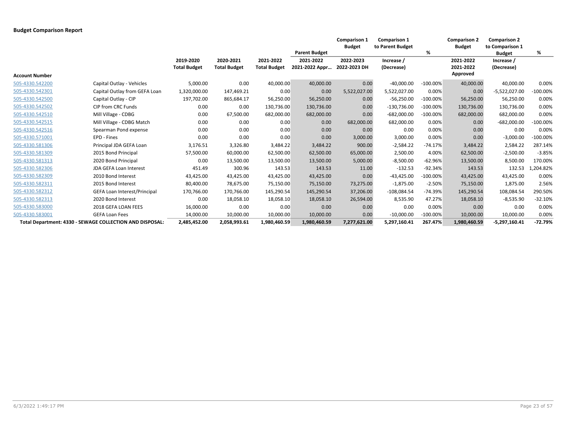|                       |                                                          |                                  |                                  |                                  |                             | <b>Comparison 1</b><br><b>Budget</b> | <b>Comparison 1</b><br>to Parent Budget |             | <b>Comparison 2</b><br><b>Budget</b> | <b>Comparison 2</b><br>to Comparison 1 |             |
|-----------------------|----------------------------------------------------------|----------------------------------|----------------------------------|----------------------------------|-----------------------------|--------------------------------------|-----------------------------------------|-------------|--------------------------------------|----------------------------------------|-------------|
|                       |                                                          |                                  |                                  |                                  | <b>Parent Budget</b>        |                                      |                                         | %           |                                      | <b>Budget</b>                          | %           |
|                       |                                                          | 2019-2020<br><b>Total Budget</b> | 2020-2021<br><b>Total Budget</b> | 2021-2022<br><b>Total Budget</b> | 2021-2022<br>2021-2022 Appr | 2022-2023<br>2022-2023 DH            | Increase /<br>(Decrease)                |             | 2021-2022<br>2021-2022               | Increase /<br>(Decrease)               |             |
| <b>Account Number</b> |                                                          |                                  |                                  |                                  |                             |                                      |                                         |             | Approved                             |                                        |             |
| 505-4330.542200       | Capital Outlay - Vehicles                                | 5,000.00                         | 0.00                             | 40,000.00                        | 40,000.00                   | 0.00                                 | $-40,000.00$                            | $-100.00%$  | 40,000.00                            | 40,000.00                              | 0.00%       |
| 505-4330.542301       | Capital Outlay from GEFA Loan                            | 1,320,000.00                     | 147,469.21                       | 0.00                             | 0.00                        | 5,522,027.00                         | 5,522,027.00                            | 0.00%       | 0.00                                 | $-5,522,027.00$                        | $-100.00%$  |
| 505-4330.542500       | Capital Outlay - CIP                                     | 197,702.00                       | 865,684.17                       | 56,250.00                        | 56,250.00                   | 0.00                                 | $-56,250.00$                            | $-100.00%$  | 56,250.00                            | 56,250.00                              | 0.00%       |
| 505-4330.542502       | CIP from CRC Funds                                       | 0.00                             | 0.00                             | 130,736.00                       | 130,736.00                  | 0.00                                 | $-130,736.00$                           | $-100.00%$  | 130,736.00                           | 130,736.00                             | 0.00%       |
| 505-4330.542510       | Mill Village - CDBG                                      | 0.00                             | 67,500.00                        | 682,000.00                       | 682,000.00                  | 0.00                                 | $-682,000.00$                           | $-100.00\%$ | 682,000.00                           | 682,000.00                             | 0.00%       |
| 505-4330.542515       | Mill Village - CDBG Match                                | 0.00                             | 0.00                             | 0.00                             | 0.00                        | 682,000.00                           | 682,000.00                              | 0.00%       | 0.00                                 | $-682,000.00$                          | $-100.00\%$ |
| 505-4330.542516       | Spearman Pond expense                                    | 0.00                             | 0.00                             | 0.00                             | 0.00                        | 0.00                                 | 0.00                                    | 0.00%       | 0.00                                 | 0.00                                   | 0.00%       |
| 505-4330.571001       | EPD - Fines                                              | 0.00                             | 0.00                             | 0.00                             | 0.00                        | 3,000.00                             | 3,000.00                                | 0.00%       | 0.00                                 | $-3,000.00$                            | $-100.00%$  |
| 505-4330.581306       | Principal JDA GEFA Loan                                  | 3,176.51                         | 3,326.80                         | 3,484.22                         | 3,484.22                    | 900.00                               | $-2,584.22$                             | $-74.17%$   | 3,484.22                             | 2,584.22                               | 287.14%     |
| 505-4330.581309       | 2015 Bond Principal                                      | 57,500.00                        | 60,000.00                        | 62,500.00                        | 62,500.00                   | 65,000.00                            | 2,500.00                                | 4.00%       | 62,500.00                            | $-2,500.00$                            | $-3.85%$    |
| 505-4330.581313       | 2020 Bond Principal                                      | 0.00                             | 13,500.00                        | 13,500.00                        | 13,500.00                   | 5,000.00                             | $-8,500.00$                             | $-62.96%$   | 13,500.00                            | 8,500.00                               | 170.00%     |
| 505-4330.582306       | <b>JDA GEFA Loan Interest</b>                            | 451.49                           | 300.96                           | 143.53                           | 143.53                      | 11.00                                | $-132.53$                               | $-92.34%$   | 143.53                               | 132.53                                 | 1,204.82%   |
| 505-4330.582309       | 2010 Bond Interest                                       | 43,425.00                        | 43,425.00                        | 43,425.00                        | 43,425.00                   | 0.00                                 | $-43,425.00$                            | $-100.00%$  | 43,425.00                            | 43,425.00                              | 0.00%       |
| 505-4330.582311       | 2015 Bond Interest                                       | 80,400.00                        | 78,675.00                        | 75,150.00                        | 75,150.00                   | 73,275.00                            | $-1,875.00$                             | $-2.50%$    | 75,150.00                            | 1,875.00                               | 2.56%       |
| 505-4330.582312       | GEFA Loan Interest/Principal                             | 170,766.00                       | 170,766.00                       | 145,290.54                       | 145,290.54                  | 37,206.00                            | $-108,084.54$                           | $-74.39%$   | 145,290.54                           | 108,084.54                             | 290.50%     |
| 505-4330.582313       | 2020 Bond Interest                                       | 0.00                             | 18,058.10                        | 18,058.10                        | 18,058.10                   | 26,594.00                            | 8,535.90                                | 47.27%      | 18,058.10                            | $-8,535.90$                            | $-32.10%$   |
| 505-4330.583000       | 2018 GEFA LOAN FEES                                      | 16,000.00                        | 0.00                             | 0.00                             | 0.00                        | 0.00                                 | 0.00                                    | 0.00%       | 0.00                                 | 0.00                                   | 0.00%       |
| 505-4330.583001       | <b>GEFA Loan Fees</b>                                    | 14,000.00                        | 10,000.00                        | 10,000.00                        | 10,000.00                   | 0.00                                 | $-10,000.00$                            | $-100.00%$  | 10,000.00                            | 10,000.00                              | 0.00%       |
|                       | Total Department: 4330 - SEWAGE COLLECTION AND DISPOSAL: | 2.485.452.00                     | 2.058.993.61                     | 1.980.460.59                     | 1.980.460.59                | 7,277,621.00                         | 5.297.160.41                            | 267.47%     | 1,980,460.59                         | $-5.297.160.41$                        | $-72.79%$   |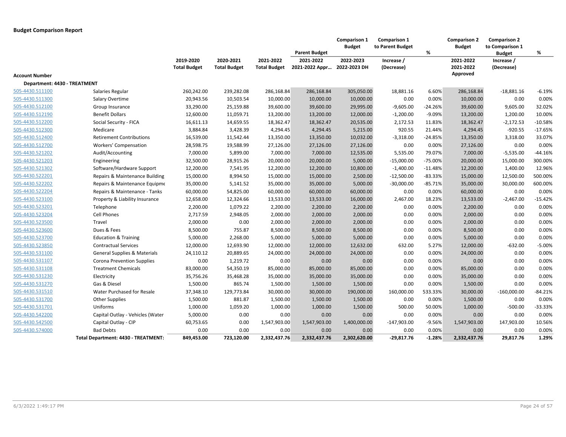|                              |                                         |                                  |                                  |                                  | <b>Parent Budget</b>        | Comparison 1<br><b>Budget</b> | <b>Comparison 1</b><br>to Parent Budget | %         | <b>Comparison 2</b><br><b>Budget</b> | <b>Comparison 2</b><br>to Comparison 1<br><b>Budget</b> | %         |
|------------------------------|-----------------------------------------|----------------------------------|----------------------------------|----------------------------------|-----------------------------|-------------------------------|-----------------------------------------|-----------|--------------------------------------|---------------------------------------------------------|-----------|
|                              |                                         | 2019-2020<br><b>Total Budget</b> | 2020-2021<br><b>Total Budget</b> | 2021-2022<br><b>Total Budget</b> | 2021-2022<br>2021-2022 Appr | 2022-2023<br>2022-2023 DH     | Increase /<br>(Decrease)                |           | 2021-2022<br>2021-2022               | Increase /<br>(Decrease)                                |           |
| <b>Account Number</b>        |                                         |                                  |                                  |                                  |                             |                               |                                         |           | Approved                             |                                                         |           |
| Department: 4430 - TREATMENT |                                         |                                  |                                  |                                  |                             |                               |                                         |           |                                      |                                                         |           |
| 505-4430.511100              | Salaries Regular                        | 260,242.00                       | 239,282.08                       | 286,168.84                       | 286,168.84                  | 305,050.00                    | 18,881.16                               | 6.60%     | 286,168.84                           | $-18,881.16$                                            | $-6.19%$  |
| 505-4430.511300              | Salary Overtime                         | 20,943.56                        | 10,503.54                        | 10,000.00                        | 10,000.00                   | 10,000.00                     | 0.00                                    | 0.00%     | 10,000.00                            | 0.00                                                    | 0.00%     |
| 505-4430.512100              | Group Insurance                         | 33,290.00                        | 25,159.88                        | 39,600.00                        | 39,600.00                   | 29,995.00                     | $-9,605.00$                             | $-24.26%$ | 39,600.00                            | 9,605.00                                                | 32.02%    |
| 505-4430.512190              | <b>Benefit Dollars</b>                  | 12,600.00                        | 11,059.71                        | 13,200.00                        | 13,200.00                   | 12,000.00                     | $-1,200.00$                             | $-9.09%$  | 13,200.00                            | 1,200.00                                                | 10.00%    |
| 505-4430.512200              | Social Security - FICA                  | 16,611.13                        | 14,659.55                        | 18,362.47                        | 18,362.47                   | 20,535.00                     | 2,172.53                                | 11.83%    | 18,362.47                            | $-2,172.53$                                             | $-10.58%$ |
| 505-4430.512300              | Medicare                                | 3,884.84                         | 3,428.39                         | 4,294.45                         | 4,294.45                    | 5,215.00                      | 920.55                                  | 21.44%    | 4,294.45                             | $-920.55$                                               | $-17.65%$ |
| 505-4430.512400              | <b>Retirement Contributions</b>         | 16,539.00                        | 11,542.44                        | 13,350.00                        | 13,350.00                   | 10,032.00                     | $-3,318.00$                             | $-24.85%$ | 13,350.00                            | 3,318.00                                                | 33.07%    |
| 505-4430.512700              | Workers' Compensation                   | 28,598.75                        | 19,588.99                        | 27,126.00                        | 27,126.00                   | 27,126.00                     | 0.00                                    | 0.00%     | 27,126.00                            | 0.00                                                    | 0.00%     |
| 505-4430.521202              | Audit/Accounting                        | 7,000.00                         | 5,899.00                         | 7,000.00                         | 7,000.00                    | 12,535.00                     | 5,535.00                                | 79.07%    | 7,000.00                             | $-5,535.00$                                             | $-44.16%$ |
| 505-4430.521203              | Engineering                             | 32,500.00                        | 28,915.26                        | 20,000.00                        | 20,000.00                   | 5,000.00                      | $-15,000.00$                            | $-75.00%$ | 20,000.00                            | 15,000.00                                               | 300.00%   |
| 505-4430.521302              | Software/Hardware Support               | 12,200.00                        | 7,541.95                         | 12,200.00                        | 12,200.00                   | 10,800.00                     | $-1,400.00$                             | $-11.48%$ | 12,200.00                            | 1,400.00                                                | 12.96%    |
| 505-4430.522201              | Repairs & Maintenance Building          | 15,000.00                        | 8,994.50                         | 15,000.00                        | 15,000.00                   | 2,500.00                      | $-12,500.00$                            | $-83.33%$ | 15,000.00                            | 12,500.00                                               | 500.00%   |
| 505-4430.522202              | Repairs & Maintenance Equipme           | 35,000.00                        | 5,141.52                         | 35,000.00                        | 35,000.00                   | 5,000.00                      | $-30,000.00$                            | $-85.71%$ | 35,000.00                            | 30,000.00                                               | 600.00%   |
| 505-4430.522204              | Repairs & Maintenance - Tanks           | 60,000.00                        | 54,825.00                        | 60,000.00                        | 60,000.00                   | 60,000.00                     | 0.00                                    | 0.00%     | 60,000.00                            | 0.00                                                    | 0.00%     |
| 505-4430.523100              | Property & Liability Insurance          | 12,658.00                        | 12,324.66                        | 13,533.00                        | 13,533.00                   | 16,000.00                     | 2,467.00                                | 18.23%    | 13,533.00                            | $-2,467.00$                                             | $-15.42%$ |
| 505-4430.523201              | Telephone                               | 2,200.00                         | 1,079.22                         | 2,200.00                         | 2,200.00                    | 2,200.00                      | 0.00                                    | 0.00%     | 2,200.00                             | 0.00                                                    | 0.00%     |
| 505-4430.523204              | Cell Phones                             | 2,717.59                         | 2,948.05                         | 2,000.00                         | 2,000.00                    | 2,000.00                      | 0.00                                    | 0.00%     | 2,000.00                             | 0.00                                                    | 0.00%     |
| 505-4430.523500              | Travel                                  | 2,000.00                         | 0.00                             | 2,000.00                         | 2,000.00                    | 2,000.00                      | 0.00                                    | 0.00%     | 2,000.00                             | 0.00                                                    | 0.00%     |
| 505-4430.523600              | Dues & Fees                             | 8,500.00                         | 755.87                           | 8,500.00                         | 8,500.00                    | 8,500.00                      | 0.00                                    | 0.00%     | 8,500.00                             | 0.00                                                    | 0.00%     |
| 505-4430.523700              | <b>Education &amp; Training</b>         | 5,000.00                         | 2,268.00                         | 5,000.00                         | 5,000.00                    | 5,000.00                      | 0.00                                    | 0.00%     | 5,000.00                             | 0.00                                                    | 0.00%     |
| 505-4430.523850              | <b>Contractual Services</b>             | 12,000.00                        | 12,693.90                        | 12,000.00                        | 12,000.00                   | 12,632.00                     | 632.00                                  | 5.27%     | 12,000.00                            | $-632.00$                                               | -5.00%    |
| 505-4430.531100              | <b>General Supplies &amp; Materials</b> | 24,110.12                        | 20,889.65                        | 24,000.00                        | 24,000.00                   | 24,000.00                     | 0.00                                    | 0.00%     | 24,000.00                            | 0.00                                                    | 0.00%     |
| 505-4430.531107              | <b>Corona Prevention Supplies</b>       | 0.00                             | 1,219.72                         | 0.00                             | 0.00                        | 0.00                          | 0.00                                    | 0.00%     | 0.00                                 | 0.00                                                    | 0.00%     |
| 505-4430.531108              | <b>Treatment Chemicals</b>              | 83,000.00                        | 54,350.19                        | 85,000.00                        | 85,000.00                   | 85,000.00                     | 0.00                                    | 0.00%     | 85,000.00                            | 0.00                                                    | 0.00%     |
| 505-4430.531230              | Electricity                             | 35,756.26                        | 35,468.28                        | 35,000.00                        | 35,000.00                   | 35,000.00                     | 0.00                                    | 0.00%     | 35,000.00                            | 0.00                                                    | 0.00%     |
| 505-4430.531270              | Gas & Diesel                            | 1,500.00                         | 865.74                           | 1,500.00                         | 1,500.00                    | 1,500.00                      | 0.00                                    | 0.00%     | 1,500.00                             | 0.00                                                    | 0.00%     |
| 505-4430.531510              | Water Purchased for Resale              | 37,348.10                        | 129,773.84                       | 30,000.00                        | 30,000.00                   | 190,000.00                    | 160,000.00                              | 533.33%   | 30,000.00                            | $-160,000.00$                                           | -84.21%   |
| 505-4430.531700              | <b>Other Supplies</b>                   | 1,500.00                         | 881.87                           | 1,500.00                         | 1,500.00                    | 1,500.00                      | 0.00                                    | 0.00%     | 1,500.00                             | 0.00                                                    | 0.00%     |
| 505-4430.531701              | Uniforms                                | 1,000.00                         | 1,059.20                         | 1,000.00                         | 1,000.00                    | 1,500.00                      | 500.00                                  | 50.00%    | 1,000.00                             | $-500.00$                                               | -33.33%   |
| 505-4430.542200              | Capital Outlay - Vehicles (Water        | 5,000.00                         | 0.00                             | 0.00                             | 0.00                        | 0.00                          | 0.00                                    | 0.00%     | 0.00                                 | 0.00                                                    | 0.00%     |
| 505-4430.542500              | Capital Outlay - CIP                    | 60,753.65                        | 0.00                             | 1,547,903.00                     | 1,547,903.00                | 1,400,000.00                  | -147,903.00                             | $-9.56%$  | 1,547,903.00                         | 147,903.00                                              | 10.56%    |
| 505-4430.574000              | <b>Bad Debts</b>                        | 0.00                             | 0.00                             | 0.00                             | 0.00                        | 0.00                          | 0.00                                    | 0.00%     | 0.00                                 | 0.00                                                    | 0.00%     |
|                              | Total Department: 4430 - TREATMENT:     | 849,453.00                       | 723,120.00                       | 2,332,437.76                     | 2,332,437.76                | 2,302,620.00                  | $-29,817.76$                            | $-1.28%$  | 2,332,437.76                         | 29,817.76                                               | 1.29%     |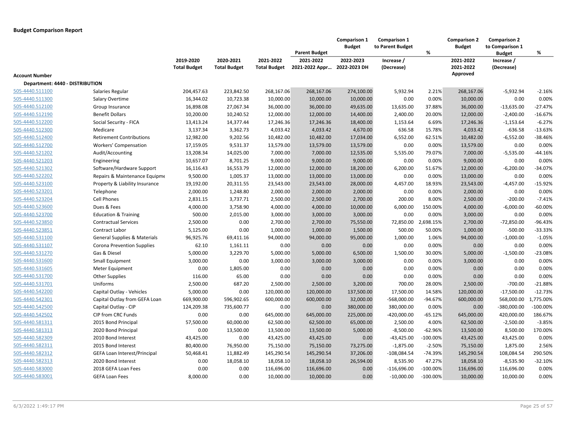|                                 |                                   |                                  |                                  |                                  | <b>Parent Budget</b>        | Comparison 1<br><b>Budget</b> | <b>Comparison 1</b><br>to Parent Budget | %          | <b>Comparison 2</b><br><b>Budget</b> | <b>Comparison 2</b><br>to Comparison 1<br><b>Budget</b> | %           |
|---------------------------------|-----------------------------------|----------------------------------|----------------------------------|----------------------------------|-----------------------------|-------------------------------|-----------------------------------------|------------|--------------------------------------|---------------------------------------------------------|-------------|
|                                 |                                   | 2019-2020<br><b>Total Budget</b> | 2020-2021<br><b>Total Budget</b> | 2021-2022<br><b>Total Budget</b> | 2021-2022<br>2021-2022 Appr | 2022-2023<br>2022-2023 DH     | Increase /<br>(Decrease)                |            | 2021-2022<br>2021-2022               | Increase /<br>(Decrease)                                |             |
| <b>Account Number</b>           |                                   |                                  |                                  |                                  |                             |                               |                                         |            | Approved                             |                                                         |             |
| Department: 4440 - DISTRIBUTION |                                   |                                  |                                  |                                  |                             |                               |                                         |            |                                      |                                                         |             |
| 505-4440.511100                 | Salaries Regular                  | 204,457.63                       | 223,842.50                       | 268,167.06                       | 268,167.06                  | 274,100.00                    | 5,932.94                                | 2.21%      | 268,167.06                           | $-5,932.94$                                             | $-2.16%$    |
| 505-4440.511300                 | Salary Overtime                   | 16,344.02                        | 10,723.38                        | 10,000.00                        | 10,000.00                   | 10,000.00                     | 0.00                                    | 0.00%      | 10,000.00                            | 0.00                                                    | 0.00%       |
| 505-4440.512100                 | Group Insurance                   | 16,898.08                        | 27,067.34                        | 36,000.00                        | 36,000.00                   | 49,635.00                     | 13,635.00                               | 37.88%     | 36,000.00                            | $-13,635.00$                                            | $-27.47%$   |
| 505-4440.512190                 | <b>Benefit Dollars</b>            | 10,200.00                        | 10,240.52                        | 12,000.00                        | 12,000.00                   | 14,400.00                     | 2,400.00                                | 20.00%     | 12,000.00                            | $-2,400.00$                                             | $-16.67%$   |
| 505-4440.512200                 | Social Security - FICA            | 13,413.24                        | 14,377.44                        | 17,246.36                        | 17,246.36                   | 18,400.00                     | 1,153.64                                | 6.69%      | 17,246.36                            | $-1,153.64$                                             | $-6.27%$    |
| 505-4440.512300                 | Medicare                          | 3,137.34                         | 3,362.73                         | 4,033.42                         | 4,033.42                    | 4,670.00                      | 636.58                                  | 15.78%     | 4,033.42                             | $-636.58$                                               | $-13.63%$   |
| 505-4440.512400                 | <b>Retirement Contributions</b>   | 12,982.00                        | 9,202.56                         | 10,482.00                        | 10,482.00                   | 17,034.00                     | 6,552.00                                | 62.51%     | 10,482.00                            | $-6,552.00$                                             | $-38.46%$   |
| 505-4440.512700                 | <b>Workers' Compensation</b>      | 17,159.05                        | 9,531.37                         | 13,579.00                        | 13,579.00                   | 13,579.00                     | 0.00                                    | 0.00%      | 13,579.00                            | 0.00                                                    | 0.00%       |
| 505-4440.521202                 | Audit/Accounting                  | 13,208.34                        | 14,025.00                        | 7,000.00                         | 7,000.00                    | 12,535.00                     | 5,535.00                                | 79.07%     | 7,000.00                             | $-5,535.00$                                             | -44.16%     |
| 505-4440.521203                 | Engineering                       | 10,657.07                        | 8,701.25                         | 9,000.00                         | 9,000.00                    | 9,000.00                      | 0.00                                    | 0.00%      | 9,000.00                             | 0.00                                                    | 0.00%       |
| 505-4440.521302                 | Software/Hardware Support         | 16,116.43                        | 16,553.79                        | 12,000.00                        | 12,000.00                   | 18,200.00                     | 6,200.00                                | 51.67%     | 12,000.00                            | $-6,200.00$                                             | $-34.07%$   |
| 505-4440.522202                 | Repairs & Maintenance Equipme     | 9,500.00                         | 1,005.37                         | 13,000.00                        | 13,000.00                   | 13,000.00                     | 0.00                                    | 0.00%      | 13,000.00                            | 0.00                                                    | 0.00%       |
| 505-4440.523100                 | Property & Liability Insurance    | 19,192.00                        | 20,311.55                        | 23,543.00                        | 23,543.00                   | 28,000.00                     | 4,457.00                                | 18.93%     | 23,543.00                            | $-4,457.00$                                             | $-15.92%$   |
| 505-4440.523201                 | Telephone                         | 2,000.00                         | 1,248.80                         | 2,000.00                         | 2,000.00                    | 2,000.00                      | 0.00                                    | 0.00%      | 2,000.00                             | 0.00                                                    | 0.00%       |
| 505-4440.523204                 | <b>Cell Phones</b>                | 2,831.15                         | 3,737.71                         | 2,500.00                         | 2,500.00                    | 2,700.00                      | 200.00                                  | 8.00%      | 2,500.00                             | $-200.00$                                               | $-7.41%$    |
| 505-4440.523600                 | Dues & Fees                       | 4,000.00                         | 3,758.90                         | 4,000.00                         | 4,000.00                    | 10,000.00                     | 6,000.00                                | 150.00%    | 4,000.00                             | $-6,000.00$                                             | $-60.00\%$  |
| 505-4440.523700                 | <b>Education &amp; Training</b>   | 500.00                           | 2,015.00                         | 3,000.00                         | 3,000.00                    | 3,000.00                      | 0.00                                    | 0.00%      | 3,000.00                             | 0.00                                                    | 0.00%       |
| 505-4440.523850                 | <b>Contractual Services</b>       | 2,500.00                         | 0.00                             | 2,700.00                         | 2,700.00                    | 75,550.00                     | 72,850.00                               | 2,698.15%  | 2,700.00                             | $-72,850.00$                                            | $-96.43%$   |
| 505-4440.523851                 | Contract Labor                    | 5,125.00                         | 0.00                             | 1,000.00                         | 1,000.00                    | 1,500.00                      | 500.00                                  | 50.00%     | 1,000.00                             | $-500.00$                                               | $-33.33%$   |
| 505-4440.531100                 | General Supplies & Materials      | 96,925.76                        | 69,411.16                        | 94,000.00                        | 94,000.00                   | 95,000.00                     | 1,000.00                                | 1.06%      | 94,000.00                            | $-1,000.00$                                             | $-1.05%$    |
| 505-4440.531107                 | <b>Corona Prevention Supplies</b> | 62.10                            | 1,161.11                         | 0.00                             | 0.00                        | 0.00                          | 0.00                                    | 0.00%      | 0.00                                 | 0.00                                                    | 0.00%       |
| 505-4440.531270                 | Gas & Diesel                      | 5,000.00                         | 3,229.70                         | 5,000.00                         | 5,000.00                    | 6,500.00                      | 1,500.00                                | 30.00%     | 5,000.00                             | $-1,500.00$                                             | $-23.08%$   |
| 505-4440.531600                 | Small Equipment                   | 3,000.00                         | 0.00                             | 3,000.00                         | 3,000.00                    | 3,000.00                      | 0.00                                    | 0.00%      | 3,000.00                             | 0.00                                                    | 0.00%       |
| 505-4440.531605                 | Meter Equipment                   | 0.00                             | 1,805.00                         | 0.00                             | 0.00                        | 0.00                          | 0.00                                    | 0.00%      | 0.00                                 | 0.00                                                    | 0.00%       |
| 505-4440.531700                 | <b>Other Supplies</b>             | 116.00                           | 65.00                            | 0.00                             | 0.00                        | 0.00                          | 0.00                                    | 0.00%      | 0.00                                 | 0.00                                                    | 0.00%       |
| 505-4440.531701                 | Uniforms                          | 2,500.00                         | 687.20                           | 2,500.00                         | 2,500.00                    | 3,200.00                      | 700.00                                  | 28.00%     | 2,500.00                             | $-700.00$                                               | $-21.88%$   |
| 505-4440.542200                 | Capital Outlay - Vehicles         | 5,000.00                         | 0.00                             | 120,000.00                       | 120,000.00                  | 137,500.00                    | 17,500.00                               | 14.58%     | 120,000.00                           | $-17,500.00$                                            | $-12.73%$   |
| 505-4440.542301                 | Capital Outlay from GEFA Loan     | 669,900.00                       | 596,902.65                       | 600,000.00                       | 600,000.00                  | 32,000.00                     | $-568,000.00$                           | $-94.67%$  | 600,000.00                           | 568,000.00                                              | 1,775.00%   |
| 505-4440.542500                 | Capital Outlay - CIP              | 124,209.38                       | 735,600.77                       | 0.00                             | 0.00                        | 380,000.00                    | 380,000.00                              | 0.00%      | 0.00                                 | -380,000.00                                             | $-100.00\%$ |
| 505-4440.542502                 | CIP from CRC Funds                | 0.00                             | 0.00                             | 645,000.00                       | 645,000.00                  | 225,000.00                    | $-420,000.00$                           | $-65.12%$  | 645,000.00                           | 420,000.00                                              | 186.67%     |
| 505-4440.581311                 | 2015 Bond Principal               | 57,500.00                        | 60,000.00                        | 62,500.00                        | 62,500.00                   | 65,000.00                     | 2,500.00                                | 4.00%      | 62,500.00                            | $-2,500.00$                                             | $-3.85%$    |
| 505-4440.581313                 | 2020 Bond Principal               | 0.00                             | 13,500.00                        | 13,500.00                        | 13,500.00                   | 5,000.00                      | $-8,500.00$                             | $-62.96%$  | 13,500.00                            | 8,500.00                                                | 170.00%     |
| 505-4440.582309                 | 2010 Bond Interest                | 43,425.00                        | 0.00                             | 43,425.00                        | 43,425.00                   | 0.00                          | $-43,425.00$                            | $-100.00%$ | 43,425.00                            | 43,425.00                                               | 0.00%       |
| 505-4440.582311                 | 2015 Bond Interest                | 80,400.00                        | 76,950.00                        | 75,150.00                        | 75,150.00                   | 73,275.00                     | $-1,875.00$                             | $-2.50%$   | 75,150.00                            | 1,875.00                                                | 2.56%       |
| 505-4440.582312                 | GEFA Loan Interest/Principal      | 50,468.41                        | 11,882.49                        | 145,290.54                       | 145,290.54                  | 37,206.00                     | $-108,084.54$                           | $-74.39%$  | 145,290.54                           | 108,084.54                                              | 290.50%     |
| 505-4440.582313                 | 2020 Bond Interest                | 0.00                             | 18,058.10                        | 18,058.10                        | 18,058.10                   | 26,594.00                     | 8,535.90                                | 47.27%     | 18,058.10                            | $-8,535.90$                                             | $-32.10%$   |
| 505-4440.583000                 | 2018 GEFA Loan Fees               | 0.00                             | 0.00                             | 116,696.00                       | 116,696.00                  | 0.00                          | $-116,696.00$                           | $-100.00%$ | 116,696.00                           | 116,696.00                                              | 0.00%       |
| 505-4440.583001                 | <b>GEFA Loan Fees</b>             | 8,000.00                         | 0.00                             | 10,000.00                        | 10,000.00                   | 0.00                          | $-10,000.00$                            | $-100.00%$ | 10,000.00                            | 10,000.00                                               | 0.00%       |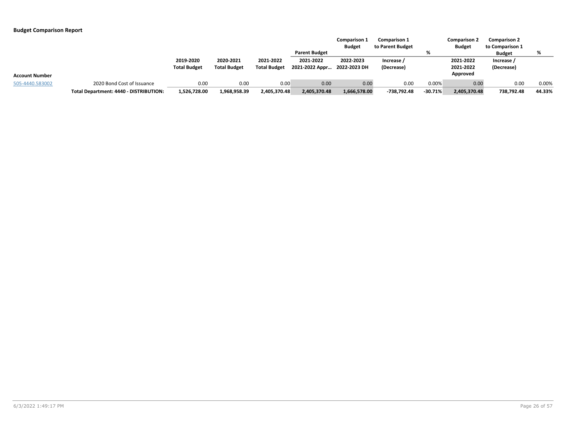|                       |                                        |                     |                     |                     |                      | <b>Comparison 1</b><br><b>Budget</b> | <b>Comparison 1</b><br>to Parent Budget |           | <b>Comparison 2</b><br><b>Budget</b> | <b>Comparison 2</b><br>to Comparison 1 |        |
|-----------------------|----------------------------------------|---------------------|---------------------|---------------------|----------------------|--------------------------------------|-----------------------------------------|-----------|--------------------------------------|----------------------------------------|--------|
|                       |                                        |                     |                     |                     | <b>Parent Budget</b> |                                      |                                         |           |                                      | <b>Budget</b>                          |        |
|                       |                                        | 2019-2020           | 2020-2021           | 2021-2022           | 2021-2022            | 2022-2023                            | Increase /                              |           | 2021-2022                            | Increase /                             |        |
|                       |                                        | <b>Total Budget</b> | <b>Total Budget</b> | <b>Total Budget</b> | 2021-2022 Appr       | 2022-2023 DH                         | (Decrease)                              |           | 2021-2022<br>Approved                | (Decrease)                             |        |
| <b>Account Number</b> |                                        |                     |                     |                     |                      |                                      |                                         |           |                                      |                                        |        |
| 505-4440.583002       | 2020 Bond Cost of Issuance             | 0.00                | 0.00                | 0.00                | 0.00                 | 0.00                                 | 0.00                                    | 0.00%     | 0.00                                 | 0.00                                   | 0.00%  |
|                       | Total Department: 4440 - DISTRIBUTION: | 1,526,728.00        | 1,968,958.39        | 2,405,370.48        | 2,405,370.48         | 1,666,578.00                         | -738,792.48                             | $-30.71%$ | 2,405,370.48                         | 738,792.48                             | 44.33% |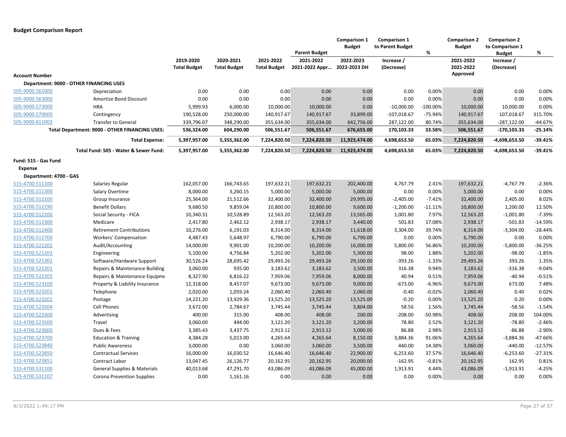|                        |                                                |                                  |                                  |                                  | <b>Parent Budget</b>        | Comparison 1<br><b>Budget</b> | <b>Comparison 1</b><br>to Parent Budget | %           | <b>Comparison 2</b><br><b>Budget</b> | <b>Comparison 2</b><br>to Comparison 1<br><b>Budget</b> | %         |
|------------------------|------------------------------------------------|----------------------------------|----------------------------------|----------------------------------|-----------------------------|-------------------------------|-----------------------------------------|-------------|--------------------------------------|---------------------------------------------------------|-----------|
|                        |                                                | 2019-2020<br><b>Total Budget</b> | 2020-2021<br><b>Total Budget</b> | 2021-2022<br><b>Total Budget</b> | 2021-2022<br>2021-2022 Appr | 2022-2023<br>2022-2023 DH     | Increase /<br>(Decrease)                |             | 2021-2022<br>2021-2022               | Increase /<br>(Decrease)                                |           |
| <b>Account Number</b>  |                                                |                                  |                                  |                                  |                             |                               |                                         |             | Approved                             |                                                         |           |
|                        | Department: 9000 - OTHER FINANCING USES        |                                  |                                  |                                  |                             |                               |                                         |             |                                      |                                                         |           |
| 505-9000.561000        | Depreciation                                   | 0.00                             | 0.00                             | 0.00                             | 0.00                        | 0.00                          | 0.00                                    | 0.00%       | 0.00                                 | 0.00                                                    | 0.00%     |
| 505-9000.563000        | Amortize Bond Discount                         | 0.00                             | 0.00                             | 0.00                             | 0.00                        | 0.00                          | 0.00                                    | 0.00%       | 0.00                                 | 0.00                                                    | 0.00%     |
| 505-9000.573000        | <b>HRA</b>                                     | 5,999.93                         | 6,000.00                         | 10,000.00                        | 10,000.00                   | 0.00                          | $-10,000.00$                            | $-100.00\%$ | 10,000.00                            | 10,000.00                                               | 0.00%     |
| 505-9000.579000        | Contingency                                    | 190,528.00                       | 250,000.00                       | 140,917.67                       | 140,917.67                  | 33,899.00                     | $-107,018.67$                           | $-75.94%$   | 140,917.67                           | 107,018.67                                              | 315.70%   |
| 505-9000.611003        | <b>Transfer to General</b>                     | 339,796.07                       | 348,290.00                       | 355,634.00                       | 355,634.00                  | 642,756.00                    | 287,122.00                              | 80.74%      | 355,634.00                           | $-287,122.00$                                           | $-44.67%$ |
|                        | Total Department: 9000 - OTHER FINANCING USES: | 536,324.00                       | 604,290.00                       | 506,551.67                       | 506,551.67                  | 676,655.00                    | 170,103.33                              | 33.58%      | 506,551.67                           | -170,103.33                                             | $-25.14%$ |
|                        | <b>Total Expense:</b>                          | 5,397,957.00                     | 5,355,362.00                     | 7,224,820.50                     | 7,224,820.50                | 11,923,474.00                 | 4,698,653.50                            | 65.03%      | 7,224,820.50                         | -4,698,653.50                                           | $-39.41%$ |
|                        | Total Fund: 505 - Water & Sewer Fund:          | 5,397,957.00                     | 5,355,362.00                     | 7,224,820.50                     | 7,224,820.50                | 11,923,474.00                 | 4,698,653.50                            | 65.03%      | 7,224,820.50                         | -4,698,653.50                                           | $-39.41%$ |
| Fund: 515 - Gas Fund   |                                                |                                  |                                  |                                  |                             |                               |                                         |             |                                      |                                                         |           |
| <b>Expense</b>         |                                                |                                  |                                  |                                  |                             |                               |                                         |             |                                      |                                                         |           |
| Department: 4700 - GAS |                                                |                                  |                                  |                                  |                             |                               |                                         |             |                                      |                                                         |           |
| 515-4700.511100        | Salaries Regular                               | 162,057.00                       | 166,743.65                       | 197,632.21                       | 197,632.21                  | 202,400.00                    | 4,767.79                                | 2.41%       | 197,632.21                           | $-4,767.79$                                             | $-2.36%$  |
| 515-4700.511300        | Salary Overtime                                | 8,000.00                         | 3,260.15                         | 5,000.00                         | 5,000.00                    | 5,000.00                      | 0.00                                    | 0.00%       | 5,000.00                             | 0.00                                                    | 0.00%     |
| 515-4700.512100        | Group Insurance                                | 25,364.00                        | 21,512.66                        | 32,400.00                        | 32,400.00                   | 29,995.00                     | $-2,405.00$                             | $-7.42%$    | 32,400.00                            | 2,405.00                                                | 8.02%     |
| 515-4700.512190        | <b>Benefit Dollars</b>                         | 9,680.50                         | 9,859.04                         | 10,800.00                        | 10,800.00                   | 9,600.00                      | $-1,200.00$                             | $-11.11%$   | 10,800.00                            | 1,200.00                                                | 12.50%    |
| 515-4700.512200        | Social Security - FICA                         | 10,340.31                        | 10,528.89                        | 12,563.20                        | 12,563.20                   | 13,565.00                     | 1,001.80                                | 7.97%       | 12,563.20                            | $-1,001.80$                                             | $-7.39%$  |
| 515-4700.512300        | Medicare                                       | 2,417.80                         | 2,462.12                         | 2,938.17                         | 2,938.17                    | 3,440.00                      | 501.83                                  | 17.08%      | 2,938.17                             | $-501.83$                                               | $-14.59%$ |
| 515-4700.512400        | <b>Retirement Contributions</b>                | 10,276.00                        | 6,191.03                         | 8,314.00                         | 8,314.00                    | 11,618.00                     | 3,304.00                                | 39.74%      | 8,314.00                             | $-3,304.00$                                             | $-28.44%$ |
| 515-4700.512700        | Workers' Compensation                          | 4,487.43                         | 5,648.97                         | 6,790.00                         | 6,790.00                    | 6,790.00                      | 0.00                                    | 0.00%       | 6,790.00                             | 0.00                                                    | 0.00%     |
| 515-4700.521202        | Audit/Accounting                               | 14,000.00                        | 9,901.00                         | 10,200.00                        | 10,200.00                   | 16,000.00                     | 5,800.00                                | 56.86%      | 10,200.00                            | $-5,800.00$                                             | $-36.25%$ |
| 515-4700.521203        | Engineering                                    | 5,100.00                         | 4,756.84                         | 5,202.00                         | 5,202.00                    | 5,300.00                      | 98.00                                   | 1.88%       | 5,202.00                             | $-98.00$                                                | $-1.85%$  |
| 515-4700.521302        | Software/Hardware Support                      | 30,526.24                        | 28,695.42                        | 29,493.26                        | 29,493.26                   | 29,100.00                     | $-393.26$                               | $-1.33%$    | 29,493.26                            | 393.26                                                  | 1.35%     |
| 515-4700.522201        | Repairs & Maintenance Building                 | 3,060.00                         | 935.00                           | 3,183.62                         | 3,183.62                    | 3,500.00                      | 316.38                                  | 9.94%       | 3,183.62                             | $-316.38$                                               | $-9.04%$  |
| 515-4700.522202        | Repairs & Maintenance Equipme                  | 8,327.90                         | 6,816.22                         | 7,959.06                         | 7,959.06                    | 8,000.00                      | 40.94                                   | 0.51%       | 7,959.06                             | $-40.94$                                                | $-0.51%$  |
| 515-4700.523100        | Property & Liability Insurance                 | 12,318.00                        | 8,457.07                         | 9,673.00                         | 9,673.00                    | 9,000.00                      | $-673.00$                               | $-6.96%$    | 9,673.00                             | 673.00                                                  | 7.48%     |
| 515-4700.523201        | Telephone                                      | 2,020.00                         | 1,059.24                         | 2,060.40                         | 2,060.40                    | 2,060.00                      | $-0.40$                                 | $-0.02%$    | 2,060.40                             | 0.40                                                    | 0.02%     |
| 515-4700.523202        | Postage                                        | 14,221.20                        | 13,929.36                        | 13,525.20                        | 13,525.20                   | 13,525.00                     | $-0.20$                                 | 0.00%       | 13,525.20                            | 0.20                                                    | 0.00%     |
| 515-4700.523204        | <b>Cell Phones</b>                             | 3,672.00                         | 2,784.67                         | 3,745.44                         | 3,745.44                    | 3,804.00                      | 58.56                                   | 1.56%       | 3,745.44                             | $-58.56$                                                | $-1.54%$  |
| 515-4700.523300        | Advertising                                    | 400.00                           | 315.00                           | 408.00                           | 408.00                      | 200.00                        | $-208.00$                               | -50.98%     | 408.00                               | 208.00                                                  | 104.00%   |
| 515-4700.523500        | Travel                                         | 3,060.00                         | 444.00                           | 3,121.20                         | 3,121.20                    | 3,200.00                      | 78.80                                   | 2.52%       | 3,121.20                             | $-78.80$                                                | $-2.46%$  |
| 515-4700.523600        | Dues & Fees                                    | 3,385.43                         | 3,437.75                         | 2,913.12                         | 2,913.12                    | 3,000.00                      | 86.88                                   | 2.98%       | 2,913.12                             | $-86.88$                                                | $-2.90%$  |
| 515-4700.523700        | <b>Education &amp; Training</b>                | 4,384.28                         | 5,013.00                         | 4,265.64                         | 4,265.64                    | 8,150.00                      | 3,884.36                                | 91.06%      | 4,265.64                             | $-3,884.36$                                             | $-47.66%$ |
| 515-4700.523840        | <b>Public Awareness</b>                        | 3,000.00                         | 0.00                             | 3,060.00                         | 3,060.00                    | 3,500.00                      | 440.00                                  | 14.38%      | 3,060.00                             | $-440.00$                                               | $-12.57%$ |
| 515-4700.523850        | <b>Contractual Services</b>                    | 16,000.00                        | 16,030.52                        | 16,646.40                        | 16,646.40                   | 22,900.00                     | 6,253.60                                | 37.57%      | 16,646.40                            | $-6,253.60$                                             | $-27.31%$ |
| 515-4700.523851        | Contract Labor                                 | 13,047.45                        | 26,126.77                        | 20,162.95                        | 20,162.95                   | 20,000.00                     | $-162.95$                               | $-0.81%$    | 20,162.95                            | 162.95                                                  | 0.81%     |
| 515-4700.531100        | <b>General Supplies &amp; Materials</b>        | 40,013.68                        | 47,291.70                        | 43,086.09                        | 43,086.09                   | 45,000.00                     | 1,913.91                                | 4.44%       | 43,086.09                            | $-1,913.91$                                             | $-4.25%$  |
| 515-4700.531107        | <b>Corona Prevention Supplies</b>              | 0.00                             | 1,161.16                         | 0.00                             | 0.00                        | 0.00                          | 0.00                                    | 0.00%       | 0.00                                 | 0.00                                                    | 0.00%     |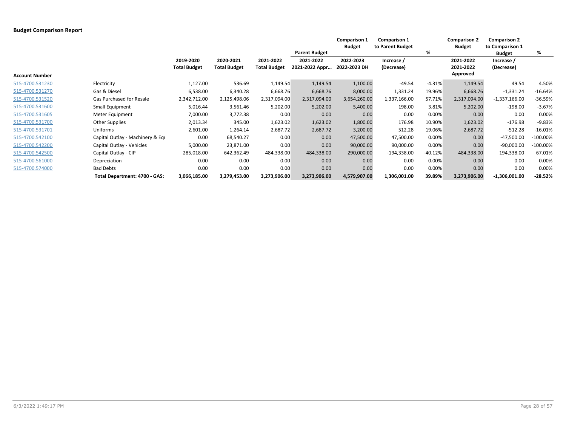|                       |                                  |                                  |                                  |                                  | <b>Parent Budget</b>        | <b>Comparison 1</b><br><b>Budget</b> | <b>Comparison 1</b><br>to Parent Budget | %         | <b>Comparison 2</b><br><b>Budget</b> | <b>Comparison 2</b><br>to Comparison 1<br><b>Budget</b> | %           |
|-----------------------|----------------------------------|----------------------------------|----------------------------------|----------------------------------|-----------------------------|--------------------------------------|-----------------------------------------|-----------|--------------------------------------|---------------------------------------------------------|-------------|
| <b>Account Number</b> |                                  | 2019-2020<br><b>Total Budget</b> | 2020-2021<br><b>Total Budget</b> | 2021-2022<br><b>Total Budget</b> | 2021-2022<br>2021-2022 Appr | 2022-2023<br>2022-2023 DH            | Increase /<br>(Decrease)                |           | 2021-2022<br>2021-2022<br>Approved   | Increase /<br>(Decrease)                                |             |
| 515-4700.531230       | Electricity                      | 1,127.00                         | 536.69                           | 1,149.54                         | 1,149.54                    | 1,100.00                             | $-49.54$                                | $-4.31%$  | 1,149.54                             | 49.54                                                   | 4.50%       |
| 515-4700.531270       | Gas & Diesel                     | 6,538.00                         | 6,340.28                         | 6,668.76                         | 6,668.76                    | 8,000.00                             | 1,331.24                                | 19.96%    | 6,668.76                             | $-1,331.24$                                             | $-16.64%$   |
| 515-4700.531520       | Gas Purchased for Resale         | 2,342,712.00                     | 2,125,498.06                     | 2,317,094.00                     | 2,317,094.00                | 3,654,260.00                         | 1,337,166.00                            | 57.71%    | 2,317,094.00                         | $-1,337,166.00$                                         | $-36.59%$   |
| 515-4700.531600       | Small Equipment                  | 5,016.44                         | 3,561.46                         | 5,202.00                         | 5,202.00                    | 5,400.00                             | 198.00                                  | 3.81%     | 5,202.00                             | $-198.00$                                               | $-3.67%$    |
| 515-4700.531605       | Meter Equipment                  | 7,000.00                         | 3,772.38                         | 0.00                             | 0.00                        | 0.00                                 | 0.00                                    | 0.00%     | 0.00                                 | 0.00                                                    | 0.00%       |
| 515-4700.531700       | Other Supplies                   | 2,013.34                         | 345.00                           | 1,623.02                         | 1,623.02                    | 1,800.00                             | 176.98                                  | 10.90%    | 1,623.02                             | $-176.98$                                               | $-9.83%$    |
| 515-4700.531701       | Uniforms                         | 2,601.00                         | 1,264.14                         | 2,687.72                         | 2,687.72                    | 3,200.00                             | 512.28                                  | 19.06%    | 2,687.72                             | $-512.28$                                               | $-16.01%$   |
| 515-4700.542100       | Capital Outlay - Machinery & Equ | 0.00                             | 68,540.27                        | 0.00                             | 0.00                        | 47,500.00                            | 47,500.00                               | 0.00%     | 0.00                                 | $-47,500.00$                                            | $-100.00%$  |
| 515-4700.542200       | Capital Outlay - Vehicles        | 5.000.00                         | 23,871.00                        | 0.00                             | 0.00                        | 90,000.00                            | 90,000.00                               | 0.00%     | 0.00                                 | $-90,000.00$                                            | $-100.00\%$ |
| 515-4700.542500       | Capital Outlay - CIP             | 285,018.00                       | 642,362.49                       | 484,338.00                       | 484,338.00                  | 290,000.00                           | $-194,338.00$                           | $-40.12%$ | 484,338.00                           | 194,338.00                                              | 67.01%      |
| 515-4700.561000       | Depreciation                     | 0.00                             | 0.00                             | 0.00                             | 0.00                        | 0.00                                 | 0.00                                    | 0.00%     | 0.00                                 | 0.00                                                    | 0.00%       |
| 515-4700.574000       | <b>Bad Debts</b>                 | 0.00                             | 0.00                             | 0.00                             | 0.00                        | 0.00                                 | 0.00                                    | 0.00%     | 0.00                                 | 0.00                                                    | 0.00%       |
|                       | Total Department: 4700 - GAS:    | 3,066,185.00                     | 3,279,453.00                     | 3,273,906.00                     | 3,273,906.00                | 4,579,907.00                         | 1,306,001.00                            | 39.89%    | 3,273,906.00                         | $-1,306,001.00$                                         | $-28.52%$   |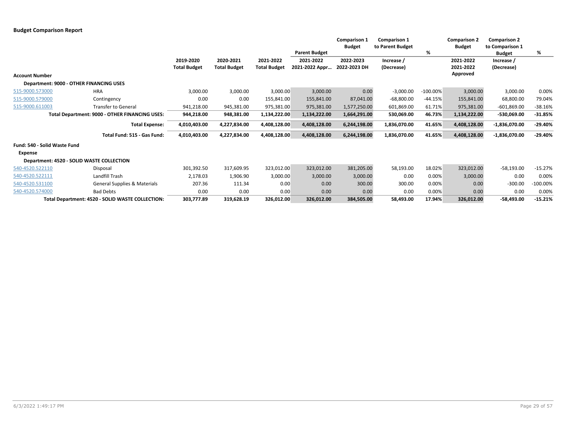|                       |                                                  |                                  |                                  |                                  | <b>Parent Budget</b>        | <b>Comparison 1</b><br><b>Budget</b> | Comparison 1<br>to Parent Budget | %           | <b>Comparison 2</b><br><b>Budget</b> | <b>Comparison 2</b><br>to Comparison 1<br><b>Budget</b> | %          |
|-----------------------|--------------------------------------------------|----------------------------------|----------------------------------|----------------------------------|-----------------------------|--------------------------------------|----------------------------------|-------------|--------------------------------------|---------------------------------------------------------|------------|
|                       |                                                  | 2019-2020<br><b>Total Budget</b> | 2020-2021<br><b>Total Budget</b> | 2021-2022<br><b>Total Budget</b> | 2021-2022<br>2021-2022 Appr | 2022-2023<br>2022-2023 DH            | Increase /<br>(Decrease)         |             | 2021-2022<br>2021-2022               | Increase /<br>(Decrease)                                |            |
| <b>Account Number</b> |                                                  |                                  |                                  |                                  |                             |                                      |                                  |             | Approved                             |                                                         |            |
|                       | Department: 9000 - OTHER FINANCING USES          |                                  |                                  |                                  |                             |                                      |                                  |             |                                      |                                                         |            |
| 515-9000.573000       | <b>HRA</b>                                       | 3,000.00                         | 3,000.00                         | 3,000.00                         | 3,000.00                    | 0.00                                 | $-3,000.00$                      | $-100.00\%$ | 3,000.00                             | 3,000.00                                                | 0.00%      |
| 515-9000.579000       | Contingency                                      | 0.00                             | 0.00                             | 155,841.00                       | 155,841.00                  | 87,041.00                            | $-68,800.00$                     | $-44.15%$   | 155,841.00                           | 68,800.00                                               | 79.04%     |
| 515-9000.611003       | <b>Transfer to General</b>                       | 941,218.00                       | 945,381.00                       | 975,381.00                       | 975,381.00                  | 1,577,250.00                         | 601,869.00                       | 61.71%      | 975,381.00                           | $-601,869.00$                                           | $-38.16%$  |
|                       | Total Department: 9000 - OTHER FINANCING USES:   | 944,218.00                       | 948,381.00                       | 1,134,222.00                     | 1,134,222.00                | 1,664,291.00                         | 530,069.00                       | 46.73%      | 1,134,222.00                         | -530,069.00                                             | $-31.85%$  |
|                       | <b>Total Expense:</b>                            | 4,010,403.00                     | 4,227,834.00                     | 4,408,128.00                     | 4,408,128.00                | 6,244,198.00                         | 1,836,070.00                     | 41.65%      | 4,408,128.00                         | $-1,836,070.00$                                         | $-29.40%$  |
|                       | Total Fund: 515 - Gas Fund:                      | 4,010,403.00                     | 4,227,834.00                     | 4,408,128.00                     | 4,408,128.00                | 6,244,198.00                         | 1,836,070.00                     | 41.65%      | 4,408,128.00                         | -1,836,070.00                                           | $-29.40%$  |
|                       | Fund: 540 - Solid Waste Fund                     |                                  |                                  |                                  |                             |                                      |                                  |             |                                      |                                                         |            |
| Expense               |                                                  |                                  |                                  |                                  |                             |                                      |                                  |             |                                      |                                                         |            |
|                       | Department: 4520 - SOLID WASTE COLLECTION        |                                  |                                  |                                  |                             |                                      |                                  |             |                                      |                                                         |            |
| 540-4520.522110       | Disposal                                         | 301,392.50                       | 317,609.95                       | 323,012.00                       | 323,012.00                  | 381,205.00                           | 58,193.00                        | 18.02%      | 323,012.00                           | $-58,193.00$                                            | $-15.27%$  |
| 540-4520.522111       | Landfill Trash                                   | 2,178.03                         | 1,906.90                         | 3,000.00                         | 3,000.00                    | 3,000.00                             | 0.00                             | 0.00%       | 3,000.00                             | 0.00                                                    | 0.00%      |
| 540-4520.531100       | General Supplies & Materials                     | 207.36                           | 111.34                           | 0.00                             | 0.00                        | 300.00                               | 300.00                           | 0.00%       | 0.00                                 | $-300.00$                                               | $-100.00%$ |
| 540-4520.574000       | <b>Bad Debts</b>                                 | 0.00                             | 0.00                             | 0.00                             | 0.00                        | 0.00                                 | 0.00                             | 0.00%       | 0.00                                 | 0.00                                                    | 0.00%      |
|                       | Total Department: 4520 - SOLID WASTE COLLECTION: | 303,777.89                       | 319,628.19                       | 326,012.00                       | 326,012.00                  | 384,505.00                           | 58,493.00                        | 17.94%      | 326,012.00                           | $-58,493.00$                                            | $-15.21%$  |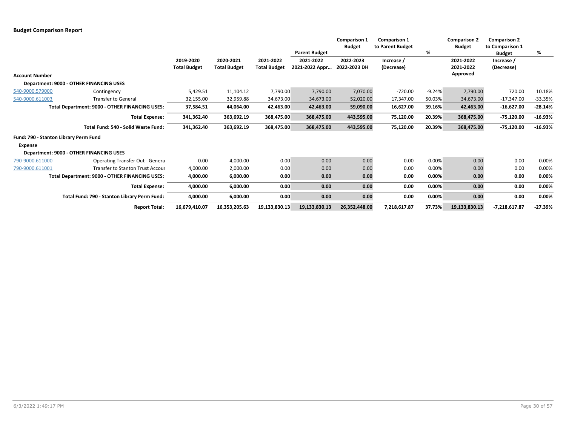|                       |                                                |                                  |                                  |                                  | <b>Parent Budget</b>        | <b>Comparison 1</b><br><b>Budget</b> | <b>Comparison 1</b><br>to Parent Budget | %        | <b>Comparison 2</b><br><b>Budget</b> | <b>Comparison 2</b><br>to Comparison 1<br><b>Budget</b> | %         |
|-----------------------|------------------------------------------------|----------------------------------|----------------------------------|----------------------------------|-----------------------------|--------------------------------------|-----------------------------------------|----------|--------------------------------------|---------------------------------------------------------|-----------|
|                       |                                                | 2019-2020<br><b>Total Budget</b> | 2020-2021<br><b>Total Budget</b> | 2021-2022<br><b>Total Budget</b> | 2021-2022<br>2021-2022 Appr | 2022-2023<br>2022-2023 DH            | Increase /<br>(Decrease)                |          | 2021-2022<br>2021-2022               | Increase /<br>(Decrease)                                |           |
| <b>Account Number</b> |                                                |                                  |                                  |                                  |                             |                                      |                                         |          | Approved                             |                                                         |           |
|                       | Department: 9000 - OTHER FINANCING USES        |                                  |                                  |                                  |                             |                                      |                                         |          |                                      |                                                         |           |
| 540-9000.579000       | Contingency                                    | 5,429.51                         | 11,104.12                        | 7,790.00                         | 7,790.00                    | 7,070.00                             | $-720.00$                               | $-9.24%$ | 7,790.00                             | 720.00                                                  | 10.18%    |
| 540-9000.611003       | <b>Transfer to General</b>                     | 32,155.00                        | 32,959.88                        | 34,673.00                        | 34,673.00                   | 52,020.00                            | 17,347.00                               | 50.03%   | 34,673.00                            | $-17,347.00$                                            | $-33.35%$ |
|                       | Total Department: 9000 - OTHER FINANCING USES: | 37,584.51                        | 44,064.00                        | 42,463.00                        | 42,463.00                   | 59,090.00                            | 16,627.00                               | 39.16%   | 42,463.00                            | $-16,627.00$                                            | $-28.14%$ |
|                       | <b>Total Expense:</b>                          | 341,362.40                       | 363,692.19                       | 368,475.00                       | 368,475.00                  | 443,595.00                           | 75,120.00                               | 20.39%   | 368,475.00                           | $-75,120.00$                                            | $-16.93%$ |
|                       | Total Fund: 540 - Solid Waste Fund:            | 341,362.40                       | 363,692.19                       | 368,475.00                       | 368,475.00                  | 443,595.00                           | 75,120.00                               | 20.39%   | 368,475.00                           | $-75,120.00$                                            | $-16.93%$ |
|                       | Fund: 790 - Stanton Library Perm Fund          |                                  |                                  |                                  |                             |                                      |                                         |          |                                      |                                                         |           |
| <b>Expense</b>        |                                                |                                  |                                  |                                  |                             |                                      |                                         |          |                                      |                                                         |           |
|                       | Department: 9000 - OTHER FINANCING USES        |                                  |                                  |                                  |                             |                                      |                                         |          |                                      |                                                         |           |
| 790-9000.611000       | <b>Operating Transfer Out - Genera</b>         | 0.00                             | 4,000.00                         | 0.00                             | 0.00                        | 0.00                                 | 0.00                                    | 0.00%    | 0.00                                 | 0.00                                                    | 0.00%     |
| 790-9000.611001       | <b>Transfer to Stanton Trust Accour</b>        | 4,000.00                         | 2,000.00                         | 0.00                             | 0.00                        | 0.00                                 | 0.00                                    | 0.00%    | 0.00                                 | 0.00                                                    | 0.00%     |
|                       | Total Department: 9000 - OTHER FINANCING USES: | 4,000.00                         | 6,000.00                         | 0.00                             | 0.00                        | 0.00                                 | 0.00                                    | 0.00%    | 0.00                                 | 0.00                                                    | 0.00%     |
|                       | <b>Total Expense:</b>                          | 4,000.00                         | 6,000.00                         | 0.00                             | 0.00                        | 0.00                                 | 0.00                                    | 0.00%    | 0.00                                 | 0.00                                                    | 0.00%     |
|                       | Total Fund: 790 - Stanton Library Perm Fund:   | 4,000.00                         | 6,000.00                         | 0.00                             | 0.00                        | 0.00                                 | 0.00                                    | 0.00%    | 0.00                                 | 0.00                                                    | 0.00%     |
|                       | <b>Report Total:</b>                           | 16,679,410.07                    | 16,353,205.63                    | 19,133,830.13                    | 19,133,830.13               | 26,352,448.00                        | 7,218,617.87                            | 37.73%   | 19,133,830.13                        | -7,218,617.87                                           | $-27.39%$ |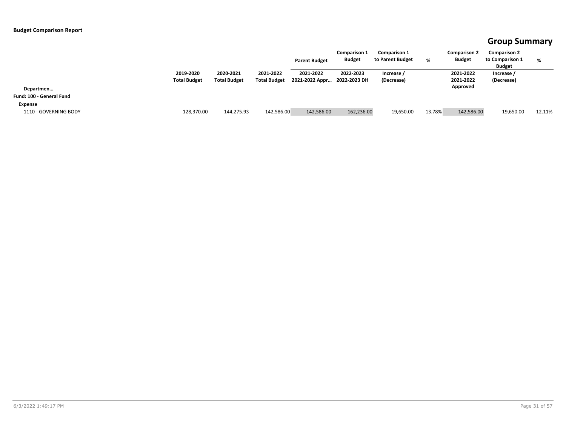### **Group Summary**

|                          |                                  |                                  |                                  | <b>Parent Budget</b>        | <b>Comparison 1</b><br><b>Budget</b> | <b>Comparison 1</b><br>to Parent Budget | %      | <b>Comparison 2</b><br><b>Budget</b> | <b>Comparison 2</b><br>to Comparison 1<br><b>Budget</b> | %         |
|--------------------------|----------------------------------|----------------------------------|----------------------------------|-----------------------------|--------------------------------------|-----------------------------------------|--------|--------------------------------------|---------------------------------------------------------|-----------|
|                          | 2019-2020<br><b>Total Budget</b> | 2020-2021<br><b>Total Budget</b> | 2021-2022<br><b>Total Budget</b> | 2021-2022<br>2021-2022 Appr | 2022-2023<br>2022-2023 DH            | Increase /<br>(Decrease)                |        | 2021-2022<br>2021-2022               | Increase /<br>(Decrease)                                |           |
| Departmen                |                                  |                                  |                                  |                             |                                      |                                         |        | Approved                             |                                                         |           |
| Fund: 100 - General Fund |                                  |                                  |                                  |                             |                                      |                                         |        |                                      |                                                         |           |
| Expense                  |                                  |                                  |                                  |                             |                                      |                                         |        |                                      |                                                         |           |
| 1110 - GOVERNING BODY    | 128,370.00                       | 144,275.93                       | 142,586.00                       | 142,586.00                  | 162,236.00                           | 19,650.00                               | 13.78% | 142,586.00                           | $-19,650.00$                                            | $-12.11%$ |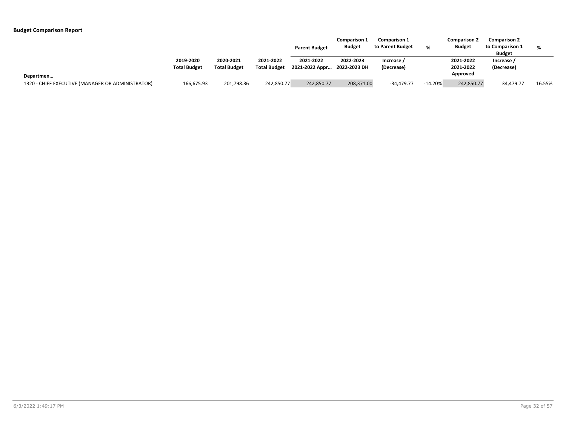|                                                   |                                  |                                  |                                  | <b>Parent Budget</b>                     | <b>Comparison 1</b><br><b>Budget</b> | <b>Comparison 1</b><br>to Parent Budget | O/        | <b>Comparison 2</b><br><b>Budget</b> | <b>Comparison 2</b><br>to Comparison 1<br><b>Budget</b> | %      |
|---------------------------------------------------|----------------------------------|----------------------------------|----------------------------------|------------------------------------------|--------------------------------------|-----------------------------------------|-----------|--------------------------------------|---------------------------------------------------------|--------|
|                                                   | 2019-2020<br><b>Total Budget</b> | 2020-2021<br><b>Total Budget</b> | 2021-2022<br><b>Total Budget</b> | 2021-2022<br>2021-2022 Appr 2022-2023 DH | 2022-2023                            | Increase /<br>(Decrease)                |           | 2021-2022<br>2021-2022               | Increase /<br>(Decrease)                                |        |
| Departmen                                         |                                  |                                  |                                  |                                          |                                      |                                         |           | Approved                             |                                                         |        |
| 1320 - CHIEF EXECUTIVE (MANAGER OR ADMINISTRATOR) | 166,675.93                       | 201,798.36                       | 242,850.77                       | 242,850.77                               | 208,371.00                           | $-34,479.77$                            | $-14.20%$ | 242,850.77                           | 34,479.77                                               | 16.55% |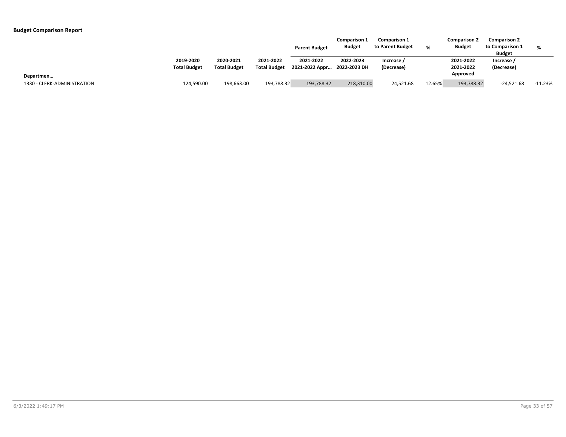|                                          |                                  |                                  |                                  | <b>Parent Budget</b>        | <b>Comparison 1</b><br><b>Budget</b> | <b>Comparison 1</b><br>to Parent Budget | %      | <b>Comparison 2</b><br><b>Budget</b> | <b>Comparison 2</b><br>to Comparison 1<br><b>Budget</b> | %         |
|------------------------------------------|----------------------------------|----------------------------------|----------------------------------|-----------------------------|--------------------------------------|-----------------------------------------|--------|--------------------------------------|---------------------------------------------------------|-----------|
|                                          | 2019-2020<br><b>Total Budget</b> | 2020-2021<br><b>Total Budget</b> | 2021-2022<br><b>Total Budget</b> | 2021-2022<br>2021-2022 Appr | 2022-2023<br>2022-2023 DH            | Increase /<br>(Decrease)                |        | 2021-2022<br>2021-2022               | Increase<br>(Decrease)                                  |           |
| Departmen<br>1330 - CLERK-ADMINISTRATION | 124,590.00                       | 198,663.00                       | 193,788.32                       | 193,788.32                  | 218,310.00                           | 24,521.68                               | 12.65% | Approved<br>193,788.32               | $-24,521.68$                                            | $-11.23%$ |
|                                          |                                  |                                  |                                  |                             |                                      |                                         |        |                                      |                                                         |           |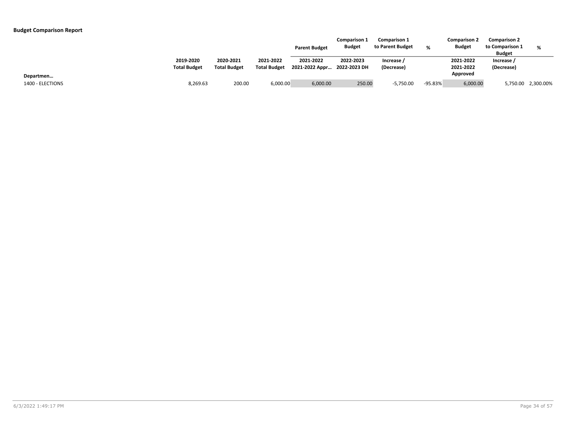|                               |                                  |                                  |                                  | <b>Parent Budget</b>                     | <b>Comparison 1</b><br><b>Budget</b> | <b>Comparison 1</b><br>to Parent Budget | ∘       | <b>Comparison 2</b><br><b>Budget</b> | <b>Comparison 2</b><br>to Comparison 1<br><b>Budget</b> | %                  |
|-------------------------------|----------------------------------|----------------------------------|----------------------------------|------------------------------------------|--------------------------------------|-----------------------------------------|---------|--------------------------------------|---------------------------------------------------------|--------------------|
|                               | 2019-2020<br><b>Total Budget</b> | 2020-2021<br><b>Total Budget</b> | 2021-2022<br><b>Total Budget</b> | 2021-2022<br>2021-2022 Appr 2022-2023 DH | 2022-2023                            | Increase<br>(Decrease)                  |         | 2021-2022<br>2021-2022<br>Approved   | Increase /<br>(Decrease)                                |                    |
| Departmen<br>1400 - ELECTIONS | 8,269.63                         | 200.00                           | 6,000.00                         | 6,000.00                                 | 250.00                               | $-5,750.00$                             | -95.83% | 6,000.00                             |                                                         | 5,750.00 2,300.00% |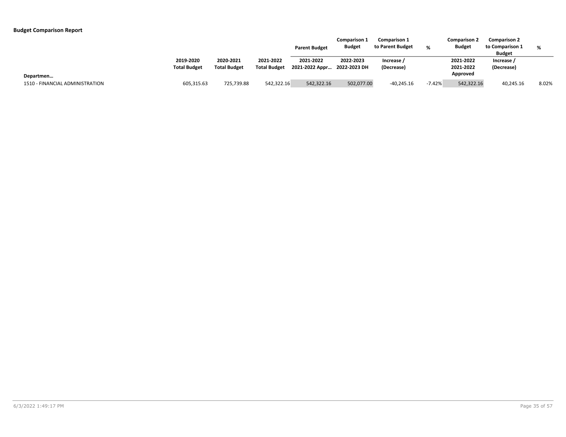|                                 |                                  |                                  |                                  | <b>Parent Budget</b>                     | <b>Comparison 1</b><br><b>Budget</b> | <b>Comparison 1</b><br>to Parent Budget | %        | <b>Comparison 2</b><br><b>Budget</b> | <b>Comparison 2</b><br>to Comparison 1<br><b>Budget</b> | %     |
|---------------------------------|----------------------------------|----------------------------------|----------------------------------|------------------------------------------|--------------------------------------|-----------------------------------------|----------|--------------------------------------|---------------------------------------------------------|-------|
|                                 | 2019-2020<br><b>Total Budget</b> | 2020-2021<br><b>Total Budget</b> | 2021-2022<br><b>Total Budget</b> | 2021-2022<br>2021-2022 Appr 2022-2023 DH | 2022-2023                            | Increase /<br>(Decrease)                |          | 2021-2022<br>2021-2022               | Increase /<br>(Decrease)                                |       |
| Departmen                       |                                  |                                  |                                  |                                          |                                      |                                         |          | Approved                             |                                                         |       |
| 1510 - FINANCIAL ADMINISTRATION | 605,315.63                       | 725,739.88                       | 542,322.16                       | 542,322.16                               | 502,077.00                           | $-40,245.16$                            | $-7.42%$ | 542,322.16                           | 40,245.16                                               | 8.02% |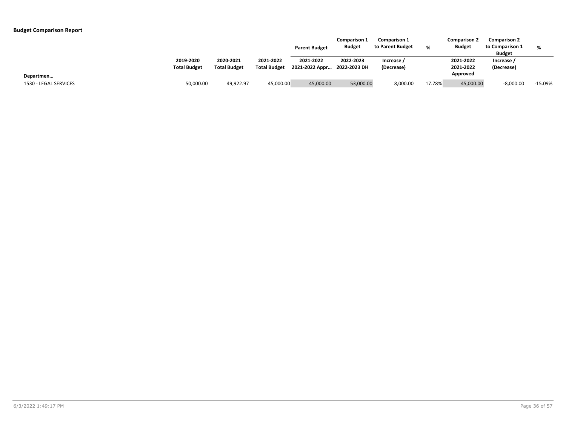|                       |                                  |                                  |                                  | <b>Parent Budget</b>                     | <b>Comparison 1</b><br><b>Budget</b> | <b>Comparison 1</b><br>to Parent Budget | %      | <b>Comparison 2</b><br><b>Budget</b> | <b>Comparison 2</b><br>to Comparison 1<br><b>Budget</b> | %         |
|-----------------------|----------------------------------|----------------------------------|----------------------------------|------------------------------------------|--------------------------------------|-----------------------------------------|--------|--------------------------------------|---------------------------------------------------------|-----------|
|                       | 2019-2020<br><b>Total Budget</b> | 2020-2021<br><b>Total Budget</b> | 2021-2022<br><b>Total Budget</b> | 2021-2022<br>2021-2022 Appr 2022-2023 DH | 2022-2023                            | Increase<br>(Decrease)                  |        | 2021-2022<br>2021-2022               | Increase /<br>(Decrease)                                |           |
| Departmen             |                                  |                                  |                                  |                                          |                                      |                                         |        | Approved                             |                                                         |           |
| 1530 - LEGAL SERVICES | 50,000.00                        | 49.922.97                        | 45,000.00                        | 45,000.00                                | 53,000.00                            | 8,000.00                                | 17.78% | 45,000.00                            | $-8,000.00$                                             | $-15.09%$ |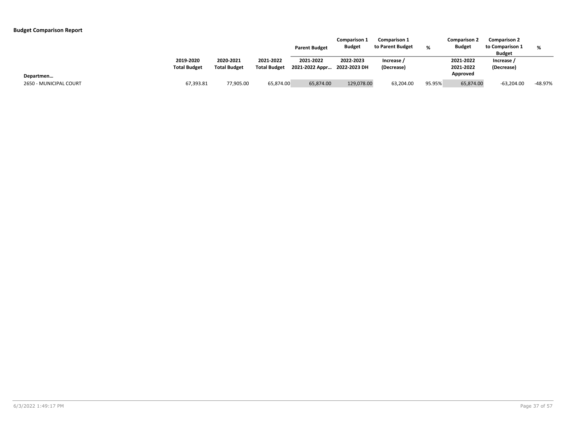|                        |                                  |                                  |                                  | <b>Parent Budget</b>                     | <b>Comparison 1</b><br><b>Budget</b> | <b>Comparison 1</b><br>to Parent Budget | %      | <b>Comparison 2</b><br><b>Budget</b> | <b>Comparison 2</b><br>to Comparison 1<br><b>Budget</b> | %         |
|------------------------|----------------------------------|----------------------------------|----------------------------------|------------------------------------------|--------------------------------------|-----------------------------------------|--------|--------------------------------------|---------------------------------------------------------|-----------|
|                        | 2019-2020<br><b>Total Budget</b> | 2020-2021<br><b>Total Budget</b> | 2021-2022<br><b>Total Budget</b> | 2021-2022<br>2021-2022 Appr 2022-2023 DH | 2022-2023                            | Increase /<br>(Decrease)                |        | 2021-2022<br>2021-2022               | Increase /<br>(Decrease)                                |           |
| Departmen              |                                  |                                  |                                  |                                          |                                      |                                         |        | Approved                             |                                                         |           |
| 2650 - MUNICIPAL COURT | 67,393.81                        | 77,905.00                        | 65.874.00                        | 65,874.00                                | 129,078.00                           | 63,204.00                               | 95.95% | 65,874.00                            | $-63,204.00$                                            | $-48.97%$ |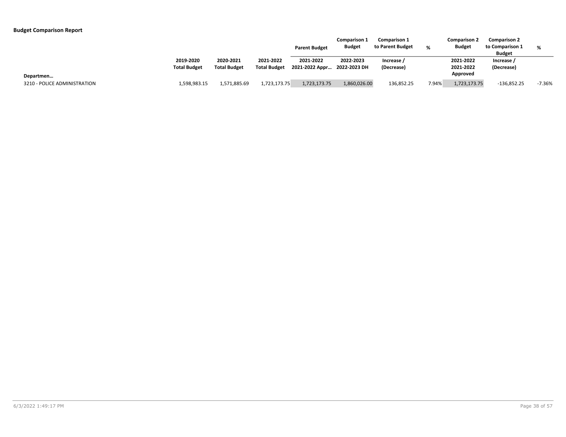|                                           |                                  |                                  |                                  | <b>Parent Budget</b>                     | <b>Comparison 1</b><br><b>Budget</b> | <b>Comparison 1</b><br>to Parent Budget | %     | <b>Comparison 2</b><br><b>Budget</b> | <b>Comparison 2</b><br>to Comparison 1<br><b>Budget</b> | %        |
|-------------------------------------------|----------------------------------|----------------------------------|----------------------------------|------------------------------------------|--------------------------------------|-----------------------------------------|-------|--------------------------------------|---------------------------------------------------------|----------|
|                                           | 2019-2020<br><b>Total Budget</b> | 2020-2021<br><b>Total Budget</b> | 2021-2022<br><b>Total Budget</b> | 2021-2022<br>2021-2022 Appr 2022-2023 DH | 2022-2023                            | Increase /<br>(Decrease)                |       | 2021-2022<br>2021-2022<br>Approved   | Increase /<br>(Decrease)                                |          |
| Departmen<br>3210 - POLICE ADMINISTRATION | 1,598,983.15                     | 1,571,885.69                     | 1,723,173.75                     | 1,723,173.75                             | 1,860,026.00                         | 136,852.25                              | 7.94% | 1,723,173.75                         | $-136,852.25$                                           | $-7.36%$ |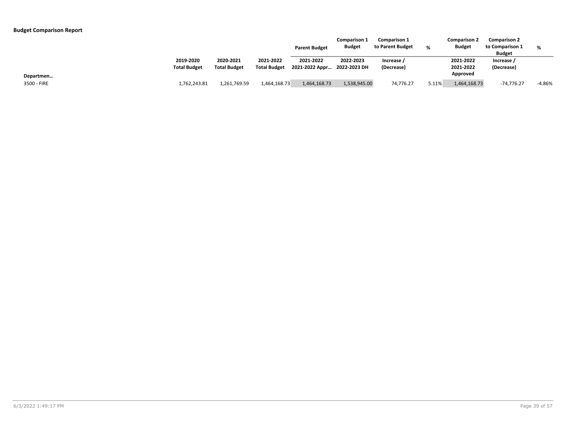|             |                                  |                                  |                                  | <b>Parent Budget</b>                     | <b>Comparison 1</b><br><b>Budget</b> | <b>Comparison 1</b><br>to Parent Budget | %     | <b>Comparison 2</b><br><b>Budget</b> | <b>Comparison 2</b><br>to Comparison 1<br><b>Budget</b> | %        |
|-------------|----------------------------------|----------------------------------|----------------------------------|------------------------------------------|--------------------------------------|-----------------------------------------|-------|--------------------------------------|---------------------------------------------------------|----------|
|             | 2019-2020<br><b>Total Budget</b> | 2020-2021<br><b>Total Budget</b> | 2021-2022<br><b>Total Budget</b> | 2021-2022<br>2021-2022 Appr 2022-2023 DH | 2022-2023                            | Increase /<br>(Decrease)                |       | 2021-2022<br>2021-2022               | Increase /<br>(Decrease)                                |          |
| Departmen   |                                  |                                  |                                  |                                          |                                      |                                         |       | Approved                             |                                                         |          |
| 3500 - FIRE | 1,762,243.81                     | 1,261,769.59                     | 1,464,168.73                     | 1,464,168.73                             | 1,538,945.00                         | 74,776.27                               | 5.11% | 1,464,168.73                         | $-74,776.27$                                            | $-4.86%$ |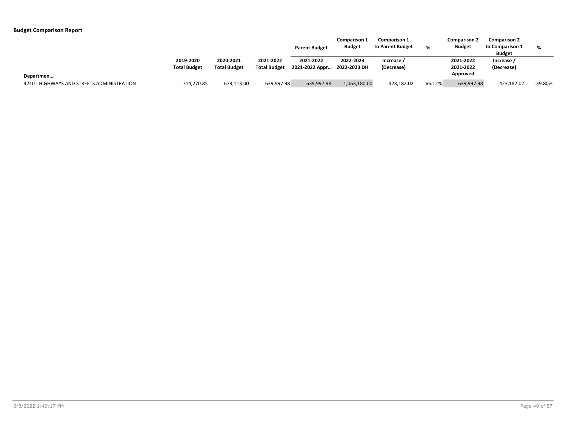|                                            |                                  |                                  |                                  | <b>Parent Budget</b>                     | <b>Comparison 1</b><br><b>Budget</b> | <b>Comparison 1</b><br>to Parent Budget | 0/     | <b>Comparison 2</b><br><b>Budget</b> | <b>Comparison 2</b><br>to Comparison 1<br><b>Budget</b> | %       |
|--------------------------------------------|----------------------------------|----------------------------------|----------------------------------|------------------------------------------|--------------------------------------|-----------------------------------------|--------|--------------------------------------|---------------------------------------------------------|---------|
|                                            | 2019-2020<br><b>Total Budget</b> | 2020-2021<br><b>Total Budget</b> | 2021-2022<br><b>Total Budget</b> | 2021-2022<br>2021-2022 Appr 2022-2023 DH | 2022-2023                            | Increase /<br>(Decrease)                |        | 2021-2022<br>2021-2022               | Increase /<br>(Decrease)                                |         |
| Departmen                                  |                                  |                                  |                                  |                                          |                                      |                                         |        | Approved                             |                                                         |         |
| 4210 - HIGHWAYS AND STREETS ADMINISTRATION | 714,270.85                       | 673,113.00                       | 639,997.98                       | 639,997.98                               | 1,063,180.00                         | 423,182.02                              | 66.12% | 639,997.98                           | $-423,182.02$                                           | -39.80% |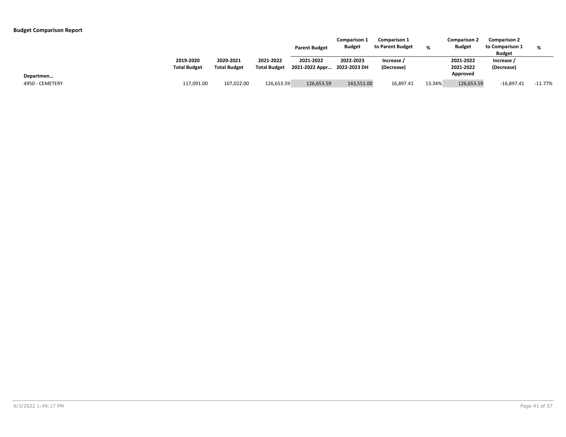|                 |                                  |                                  |                                  | <b>Parent Budget</b>                     | <b>Comparison 1</b><br><b>Budget</b> | <b>Comparison 1</b><br>to Parent Budget | %      | <b>Comparison 2</b><br><b>Budget</b> | <b>Comparison 2</b><br>to Comparison 1<br><b>Budget</b> | %         |
|-----------------|----------------------------------|----------------------------------|----------------------------------|------------------------------------------|--------------------------------------|-----------------------------------------|--------|--------------------------------------|---------------------------------------------------------|-----------|
|                 | 2019-2020<br><b>Total Budget</b> | 2020-2021<br><b>Total Budget</b> | 2021-2022<br><b>Total Budget</b> | 2021-2022<br>2021-2022 Appr 2022-2023 DH | 2022-2023                            | Increase<br>(Decrease)                  |        | 2021-2022<br>2021-2022               | Increase /<br>(Decrease)                                |           |
| Departmen       |                                  |                                  |                                  |                                          |                                      |                                         |        | Approved                             |                                                         |           |
| 4950 - CEMETERY | 117,091.00                       | 107,022.00                       | 126,653.59                       | 126,653.59                               | 143,551.00                           | 16.897.41                               | 13.34% | 126,653.59                           | $-16,897.41$                                            | $-11.77%$ |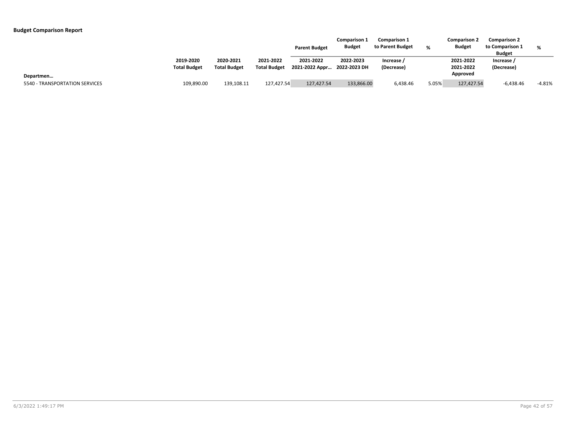|                                |                                  |                                  |                                  | <b>Parent Budget</b>                     | <b>Comparison 1</b><br><b>Budget</b> | <b>Comparison 1</b><br>to Parent Budget | %     | <b>Comparison 2</b><br><b>Budget</b> | <b>Comparison 2</b><br>to Comparison 1<br><b>Budget</b> | %        |
|--------------------------------|----------------------------------|----------------------------------|----------------------------------|------------------------------------------|--------------------------------------|-----------------------------------------|-------|--------------------------------------|---------------------------------------------------------|----------|
|                                | 2019-2020<br><b>Total Budget</b> | 2020-2021<br><b>Total Budget</b> | 2021-2022<br><b>Total Budget</b> | 2021-2022<br>2021-2022 Appr 2022-2023 DH | 2022-2023                            | Increase /<br>(Decrease)                |       | 2021-2022<br>2021-2022               | Increase<br>(Decrease)                                  |          |
| Departmen                      |                                  |                                  |                                  |                                          |                                      |                                         |       | Approved                             |                                                         |          |
| 5540 - TRANSPORTATION SERVICES | 109,890.00                       | 139,108.11                       | 127,427.54                       | 127,427.54                               | 133,866.00                           | 6,438.46                                | 5.05% | 127,427.54                           | $-6,438.46$                                             | $-4.81%$ |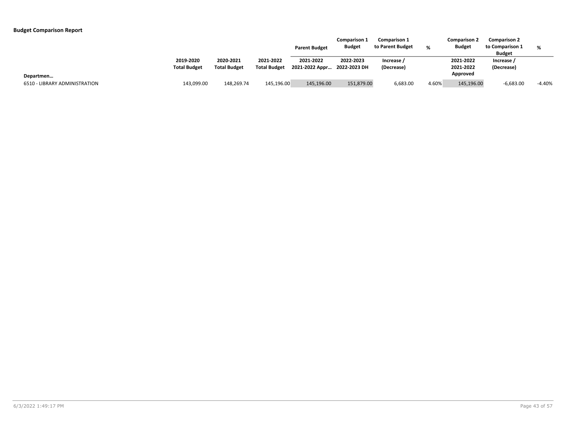|                               |                                  |                                  |                                  | <b>Parent Budget</b>                     | <b>Comparison 1</b><br><b>Budget</b> | <b>Comparison 1</b><br>to Parent Budget |       | <b>Comparison 2</b><br><b>Budget</b> | <b>Comparison 2</b><br>to Comparison 1<br><b>Budget</b> | %        |
|-------------------------------|----------------------------------|----------------------------------|----------------------------------|------------------------------------------|--------------------------------------|-----------------------------------------|-------|--------------------------------------|---------------------------------------------------------|----------|
|                               | 2019-2020<br><b>Total Budget</b> | 2020-2021<br><b>Total Budget</b> | 2021-2022<br><b>Total Budget</b> | 2021-2022<br>2021-2022 Appr 2022-2023 DH | 2022-2023                            | Increase /<br>(Decrease)                |       | 2021-2022<br>2021-2022               | Increase /<br>(Decrease)                                |          |
| Departmen                     |                                  |                                  |                                  |                                          |                                      |                                         |       | Approved                             |                                                         |          |
| 6510 - LIBRARY ADMINISTRATION | 143,099.00                       | 148,269.74                       | 145,196.00                       | 145,196.00                               | 151,879.00                           | 6,683.00                                | 4.60% | 145,196.00                           | $-6,683.00$                                             | $-4.40%$ |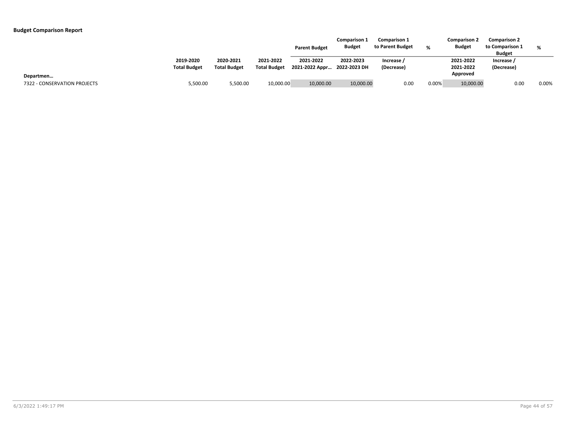|                              |                                  |                                  |                                  | <b>Parent Budget</b>                     | <b>Comparison 1</b><br><b>Budget</b> | <b>Comparison 1</b><br>to Parent Budget |          | <b>Comparison 2</b><br><b>Budget</b> | <b>Comparison 2</b><br>to Comparison 1<br><b>Budget</b> | %     |
|------------------------------|----------------------------------|----------------------------------|----------------------------------|------------------------------------------|--------------------------------------|-----------------------------------------|----------|--------------------------------------|---------------------------------------------------------|-------|
|                              | 2019-2020<br><b>Total Budget</b> | 2020-2021<br><b>Total Budget</b> | 2021-2022<br><b>Total Budget</b> | 2021-2022<br>2021-2022 Appr 2022-2023 DH | 2022-2023                            | Increase<br>(Decrease)                  |          | 2021-2022<br>2021-2022               | Increase /<br>(Decrease)                                |       |
| Departmen                    |                                  |                                  |                                  |                                          |                                      |                                         |          | Approved                             |                                                         |       |
| 7322 - CONSERVATION PROJECTS | 5,500.00                         | 5,500.00                         | 10,000.00                        | 10,000.00                                | 10,000.00                            | 0.00                                    | $0.00\%$ | 10,000.00                            | 0.00                                                    | 0.00% |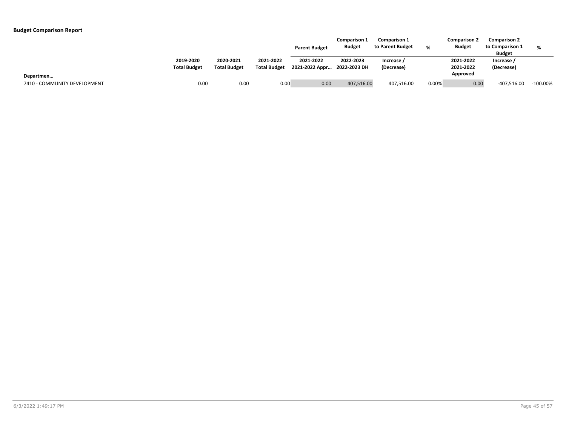|                              |                                  |                                  |                                  | <b>Parent Budget</b>                     | <b>Comparison 1</b><br><b>Budget</b> | <b>Comparison 1</b><br>to Parent Budget |          | <b>Comparison 2</b><br><b>Budget</b> | <b>Comparison 2</b><br>to Comparison 1<br><b>Budget</b> | $\alpha$    |
|------------------------------|----------------------------------|----------------------------------|----------------------------------|------------------------------------------|--------------------------------------|-----------------------------------------|----------|--------------------------------------|---------------------------------------------------------|-------------|
|                              | 2019-2020<br><b>Total Budget</b> | 2020-2021<br><b>Total Budget</b> | 2021-2022<br><b>Total Budget</b> | 2021-2022<br>2021-2022 Appr 2022-2023 DH | 2022-2023                            | Increase /<br>(Decrease)                |          | 2021-2022<br>2021-2022               | Increase /<br>(Decrease)                                |             |
| Departmen                    |                                  |                                  |                                  |                                          |                                      |                                         |          | Approved                             |                                                         |             |
| 7410 - COMMUNITY DEVELOPMENT | 0.00                             | 0.00                             | 0.00                             | 0.00                                     | 407,516.00                           | 407,516.00                              | $0.00\%$ | 0.00                                 | -407,516.00                                             | $-100.00\%$ |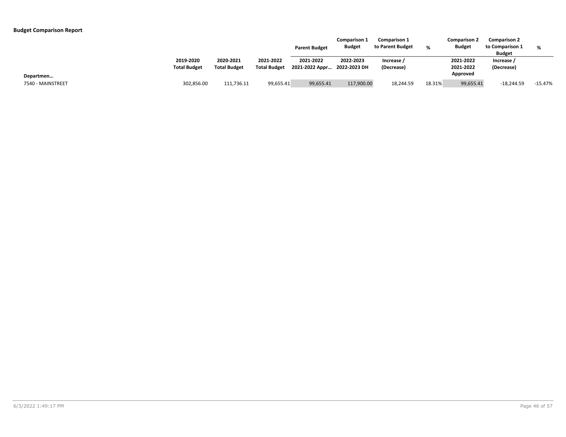|                   |                                  |                                  |                                  | <b>Parent Budget</b>                     | <b>Comparison 1</b><br><b>Budget</b> | <b>Comparison 1</b><br>to Parent Budget | %      | <b>Comparison 2</b><br><b>Budget</b> | <b>Comparison 2</b><br>to Comparison 1<br><b>Budget</b> | %         |
|-------------------|----------------------------------|----------------------------------|----------------------------------|------------------------------------------|--------------------------------------|-----------------------------------------|--------|--------------------------------------|---------------------------------------------------------|-----------|
|                   | 2019-2020<br><b>Total Budget</b> | 2020-2021<br><b>Total Budget</b> | 2021-2022<br><b>Total Budget</b> | 2021-2022<br>2021-2022 Appr 2022-2023 DH | 2022-2023                            | Increase<br>(Decrease)                  |        | 2021-2022<br>2021-2022               | Increase<br>(Decrease)                                  |           |
| Departmen         |                                  |                                  |                                  |                                          |                                      |                                         |        | Approved                             |                                                         |           |
| 7540 - MAINSTREET | 302,856.00                       | 111.736.11                       | 99,655.41                        | 99,655.41                                | 117,900.00                           | 18,244.59                               | 18.31% | 99,655.41                            | $-18,244.59$                                            | $-15.47%$ |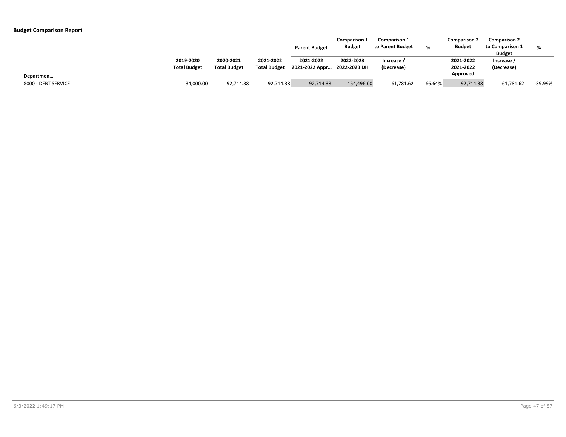|                                  |                                  |                                  |                                  | <b>Parent Budget</b>                     | <b>Comparison 1</b><br><b>Budget</b> | <b>Comparison 1</b><br>to Parent Budget | $\alpha$ | <b>Comparison 2</b><br><b>Budget</b> | <b>Comparison 2</b><br>to Comparison 1<br><b>Budget</b> | %       |
|----------------------------------|----------------------------------|----------------------------------|----------------------------------|------------------------------------------|--------------------------------------|-----------------------------------------|----------|--------------------------------------|---------------------------------------------------------|---------|
|                                  | 2019-2020<br><b>Total Budget</b> | 2020-2021<br><b>Total Budget</b> | 2021-2022<br><b>Total Budget</b> | 2021-2022<br>2021-2022 Appr 2022-2023 DH | 2022-2023                            | Increase /<br>(Decrease)                |          | 2021-2022<br>2021-2022               | Increase /<br>(Decrease)                                |         |
| Departmen<br>8000 - DEBT SERVICE | 34,000.00                        | 92,714.38                        | 92,714.38                        | 92,714.38                                | 154,496.00                           | 61,781.62                               | 66.64%   | Approved<br>92,714.38                | $-61,781.62$                                            | -39.99% |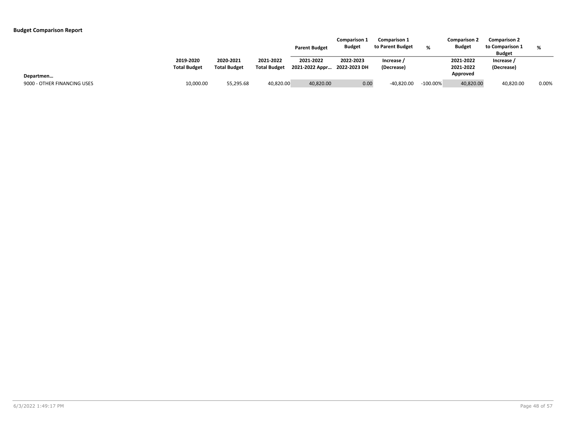|                             |                                  |                                  |                                  | <b>Parent Budget</b>                     | <b>Comparison 1</b><br><b>Budget</b> | <b>Comparison 1</b><br>to Parent Budget | %           | <b>Comparison 2</b><br><b>Budget</b> | <b>Comparison 2</b><br>to Comparison 1<br><b>Budget</b> | %     |
|-----------------------------|----------------------------------|----------------------------------|----------------------------------|------------------------------------------|--------------------------------------|-----------------------------------------|-------------|--------------------------------------|---------------------------------------------------------|-------|
|                             | 2019-2020<br><b>Total Budget</b> | 2020-2021<br><b>Total Budget</b> | 2021-2022<br><b>Total Budget</b> | 2021-2022<br>2021-2022 Appr 2022-2023 DH | 2022-2023                            | Increase /<br>(Decrease)                |             | 2021-2022<br>2021-2022               | Increase<br>(Decrease)                                  |       |
| Departmen                   |                                  |                                  |                                  |                                          |                                      |                                         |             | Approved                             |                                                         |       |
| 9000 - OTHER FINANCING USES | 10,000.00                        | 55,295.68                        | 40,820.00                        | 40,820.00                                | 0.00                                 | $-40,820.00$                            | $-100.00\%$ | 40,820.00                            | 40,820.00                                               | 0.00% |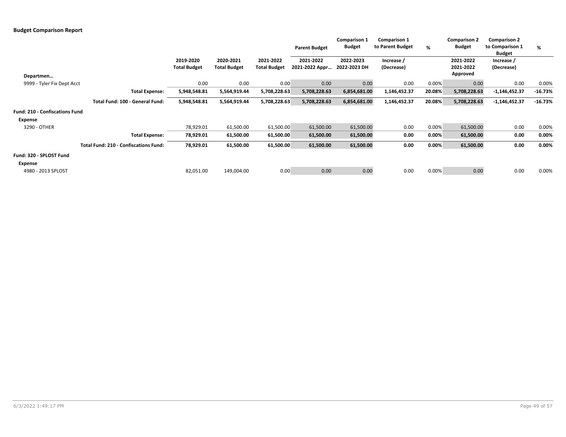|                                |                                              |                     |                     |                     | <b>Parent Budget</b> | <b>Comparison 1</b><br><b>Budget</b> | <b>Comparison 1</b><br>to Parent Budget | %      | <b>Comparison 2</b><br><b>Budget</b> | <b>Comparison 2</b><br>to Comparison 1<br><b>Budget</b> | %         |
|--------------------------------|----------------------------------------------|---------------------|---------------------|---------------------|----------------------|--------------------------------------|-----------------------------------------|--------|--------------------------------------|---------------------------------------------------------|-----------|
|                                |                                              | 2019-2020           | 2020-2021           | 2021-2022           | 2021-2022            | 2022-2023                            | Increase /                              |        | 2021-2022                            | Increase /                                              |           |
|                                |                                              | <b>Total Budget</b> | <b>Total Budget</b> | <b>Total Budget</b> | 2021-2022 Appr       | 2022-2023 DH                         | (Decrease)                              |        | 2021-2022<br>Approved                | (Decrease)                                              |           |
| Departmen                      |                                              |                     |                     |                     |                      |                                      |                                         |        |                                      |                                                         |           |
| 9999 - Tyler Fix Dept Acct     |                                              | 0.00                | 0.00                | 0.00                | 0.00                 | 0.00                                 | 0.00                                    | 0.00%  | 0.00                                 | 0.00                                                    | 0.00%     |
|                                | <b>Total Expense:</b>                        | 5,948,548.81        | 5,564,919.44        | 5,708,228.63        | 5,708,228.63         | 6,854,681.00                         | 1,146,452.37                            | 20.08% | 5,708,228.63                         | $-1,146,452.37$                                         | $-16.73%$ |
|                                | Total Fund: 100 - General Fund:              | 5,948,548.81        | 5,564,919.44        | 5,708,228.63        | 5,708,228.63         | 6,854,681.00                         | 1,146,452.37                            | 20.08% | 5,708,228.63                         | $-1,146,452.37$                                         | $-16.73%$ |
| Fund: 210 - Confiscations Fund |                                              |                     |                     |                     |                      |                                      |                                         |        |                                      |                                                         |           |
| Expense                        |                                              |                     |                     |                     |                      |                                      |                                         |        |                                      |                                                         |           |
| 3290 - OTHER                   |                                              | 78,929.01           | 61,500.00           | 61,500.00           | 61,500.00            | 61,500.00                            | 0.00                                    | 0.00%  | 61,500.00                            | 0.00                                                    | 0.00%     |
|                                | <b>Total Expense:</b>                        | 78,929.01           | 61,500.00           | 61,500.00           | 61,500.00            | 61,500.00                            | 0.00                                    | 0.00%  | 61,500.00                            | 0.00                                                    | 0.00%     |
|                                | <b>Total Fund: 210 - Confiscations Fund:</b> | 78,929.01           | 61,500.00           | 61,500.00           | 61,500.00            | 61,500.00                            | 0.00                                    | 0.00%  | 61,500.00                            | 0.00                                                    | 0.00%     |
| Fund: 320 - SPLOST Fund        |                                              |                     |                     |                     |                      |                                      |                                         |        |                                      |                                                         |           |
| Expense                        |                                              |                     |                     |                     |                      |                                      |                                         |        |                                      |                                                         |           |
| 4980 - 2013 SPLOST             |                                              | 82,051.00           | 149,004.00          | 0.00                | 0.00                 | 0.00                                 | 0.00                                    | 0.00%  | 0.00                                 | 0.00                                                    | 0.00%     |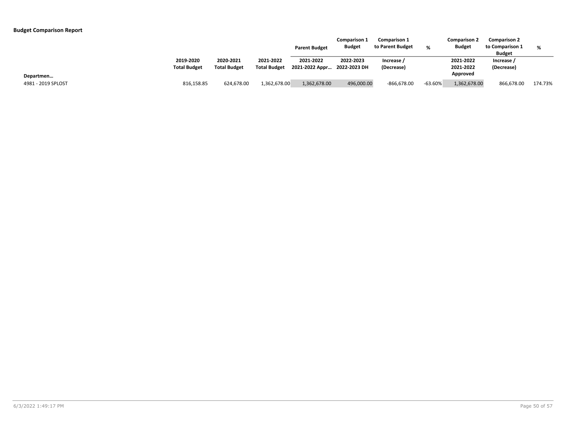|                                 |                                  |                                  |                                  | <b>Parent Budget</b>                     | <b>Comparison 1</b><br><b>Budget</b> | <b>Comparison 1</b><br>to Parent Budget | ∘         | <b>Comparison 2</b><br><b>Budget</b> | <b>Comparison 2</b><br>to Comparison 1<br><b>Budget</b> | %       |
|---------------------------------|----------------------------------|----------------------------------|----------------------------------|------------------------------------------|--------------------------------------|-----------------------------------------|-----------|--------------------------------------|---------------------------------------------------------|---------|
|                                 | 2019-2020<br><b>Total Budget</b> | 2020-2021<br><b>Total Budget</b> | 2021-2022<br><b>Total Budget</b> | 2021-2022<br>2021-2022 Appr 2022-2023 DH | 2022-2023                            | Increase /<br>(Decrease)                |           | 2021-2022<br>2021-2022<br>Approved   | Increase /<br>(Decrease)                                |         |
| Departmen<br>4981 - 2019 SPLOST | 816,158.85                       | 624,678.00                       | 1,362,678.00                     | 1,362,678.00                             | 496,000.00                           | $-866,678.00$                           | $-63.60%$ | 1,362,678.00                         | 866,678.00                                              | 174.73% |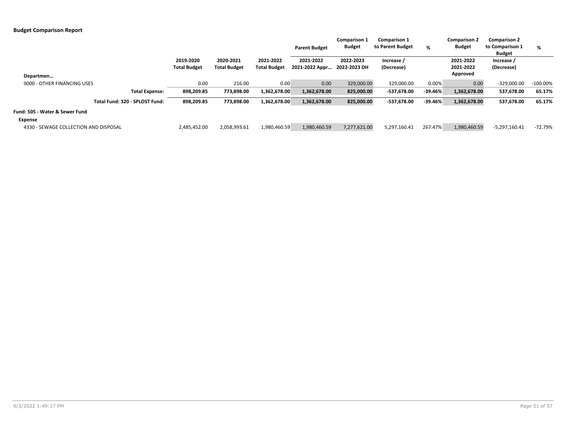|                                       |                     |                     |                     | <b>Parent Budget</b> | <b>Comparison 1</b><br><b>Budget</b> | <b>Comparison 1</b><br>to Parent Budget | %         | <b>Comparison 2</b><br><b>Budget</b> | <b>Comparison 2</b><br>to Comparison 1<br><b>Budget</b> | %           |
|---------------------------------------|---------------------|---------------------|---------------------|----------------------|--------------------------------------|-----------------------------------------|-----------|--------------------------------------|---------------------------------------------------------|-------------|
|                                       | 2019-2020           | 2020-2021           | 2021-2022           | 2021-2022            | 2022-2023                            | Increase /                              |           | 2021-2022                            | Increase /                                              |             |
|                                       | <b>Total Budget</b> | <b>Total Budget</b> | <b>Total Budget</b> | 2021-2022 Appr       | 2022-2023 DH                         | (Decrease)                              |           | 2021-2022                            | (Decrease)                                              |             |
| Departmen                             |                     |                     |                     |                      |                                      |                                         |           | Approved                             |                                                         |             |
| 9000 - OTHER FINANCING USES           | 0.00                | 216.00              | 0.00                | 0.00                 | 329,000.00                           | 329,000.00                              | 0.00%     | 0.00                                 | $-329,000.00$                                           | $-100.00\%$ |
| <b>Total Expense:</b>                 | 898,209.85          | 773,898.00          | 1,362,678.00        | 1,362,678.00         | 825,000.00                           | -537,678.00                             | $-39.46%$ | 1,362,678.00                         | 537,678.00                                              | 65.17%      |
| Total Fund: 320 - SPLOST Fund:        | 898,209.85          | 773,898.00          | 1,362,678.00        | 1,362,678.00         | 825,000.00                           | -537,678.00                             | $-39.46%$ | 1,362,678.00                         | 537,678.00                                              | 65.17%      |
| Fund: 505 - Water & Sewer Fund        |                     |                     |                     |                      |                                      |                                         |           |                                      |                                                         |             |
| Expense                               |                     |                     |                     |                      |                                      |                                         |           |                                      |                                                         |             |
| 4330 - SEWAGE COLLECTION AND DISPOSAL | 2,485,452.00        | 2,058,993.61        | 1,980,460.59        | 1,980,460.59         | 7,277,621.00                         | 5,297,160.41                            | 267.47%   | 1,980,460.59                         | $-5,297,160.41$                                         | $-72.79%$   |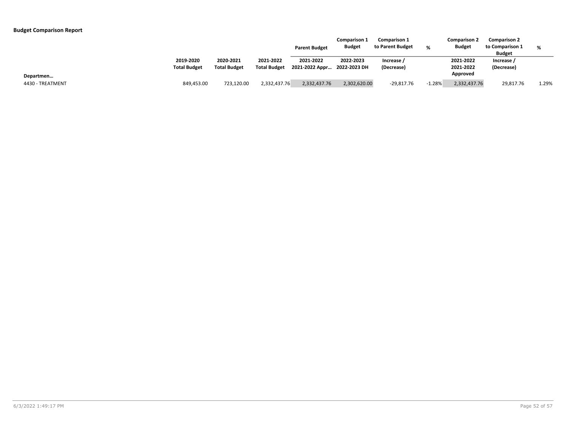|                  |                                  |                                  |                                  | <b>Parent Budget</b>                     | <b>Comparison 1</b><br><b>Budget</b> | <b>Comparison 1</b><br>to Parent Budget | ℀        | <b>Comparison 2</b><br><b>Budget</b> | <b>Comparison 2</b><br>to Comparison 1<br><b>Budget</b> | %     |
|------------------|----------------------------------|----------------------------------|----------------------------------|------------------------------------------|--------------------------------------|-----------------------------------------|----------|--------------------------------------|---------------------------------------------------------|-------|
|                  | 2019-2020<br><b>Total Budget</b> | 2020-2021<br><b>Total Budget</b> | 2021-2022<br><b>Total Budget</b> | 2021-2022<br>2021-2022 Appr 2022-2023 DH | 2022-2023                            | Increase<br>(Decrease)                  |          | 2021-2022<br>2021-2022               | Increase /<br>(Decrease)                                |       |
| Departmen        |                                  |                                  |                                  |                                          |                                      |                                         |          | Approved                             |                                                         |       |
| 4430 - TREATMENT | 849,453.00                       | 723,120.00                       | 2,332,437.76                     | 2,332,437.76                             | 2,302,620.00                         | $-29,817.76$                            | $-1.28%$ | 2,332,437.76                         | 29,817.76                                               | 1.29% |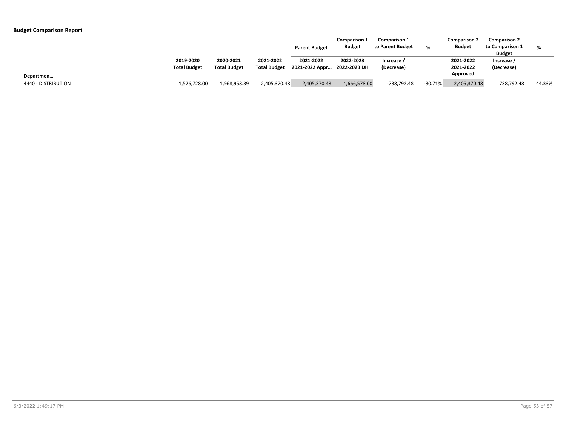|                                  |                                  |                                  |                                  | <b>Parent Budget</b>                     | <b>Comparison 1</b><br><b>Budget</b> | <b>Comparison 1</b><br>to Parent Budget | %         | <b>Comparison 2</b><br><b>Budget</b> | <b>Comparison 2</b><br>to Comparison 1<br><b>Budget</b> | %      |
|----------------------------------|----------------------------------|----------------------------------|----------------------------------|------------------------------------------|--------------------------------------|-----------------------------------------|-----------|--------------------------------------|---------------------------------------------------------|--------|
|                                  | 2019-2020<br><b>Total Budget</b> | 2020-2021<br><b>Total Budget</b> | 2021-2022<br><b>Total Budget</b> | 2021-2022<br>2021-2022 Appr 2022-2023 DH | 2022-2023                            | Increase /<br>(Decrease)                |           | 2021-2022<br>2021-2022<br>Approved   | Increase /<br>(Decrease)                                |        |
| Departmen<br>4440 - DISTRIBUTION | 1,526,728.00                     | 1,968,958.39                     | 2,405,370.48                     | 2,405,370.48                             | 1,666,578.00                         | -738,792.48                             | $-30.71%$ | 2,405,370.48                         | 738,792.48                                              | 44.33% |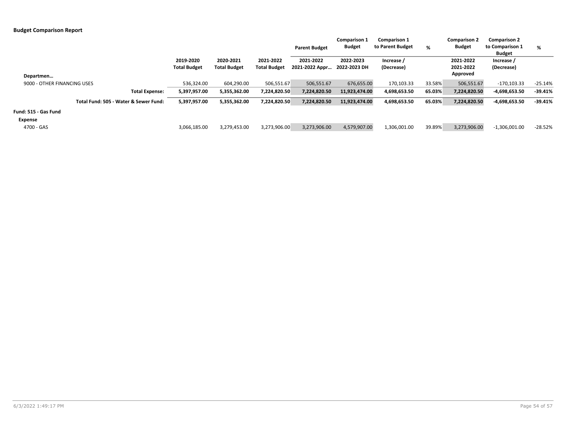|                                       |                                  |                                  |                                  | <b>Parent Budget</b>        | <b>Comparison 1</b><br><b>Budget</b> | <b>Comparison 1</b><br>to Parent Budget | %      | <b>Comparison 2</b><br><b>Budget</b> | <b>Comparison 2</b><br>to Comparison 1<br><b>Budget</b> | %         |
|---------------------------------------|----------------------------------|----------------------------------|----------------------------------|-----------------------------|--------------------------------------|-----------------------------------------|--------|--------------------------------------|---------------------------------------------------------|-----------|
| Departmen                             | 2019-2020<br><b>Total Budget</b> | 2020-2021<br><b>Total Budget</b> | 2021-2022<br><b>Total Budget</b> | 2021-2022<br>2021-2022 Appr | 2022-2023<br>2022-2023 DH            | Increase /<br>(Decrease)                |        | 2021-2022<br>2021-2022<br>Approved   | Increase /<br>(Decrease)                                |           |
| 9000 - OTHER FINANCING USES           | 536,324.00                       | 604,290.00                       | 506,551.67                       | 506,551.67                  | 676,655.00                           | 170,103.33                              | 33.58% | 506,551.67                           | $-170, 103.33$                                          | $-25.14%$ |
| <b>Total Expense:</b>                 | 5,397,957.00                     | 5,355,362.00                     | 7,224,820.50                     | 7,224,820.50                | 11,923,474.00                        | 4,698,653.50                            | 65.03% | 7,224,820.50                         | -4,698,653.50                                           | $-39.41%$ |
| Total Fund: 505 - Water & Sewer Fund: | 5,397,957.00                     | 5,355,362.00                     | 7,224,820.50                     | 7,224,820.50                | 11,923,474.00                        | 4,698,653.50                            | 65.03% | 7,224,820.50                         | -4,698,653.50                                           | $-39.41%$ |
| Fund: 515 - Gas Fund<br>Expense       |                                  |                                  |                                  |                             |                                      |                                         |        |                                      |                                                         |           |
| 4700 - GAS                            | 3,066,185.00                     | 3,279,453.00                     | 3,273,906.00                     | 3,273,906.00                | 4,579,907.00                         | 1,306,001.00                            | 39.89% | 3,273,906.00                         | $-1,306,001.00$                                         | $-28.52%$ |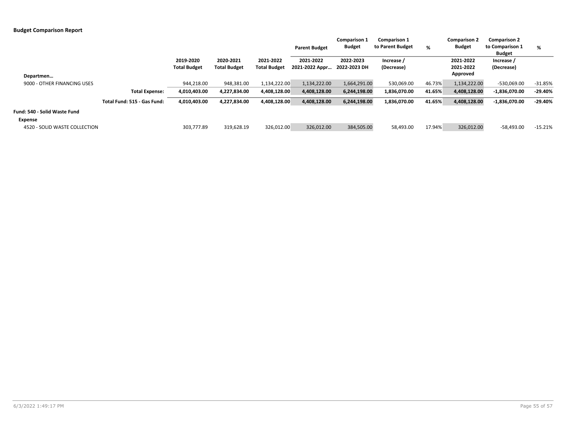|                               |                             |                                  |                                  |                                  | <b>Parent Budget</b>        | <b>Comparison 1</b><br><b>Budget</b> | <b>Comparison 1</b><br>to Parent Budget | %      | <b>Comparison 2</b><br><b>Budget</b> | <b>Comparison 2</b><br>to Comparison 1<br><b>Budget</b> | %         |
|-------------------------------|-----------------------------|----------------------------------|----------------------------------|----------------------------------|-----------------------------|--------------------------------------|-----------------------------------------|--------|--------------------------------------|---------------------------------------------------------|-----------|
|                               |                             | 2019-2020<br><b>Total Budget</b> | 2020-2021<br><b>Total Budget</b> | 2021-2022<br><b>Total Budget</b> | 2021-2022<br>2021-2022 Appr | 2022-2023<br>2022-2023 DH            | Increase /<br>(Decrease)                |        | 2021-2022<br>2021-2022<br>Approved   | Increase /<br>(Decrease)                                |           |
| Departmen                     |                             |                                  |                                  |                                  |                             |                                      |                                         |        |                                      |                                                         |           |
| 9000 - OTHER FINANCING USES   |                             | 944,218.00                       | 948,381.00                       | 1,134,222.00                     | 1,134,222.00                | 1,664,291.00                         | 530,069.00                              | 46.73% | 1,134,222.00                         | -530,069.00                                             | $-31.85%$ |
|                               | <b>Total Expense:</b>       | 4,010,403.00                     | 4,227,834.00                     | 4,408,128.00                     | 4,408,128.00                | 6,244,198.00                         | 1,836,070.00                            | 41.65% | 4,408,128.00                         | $-1,836,070.00$                                         | $-29.40%$ |
|                               | Total Fund: 515 - Gas Fund: | 4,010,403.00                     | 4,227,834.00                     | 4,408,128.00                     | 4,408,128.00                | 6,244,198.00                         | 1,836,070.00                            | 41.65% | 4,408,128.00                         | $-1,836,070.00$                                         | $-29.40%$ |
| Fund: 540 - Solid Waste Fund  |                             |                                  |                                  |                                  |                             |                                      |                                         |        |                                      |                                                         |           |
| Expense                       |                             |                                  |                                  |                                  |                             |                                      |                                         |        |                                      |                                                         |           |
| 4520 - SOLID WASTE COLLECTION |                             | 303,777.89                       | 319,628.19                       | 326,012.00                       | 326,012.00                  | 384,505.00                           | 58,493.00                               | 17.94% | 326,012.00                           | $-58,493.00$                                            | $-15.21%$ |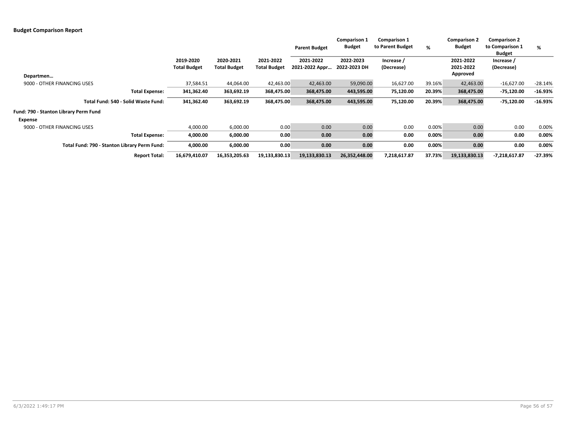|                                              |                                  |                                  |                                  | <b>Parent Budget</b>        | Comparison 1<br>Budget    | <b>Comparison 1</b><br>to Parent Budget | %      | <b>Comparison 2</b><br><b>Budget</b> | <b>Comparison 2</b><br>to Comparison 1<br><b>Budget</b> | %         |
|----------------------------------------------|----------------------------------|----------------------------------|----------------------------------|-----------------------------|---------------------------|-----------------------------------------|--------|--------------------------------------|---------------------------------------------------------|-----------|
| Departmen                                    | 2019-2020<br><b>Total Budget</b> | 2020-2021<br><b>Total Budget</b> | 2021-2022<br><b>Total Budget</b> | 2021-2022<br>2021-2022 Appr | 2022-2023<br>2022-2023 DH | Increase /<br>(Decrease)                |        | 2021-2022<br>2021-2022<br>Approved   | Increase /<br>(Decrease)                                |           |
| 9000 - OTHER FINANCING USES                  | 37,584.51                        | 44,064.00                        | 42,463.00                        | 42,463.00                   | 59,090.00                 | 16,627.00                               | 39.16% | 42,463.00                            | $-16,627.00$                                            | $-28.14%$ |
| <b>Total Expense:</b>                        | 341,362.40                       | 363,692.19                       | 368,475.00                       | 368,475.00                  | 443,595.00                | 75,120.00                               | 20.39% | 368,475.00                           | -75,120.00                                              | $-16.93%$ |
| Total Fund: 540 - Solid Waste Fund:          | 341,362.40                       | 363,692.19                       | 368,475.00                       | 368,475.00                  | 443,595.00                | 75,120.00                               | 20.39% | 368,475.00                           | -75,120.00                                              | $-16.93%$ |
| Fund: 790 - Stanton Library Perm Fund        |                                  |                                  |                                  |                             |                           |                                         |        |                                      |                                                         |           |
| Expense                                      |                                  |                                  |                                  |                             |                           |                                         |        |                                      |                                                         |           |
| 9000 - OTHER FINANCING USES                  | 4,000.00                         | 6,000.00                         | 0.00                             | 0.00                        | 0.00                      | 0.00                                    | 0.00%  | 0.00                                 | 0.00                                                    | 0.00%     |
| <b>Total Expense:</b>                        | 4,000.00                         | 6,000.00                         | 0.00                             | 0.00                        | 0.00                      | 0.00                                    | 0.00%  | 0.00                                 | 0.00                                                    | 0.00%     |
| Total Fund: 790 - Stanton Library Perm Fund: | 4,000.00                         | 6,000.00                         | 0.00                             | 0.00                        | 0.00                      | 0.00                                    | 0.00%  | 0.00                                 | 0.00                                                    | 0.00%     |
| <b>Report Total:</b>                         | 16,679,410.07                    | 16,353,205.63                    | 19,133,830.13                    | 19,133,830.13               | 26,352,448.00             | 7,218,617.87                            | 37.73% | 19,133,830.13                        | $-7,218,617.87$                                         | $-27.39%$ |